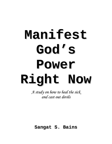# **Manifest God's Power Right Now**

*A study on how to heal the sick and cast out devils*

**Sangat S. Bains**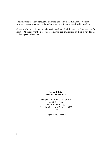The scriptures used throughout this study are quoted from the King James Version. Any explanatory insertions by the author within a scripture are enclosed in brackets [ ].

Greek words are put in italics and transliterated into English letters, such as *pneuma*, for spirit. At times, words in a quoted scripture are emphasized in **bold print** for the author's personal emphasis.

# **Second Edition Revised October 2004**

Copyright © 2003 Sangat Singh Bains M536, 2nd Floor Guru Harikishan Nagar Paschim Vihar, New Delhi – 110087 India

sangatb@satyam.net.in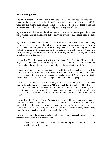# **Acknowledgements**

First of all, I thank God, the Father of our Lord Jesus Christ, who has saved me and has given me the heart to seek and understand His Way; He opens my eyes to behold the wonderful and mighty truth from His Word; He is all Good; He is the Light and in Him is no darkness at all. To God be glory and praise through out all ages.

My thanks to all of those wonderful teachers who have taught me and patiently assisted me to read and understand to some degree the Word of God so that I could teach the same to others.

My thanks to the believers of India who heard and received the word of God which they heard from me. They received it not as the word of men, but as it is in truth, the Word of God. Their faith and application of what I taught showed me that healing the sick and casting out devils works simply and easily for both new and old believers. Thus I was greatly encouraged to teach these same truths of healing the sick and casting out devils to Christians all over the world.

I thank Rev. Vince Finnegan for inviting me to Albany, New York in 1996 to teach this subject. I witnessed that this God-given power and authority could be exercised consistently and give effectual results, not only in India but also in the USA.

I thank Rev. John Shroyer for inviting me in 2003 to teach this subject in Tipp City, Ohio. I was able to record my class on How to Heal the Sick and Cast Out Devils. Some of the sections of the teaching will be used for his class entitled, "Ministering with God's Power" which I know shall inspire, strengthen and build up God's people.

I thank Michael Fitzgerald of Williamsburg, Virginia, who is the one who really moved forward to make known this subject of "How to Heal the Sick and Cast Out Devils" in the USA. I am one in soul with Michael to move forward with our God's desires, that is, "He will have all men to be saved, and to come unto the knowledge of the truth." I also want to thank Michael for his editing work on "Letters from India" and "Look Only to God."

I thank Rev. Ken Petty of Oracle, Arizona whose heart is like mine and whose focus is like mine. He has his eyes always fixed on God and moves forward with God and His Son and His people. Ken endeavors in perfecting the saints, for the work of the ministry and for the edifying of the Body of Christ. He has, with love and respect, opened many doors for me to preach and teach this subject in the USA.

I also want to thank the women who have helped me with the physical aspects of making this information available in printed form:

Nancy Schempp of New Jersey for the initial editing work of the book and for providing me with encouragement;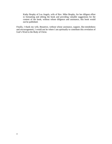Kathy Brophy of Los Angels, wife of Rev. Mike Brophy, for her diligent effort in formatting and editing the book and providing valuable suggestions for the content of the book, without whose diligence and assistance, this book would not be published.

Finally, I thank my wife, Beautrice, without whose assistance, support, like-mindedness and encouragement, I would not be where I am spiritually to contribute this revelation of God's Word to the Body of Christ.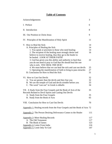# **Table of Contents**

| Acknowledgements                                                                                                                                                                                                                                                                | 3                               |  |
|---------------------------------------------------------------------------------------------------------------------------------------------------------------------------------------------------------------------------------------------------------------------------------|---------------------------------|--|
| I. Preface                                                                                                                                                                                                                                                                      |                                 |  |
| II. Introduction                                                                                                                                                                                                                                                                | 8                               |  |
| III. Our Position in Christ Jesus                                                                                                                                                                                                                                               | 9                               |  |
| IV. Principles of the Manifestation of Holy Spirit                                                                                                                                                                                                                              | 11                              |  |
| V. How to Heal the Sick:<br>A. Principles of Healing the Sick<br>1. You speak or proclaim to those who need healing<br>2. The recipient of the healing must strongly desire and<br>believe to receive healing, thus they go to the healer to<br>be healed. LOOK AT THEIR FAITH! | 14<br>14<br>14<br>16            |  |
| 3. God has given you this ability and authority to heal thus<br>you do not need to pray to God that He should heal the one<br>who is sick. YOU HEAL THE SICK!                                                                                                                   | 22                              |  |
| 4. We must believe that we can heal the sick and cast out devils                                                                                                                                                                                                                | 25                              |  |
| 5. Operating the manifestation of faith to bring to pass miracles<br>B. Conclusion for How to Heal the Sick                                                                                                                                                                     | 27<br>31                        |  |
| VI. How to Cast Out Devils<br>A. You are greater than the devils and they fear you<br>B. We are the temple of God and devils tremble before you<br>C. The word "cast out" in Greek is <i>ekballo</i>                                                                            | 32<br>32<br>33<br>34            |  |
| VII. A Study from the Four Gospels and the Book of Acts of the<br>Records Related to Devil Spirits and Casting Out Devils                                                                                                                                                       | 35                              |  |
| A. Study from the Four Gospels                                                                                                                                                                                                                                                  | 35                              |  |
| B. Study from the Book of Acts                                                                                                                                                                                                                                                  | 65                              |  |
| VIII. Conclusion for How to Cast Out Devils                                                                                                                                                                                                                                     | 70                              |  |
| <b>Appendix 1:</b> Healing records from the Four Gospels and the Book of Acts 72                                                                                                                                                                                                |                                 |  |
| <b>Appendix 2:</b> The Person Desiring Deliverance Comes to the Healer                                                                                                                                                                                                          | 111                             |  |
| <b>Appendix 3: More Healing Records</b><br>A. The Old Testament<br><b>B.</b> The Book of James<br><b>Appendix 4: Letter From India</b><br>Appendix 5: Look Only To God                                                                                                          | 117<br>117<br>123<br>124<br>147 |  |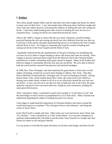# **I. Preface**

Very often, people simply follow and do what they have been taught and shown by others in many areas of their lives. I, too, had simply been following what I had been taught and what I had seen others practice concerning the subjects of healing the sick and casting out devils. I had some understanding and some success in healing the sick, but not on a consistent basis. Casting out devils was somewhat beyond my reach.

Then in the 1990's, I began to notice that the way many Christians, myself included, practiced healing the sick and casting out devils was very different from the way that our Lord Jesus Christ and his disciples manifested this power as recorded in the Four Gospels and the Book of Acts. So I began to systematically read the records of healing and casting out devils in the Four Gospels and the Book of Acts.

 I gradually understood that the manifestation of the gift of healing was something that we must act on in order to impart healing to those who desire and come for healing. Then I began to practice and teach these truths from the Word of God to the Christian leaders and believers in India. Something really great started to happen. Many of the leaders and believers began to consistently heal the sick and cast out devils. We were able to deliver both the saved and the unsaved from physical and spiritual bondages.

In 1996, Rev. Vince Finnegan, who had expressed his great desire to learn more on this subject of healing, invited me to teach about healing in Albany, New York. Then Rev. Steven Michaels invited both Rev. Finnegan and I to teach on healing in Florida. During both of these visits, which totaled about three weeks, the truths from God's Word on healing were made clearly evident to all of us as we effectively healed the sick and cast out devils. It was a joy for me to see that not only in India but also in the USA, the same authority and power were exercised with ease, simplicity and consistency yielding the same great deliverances.

After I returned to India, I continued to teach God's people to "Look Only to God" and the knowledge of what God has accomplished for us in Christ Jesus. What I learned and understood regarding the subject of healing became even clearer.

I also began to understand the importance of Christian brothers and sisters around the world knowing how to manifest "The God-given Power and Authority" and doing the works of Jesus Christ.

God's Word itself is simple and clear. Often times our Lord and Savior Jesus Christ said, "It is Written." God's standard for us is His written Word. It is from this foundation of spiritual understanding that I decided to put the truths I have learned in a simple and clear format for others to use and grow thereby.

It is my prayer to God that He opens the hearts of all those who hunger and thirst for the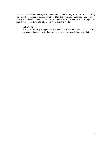truth; that you behold the simplicity, the accuracy and the integrity of His Word regarding the subject of walking as our Lord walked. May this book assist and inspire you to live what the Lord said in John 14:12 and to become a vital, active member in carrying out the ministry of reconciliation to take God's Word over the World.

# **John 14:12**

Verily, verily, I say unto you, He that believeth on me, the works that I do shall he do also; and greater *works* than these shall he do; because I go unto my Father.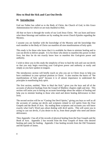# **How to Heal the Sick and Cast Out Devils**

# **II. Introduction**

God our Father has called us to the Body of Christ, the Church of God, in this Grace Administration for which we are truly thankful to Him.

All that we have is through the works of our Lord Jesus Christ. We can learn and know what these blessings and realities are by reading the seven Church Epistles regarding the Mystery.

I assume you are familiar with the knowledge of the Mystery and the knowledge that each member in the Body of Christ can manifest all nine manifestations of holy spirit.

This study is for those who know that it is available for them to minister healing and to cast out devils to deliver people. It is for those who desire to manifest this power in their lives, but thus far do not exactly know how to manifest this God-given power and authority.

I wish to show you in this study the simplicity of how to heal the sick and cast out devils so that you may begin exercising your God-given power and authority as easily and simply as you have spoken in tongues.

The introductory section will briefly touch on who you are in Christ Jesus to help you have confidence in your spiritual position in Christ. It also touches the basics of "the manifestations of holy spirit" because it is of utmost importance to understand the principles in manifesting holy spirit.

The first section, entitled, "How to Heal the Sick," gives you the keys and all of the accounts of physical healings from the Gospel of Matthew chapters eight and nine. This section will assist you in having an accurate knowledge about the subject of healing and help you to minister healing to those who need and desire healing deliverance in their lives.

The second section will be on "Casting Out Devil Spirits," giving you keys as well as all the accounts of casting out devils and scriptures related to evil spirits from the Four Gospels and the Book of Acts. By reading these scriptures and accounts you will know exactly what God's Word says about dealing with devil spirits. This will assist you in acting to cast out devils, if you desire to do so, from those people who need and desire deliverance.

Then Appendix 1 has all of the records of physical healing from the Four Gospels and the Book of Acts. Appendix 2 has records from the Four Gospels of those who desired healing and came for healing. Appendix 3 has healing records from the Old Testament and the Epistle of James.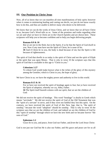# **III. Our Position in Christ Jesus**

Now, all of us know that we can manifest all nine manifestations of holy spirit; however when it comes to ministering healing and casting out devils, we just do not know exactly how to do this, and thus are unable to deliver many who desire to be delivered.

We know that we can do the works of Jesus Christ, and we know that we all have Christ in us, because God's Word tells us so. Some of the promises and truths regarding what we are and what we have in Christ are in the Church Epistles and are shown here. These scriptures will help you to become confident and to help you begin delivering people.

# **Romans 8:9 & 10**

But ye are not in the flesh, but in the Spirit, if so be that the Spirit of God dwell in you. Now if any man have not the Spirit of Christ, he is none of his. **10** And if Christ *be* in you, the body is dead because of sin; but the Spirit is life

because of righteousness.

The spirit of God that dwells in us today is the spirit of Christ and not the spirit of Elijah or the spirit that was upon Moses. That is why in verse 10 the scripture says that this spirit of God that is available in this age is "Christ in you."

#### **Colossians 1:27**

To whom God would make known what *is* the riches of the glory of this mystery among the Gentiles; which is Christ in you, the hope of glory.

We have Christ in us; we have the mighty power and authority to live in this world.

# **Romans 8:15 & 16**

For ye have not received the spirit of bondage again to fear; but ye have received the Spirit of adoption, whereby we cry, Abba, Father.

 **16** The Spirit itself beareth witness with our spirit, that we are the children of God:

We did not receive the spirit of bondage. This word "bondage" is *doulia* in Greek which means "servitude." We did not receive the spirit of God of the Old Testament that was the "spirit of a servant" to serve, and if they were not faithful they lost this spirit. On the contrary, we have received the spirit of God of this New Age, that is, "the spirit of sonship," because the word "adoption" should be sonship. That is why in verse 16 the scripture says that we are the children of God, and indeed we are the children of God by this "spirit of sonship" through which we have the new birth and we became forever "the sons of God."

#### **Ephesians 1:2**

Grace *be* to you, and peace, from God our Father, and *from* the Lord Jesus Christ:

God is not just our God but He is also our Father, and His grace and peace are for us all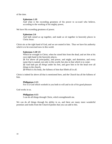of the time.

# **Ephesians 1:19**

And what *is* the exceeding greatness of his power to us-ward who believe, according to the working of his mighty power,

We have His exceeding greatness of power.

#### **Ephesians 2:6**

And hath raised *us* up together, and made *us* sit together in heavenly *places* in Christ Jesus:

Christ sits at the right hand of God, and we are seated in him. Thus we have his authority which is to be exercised now in this world.

#### **Ephesians 1:20~23**

Which he wrought in Christ, when he raised him from the dead, and set *him* at his own right hand in the heavenly *places*,

**21** Far above all principality, and power, and might, and dominion, and every name that is named, not only in this world, but also in that which is to come:

**22** And hath put all *things* under his feet, and gave him *to be* the head over all *things* to the church,

**23** Which is his body, the fullness of him that filleth all in all.

Christ is indeed far above all that is mentioned here, and the Church has all the fullness of him.

# **Philippians 2:13**

For it is God which worketh in you both to will and to do of *his* good pleasure

God works in us.

#### **Philippians 4:13**

I can do all things through Christ, which strengtheneth me.

We can do all things through his ability in us, and there are many more wonderful promises and truths from the Church Epistles that you can add to this.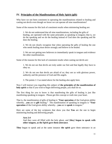# **IV. Principles of the Manifestations of Holy Spirit (gift)**

Why have we not been consistent in operating the manifestations related to healing and casting out devils even though we know we can operate all nine manifestations?

Some of the reasons for this lack of consistent results when ministering healing are:

1. We do not understand that all nine manifestations, including the gifts of healing, are operated with the same principles as speaking in tongues; that is, we do the speaking and we do the healing instead of God does the speaking and He does the healing.

2. We do not clearly recognize that when operating the gifts of healing the one who needs healing must desire strongly and believe to be healed.

3. We are not getting new believers to immediately speak in tongues and evidence the other manifestations.

Some of the reasons for this lack of consistent results when casting out devils are:

1. We do not see that devils are truly under our feet and that legally they have to obey us.

2. We do not see that devils are afraid of us; they see us with glorious power, authority and the presence of God and His angels.

3. The points 1~3 as stated above for the healing also apply here.

Now I will instruct you regarding this subject of **the principles of the manifestation of holy spirit** so that if you wish to begin delivering people, you shall do so.

The first thing for you to know is that manifesting the gifts of healing is just like manifesting speaking in tongues. Please get this concept or truth into your heart.

That is, the manifestation of gifts of healing is "**Your operation** of the God-given ability whereby…**you** are to **gift** healing." The manifestation of speaking in tongues is "**Your operation** of the God-given ability whereby…**you** are to **speak** in tongues."

Here are some of the key scriptures that show you that **You** are the one to begin ministering healing and delivering people.

# **Acts 2:4**  And they were all filled with the holy ghost, and [**they**] **began to speak with other tongues, as the Spirit gave them utterance**.

**They** began to speak and at the same instance **the spirit** gave them utterance in an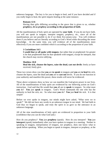unknown language. The key is for you to begin to heal, and if you have decided and if you really begin to heal, the spirit imparts healing at the same instance.

# **Romans 12:6**

Having then gifts differing according to the grace that is given to us, whether **prophecy,** *let us prophesy* **according to the proportion of faith**;

All the manifestations of holy spirit are operated by **your faith**. If you do not have faith, you will not speak in tongues, interpret tongues, prophecy, etc., since all of the manifestations are not possible to do if we think five-senses-wise. You will evidence them if you believe and act literally according to God's Word while discarding the sense knowledge. At the same time, you will evidence all of the manifestations more effectively if you are more confident which is according to the proportion of your faith.

# **1 Corinthians 14:5**

**I would that ye all spake with tongues**, but rather that ye prophesied: for greater *is* he that prophesieth than he that speaketh with tongues, except he interpret, that the church may receive edifying.

# **Matthew 10:8**

**Heal the sick, cleanse the lepers, raise the dead, cast out devils**: freely ye have received, freely give.

These two verses show you that **you** are **to speak** in tongues and **you** are **to heal** the sick, cleanse the lepers, raise the dead and **you** are to **cast out** devils. If you do not function in your authority and manifest this power, these results will never be evidenced.

These above scriptures show us how we can manifest the God-given power in our lives. All of the manifestations of holy spirit are evidenced by our believing action on God's instruction. God said that He would that **you** all are to **speak** in tongues. So what must **you** do? **You** just **speak** in tongues. God's Word commands the one who has the authority to heal the sick, etc. So what must **you** do? **You** just **heal** the sick. It is that simple!

Before we ever spoke in tongues, our minds might have asked, "What were we to speak?" We did not have any words in an unknown tongue in our mind. We had faith in God thus we began to speak, and truly the spirit in us gave us the utterance in an unknown language.

All of the nine manifestations of holy spirit are evidenced in proportion to your faith (confidence that you can do what God said.)

How do you prophecy? **You** just **prophesy** (speak). How do you interpret? **You** just **interpret** (speak) immediately after you have spoken in tongues in a meeting. Neither in speaking in tongues, interpretation of tongues, nor prophecy, does one know what to speak before speaking. When you begin to speak in tongues, interpret or prophesy, at the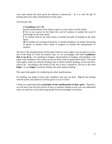very same instant the spirit gives the utterance respectively. So it is with the gift of healing and every other manifestation of holy spirit.

God already said,

# **1 Corinthians 12:7~10**

But the manifestation of the Spirit is given to every man to profit withal.

**8** For to one is given by the Spirit the word of wisdom; to another the word of knowledge by the same Spirit;

**9** To another faith by the same Spirit; to another the gifts of healing by the same Spirit;

**10** To another the working of miracles; to another prophecy; to another discerning of spirits; to another *divers* kinds of tongues; to another the interpretation of tongues:

All nine of the manifestations of holy spirit listed in verses eight to ten are given to every one in the Body of Christ for benefit; thus, we act accordingly with faith (**confidence that I can do it.**) For speaking in tongues, interpretation of tongues, and prophecy, you speak with confidence even when you do not know what to speak before hand. The same truth applies when you minister healing; that is, before minister healing, you do not know what to do. According to the Word of God, this is how it should be. The key is the word **begin.** As you **begin** to minister healing, the spirit imparts healing.

The same truth applies for evidencing the other manifestations.

For healing, you begin to heal with confidence that you can heal. **You** do the healing with the power and authority God has given to you in Christ.

I think you understand these **principles of the manifestation of holy spirit**. Therefore, we will move into the first section on how to minister healing so that you can understand what you must do to start delivering people from the bondages of sickness.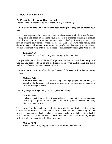# **V. How to Heal the Sick**

# **A. Principles of How to Heal the Sick**

The following are important points to note with regard to healing.

# **1. You speak or proclaim to those who need healing that they can be healed right now.**

This is the first point and it is very important. We have seen that all of the manifestations of holy spirit are based on the same keys as needed to evidence speaking in tongues. Then this next point of proclaiming the immediate availability of healing, indeed comes first in bringing deliverance to those who need healing. Those who need healing must **desire strongly** and **believe** to be healed. As people hear that healing is immediately available, their believing or faith will increase. **Faith** comes by hearing the Word of God.

#### **Romans 10:17**

So then faith *cometh* by hearing, and hearing by the word of God.

That particular Word of God, the Word of promise, the specific Word from the spirit of God that you speak forth enters into the heart of the one who needs healing, and brings faith and confidence that he or she can be healed.

Therefore Jesus Christ preached the good news of deliverance **first** before healing people.

# **Matthew 4:23**

And Jesus went about all Galilee, teaching in their synagogues, and preaching the gospel of the kingdom, and healing all manner of sickness and all manner of diseases among the people.

**Teaching** and **preaching** of the good news **preceded** healing.

# **Matthew 9:35**

And Jesus went about all the cities and villages, teaching in their synagogues, and preaching the gospel of the kingdom, and healing every sickness and every disease among the people.

The preaching of the good news and what is available from God preceded healing deliverance, because Jesus Christ could heal if they had faith to receive healing. In other words, he could not have healed and delivered people had they not believed to be healed. You could minister healing all day to a person without faith or with little faith, but you will not be able to impart the gift of healing to him.

# **Mathew 13:58**

And he did not many mighty works there because of their unbelief.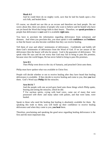# **Mark 6:5**

And he could there do no mighty work, save that he laid his hands upon a few sick folk, and healed *them*.

Of course, we should not use this as an excuse and therefore not heal people. Do not worry about this; there are plenty of people who want to believe and be healed who have not yet heard the Word that brings faith to their hearts. Therefore, we **speak**/**proclaim** to people that deliverance is **sure** and it is available **right now**.

You have to proclaim the information regarding deliverance from sicknesses and diseases. And when you proclaim this, you must speak it with **confidence** and **boldness** so that the hearer can also become confident that they can receive healing.

Tell them of your and others' testimonies of deliverance. Confidently and boldly tell them God's testimonies of deliverance from the Word of God. If we are unsure of the deliverance then the hearer will also be unsure. God is the guarantor of deliverance. We speak what He says and do not worry that God may fail to bring to pass His promise, because since the world began, He has never failed to bring to pass His promises.

# **Acts 8:5**

Then Philip went down to the city of Samaria, and preached Christ unto them.

Philip must have spoken what was available in Christ first.

People will decide whether or not to receive healing after they have heard that healing deliverance is available. If they decide to receive healing and come to you, then **you** heal them. God's Word says **Philip** did the miracles.

# **Acts 8:6 & 7**

And the people with one accord gave heed unto those things which Philip spake, hearing and seeing the miracles, which he did.

**7** For unclean spirits, crying with loud voice, came out of many that were possessed *with them:* and many taken with palsies, and that were lame, were healed.

Speak to those who need the healing that healing is absolutely available for them. By speaking this truth to them, you will build up their confidence to receive healing deliverance and when they come to you, **you heal** them.

Therefore, proclaiming and speaking the good news regarding healing deliverance is the first and the most important step.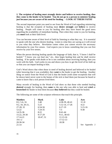# **2. The recipient of healing must strongly desire and believe to receive healing, thus they come to the healer to be healed. You do not go to a person to minister healing just because you are aware of his need for healing. – LOOK AT THEIR FAITH!**

The second important point you need to see from the Word of God regarding ministering healing is that the recipient of healing must **desire strongly** and **believe** to receive healing. People will come to you for healing after they have heard the good news regarding the availability of immediate healing. Then when they come to you for healing, you **must** look at their faith level.

You can become aware of their level of faith by listening to what they say. It is essential to speak with the one who desires healing. Listen to what they are saying as it will reveal to you what they believe. Revelation comes when you cannot receive the necessary information by your five senses. God expects you to know something that you can first receive by your five senses.

When the person desiring healing speaks the language of faith, that is, "I know I shall be healed," "I know you can heal me," etc., then begin healing him and he shall receive healing. If he speaks with doubt or he is not confident about receiving healing, then you work with his faith. God works in you and shows you how to get the level of his faith up so that you can impart healing to him.

God's Word shows that when those in need of healing desired and believed to be healed (after knowing that it was available), they **went** to the healer to get the healing. Another thing we notice from the Word of God is that the healer (with some exceptions that will be shown later) never went to the homes of the sick to heal them just because he heard or came to know that a sick person lived there.

Many records of healing in the Word of God show us that those who needed healing **desired** strongly for healing, then **came** to the one who was able to heal and **cried** or **beseeched** the healer to heal them because **they believed** that they could be healed.

The following are some of the scripture references that teach this principle.

| <b>Matthew</b>    | <b>Mark</b> | Luke             | Acts           |
|-------------------|-------------|------------------|----------------|
| $8:2, 5-6, 16$    | 1:40        | $4:38-39, 40-41$ | $3:1-8$        |
| $9:2, 18, 20-21,$ | 5:23        | $5:12-14, 17-26$ | 4:22           |
| 27-28, 32         | $6:54-56$   | $6:17-19$        | $5:15-16$      |
| 12:22             | $7:24-35$   | 7:3              | 9:38           |
| 14:35-36          | 8:22        | $8:41-44$        |                |
| 15:22, 29-30      | $9:17-29$   | 9:11, 38-43      |                |
| $17:14-21$        | 10:47, 51   | $11:13-16$       |                |
| $19:1-2$          |             | $17:12-13$       |                |
| 20:30-34          |             | 18:38            |                |
| 21:14             |             |                  | See Appendix 2 |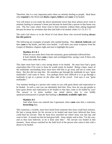Therefore, this is a very important point when we minister healing to people. Heal those who **respond** to the Word and **desire, expect, believe** and **come** to be healed.

You will notice as you study the above-mentioned verses that Jesus almost never went to minister healing in someone's home just because he heard that a person in that house was sick. The few cases where Jesus went to heal someone without them asking happened because he knew by revelation that they had faith to be healed. (John  $5:2 \sim 15$ ; 9:1 $\sim$ 7)

The truth God shows us in the Word of God about those who received healing **always has this pattern**.

The following are examples of people who needed healing. They **desired**, **believed,** and thus **came** to the healer, and they were healed. I will show you some scriptures from the Gospel of Matthew chapters eight and nine to highlight this point.

# **Matthew 8:1 & 2**

When he was come down from the mountain, great multitudes followed him. **2** And, behold, there **came** a leper and worshipped him, saying, Lord, If thou wilt, thou canst make me clean.

This leper must have had a very strong desire to be healed. He must have had a great expectation that if he went to Jesus he would surely be healed. Being a leper, many of the multitudes surrounding Jesus must have told him to go away and not to come near them. But this did not stop him. He somehow got through the multitude (it says "great multitudes") and came to Jesus. You perhaps know how difficult it is to go through a multitude to get to a person on the other side of the crowd. God says it was "great multitudes."

You minister healing to a person who comes to you with great desire and expectation to be healed. In such a case you can absolutely heal him. Now, how do you get people to have great desire and expectation to be healed so that they come to be healed by you? The answer is in point number one noted above; that is, you boldly speak/proclaim/preach to people that healing is **absolutely available right now**.

# **Matthew 8:5**

And when Jesus was entered into Capernaum, there **came** unto him a centurion, **beseeching** him,

This centurion, a Gentile, must have heard from someone that Jesus could heal sickness. He had a strong desire for his servant to be healed and must have believed that Jesus could heal his servant. Thus he must have searched out where Jesus was that day and went to him. It turned out that he had great faith. Jesus simply said to him, "Go thy way; and as thou hast believed, so be it done unto thee." His servant was healed at that moment. Jesus always watched for the faith level of the person who came to him with a desire to be healed.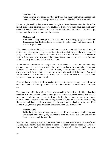#### **Matthew 8:16**

When the even was come, they **brought** unto him many that were possessed with devils: and he cast out the spirits with *his* word, and healed all that were sick:

Those people needing deliverance were brought to Jesus because their family and/or friends desired and believed that Jesus could heal them. Jesus must have known of many other sick people who were in that town, but he did not go to their homes. Those who got healed were the ones who were brought to Jesus.

# **Matthew 9:2**

And, behold, they **brought** to him a man sick of the palsy, lying on a bed: and Jesus seeing their **faith** said unto the sick of the palsy; Son, be of good cheer; thy sins be forgiven thee.

They must have heard the good news of deliverance or someone told them a testimony of deliverance. Hearing or seeing this got them to believe that the one who was sick of the palsy could be healed. They were excited that this man would be healed so instead of inviting Jesus to come to their home, they took this man on a bed to meet Jesus. Walking while you carry a man on a bed is a difficult task.

We do not know exactly how they got to the place where Jesus was, but we know they did not have a car or a van to take him. Well, we know they strongly desired and believed that the man would be healed. It says, "Jesus seeing their **faith**…." Jesus always watched for the faith level of the person who desired deliverance. We must follow what God's Word shows us to do. When we follow what God shows us and instructs us to do, we are successful.

Once we know they have faith to receive, then give them the healing. You tell him to stand up and he will stand up. You tell him to stretch forth his hand and he will stretch it out.

The point here in Matthew 9:2, besides always watching for the level of faith, is that **they brought him** to be healed. Jesus did not go to his home to minister healing just because someone had told him a man suffering from palsy lived there. Yes, we may go to a home of such a man and speak to him that healing is available, but we will not minister healing right there and then. Let him respond; let him come and get healing from you. If he comes to you, that is a good indication of his faith, then you can heal him.

# **Matthew 9:18**

While he spake these things unto them, behold, there **came** a certain ruler, and worshipped him, saying, My daughter is even now dead: but come and lay thy hand upon her, and she shall live.

Many of the synagogue leaders, Pharisees, Sadducees and priests were vehemently set against Jesus. Yet this ruler had come to Jesus. He greatly desired healing deliverance for his daughter so that he laid his job on the line. He might have lost his job by going to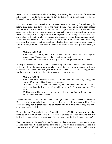Jesus. He had intensely desired for his daughter's healing thus he searched for Jesus and asked him to come to his home and to lay his hands upon his daughter, because he believed, if Jesus did so, she would live.

This ruler **came** to Jesus in such a circumstance. Jesus understanding this and seeing the ruler's great desire and faith went to the ruler's home. There might have been another life and death case in that town, but Jesus did not go to the home with that situation. Jesus went to the ruler's house because the ruler had come and beseeched him to do so. Jesus knew the person had a great desire and expectation for healing. The one who heals always look at the faith level of the person who desires to receive deliverance and then he works with the person's faith as needed. If he has faith to be healed, then immediately heal him. If a man does not have faith to be healed, then work with his faith. Once his faith is risen up and he is confident to receive deliverance, then you give the healing to him.

#### **Matthew 9:20 & 21**

And, behold, a woman, which was diseased with an issue of blood twelve years, **came** behind *him*, and touched the hem of his garment:

**21** For she said within herself, If I may but touch his garment, I shall be whole.

Here again, we see that those who received healing, those that God takes time to show us in His Word, are the ones who heard about the deliverance, who responded with great expectation, and since they had great desire to be delivered, instead of waiting at home for the healer to come to heal them, they **went** to receive healing.

#### **Matthew 9:27~30**

And when Jesus departed thence, two blind men followed him, crying, and saying, *Thou* Son of David, have mercy on us.

**28** And when he was come into the house, the blind men **came** to him: and Jesus saith unto them, Believe ye that I am able to do this? They said unto him, Yea, Lord.

**29** Then touched he their eyes, saying, According to your faith be it unto you. **30** And their eyes were opened…

These blind men wanted to follow Jesus. Getting to Jesus could have been no easy task. But because they strongly desired and expected to be healed, they went to him. Jesus knew that **they had a great desire to be healed** and must have known they had some expectation to be healed.

He asked them, "Do you believe that I am able to do this?" **He checked whether they believed to receive or not**. This is what the healer must do. After knowing that they believed, he touched their eyes and said, "According to your faith be it done unto you."

First you speak to the people about deliverance, then they respond and come to get healing from you. You look at their faith and if they have faith to receive healing then you heal them. If their faith is not yet at a high level, then you work with them to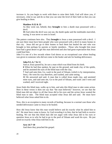increase it. As you begin to work with them to raise their faith, God will show you, if necessary, what to say and do so that you can raise the level of their faith so that you can give healing to them.

# **Matthew 9:32 & 33**

As they went out, behold, they **brought** to him a dumb man possessed with a devil.

**33** And when the devil was cast out, the dumb spake and the multitudes marveled, saying, It was never so seen in Israel.

The pattern continues here also. They **brought** to Jesus a man possessed with a devil. I am sure there must have been people who were possessed with a devil in many homes in that city. Jesus did not go to their homes to heal them but healed the one who was brought to him perhaps by parents or family members. Those who brought him must have had a great desire to get this man delivered and also had great expectation that Jesus could heal him.

John 9 is one of a few records where God shows us an exceptional case where healing was given to someone who did not come to the healer and ask for healing deliverance.

#### **John 9:1, 6, 7 & 11**

And as *Jesus* passed by, he saw a man which was blind from *his* birth.

**6** When he had thus spoken, he spat on the ground, and made clay of the spittle, and he anointed the eyes of the blind man with the clay,

**7** And said unto him, Go, wash in the pool of Siloam, (which is by interpretation, Sent.) He went his way therefore, and washed, and came seeing.

**11** He answered and said, A man that is called Jesus made clay, and anointed mine eyes, and said unto me, Go to the pool of Siloam, and wash: and I went and washed, and I received sight.

Jesus finds this blind man, walks up to him, and asks this blind man to take some action. Here in these verses it does not say that "the man believed;" however, we see that the blind man did not object to all that Jesus did to his eyes and the action Jesus wanted the blind man to take. The blind man accepted what Jesus did and said. He must have believed what Jesus asked him to do.

Now, this is an exception to many records of healing, because in a normal case those who needed deliverance came to Jesus to be healed.

How did Jesus know that this man would believe and do exactly what he asked him to do? He must have come to know, by God revealing it to him, that he had faith to receive healing. We see that this blind man did not argue with what Jesus did to his eyes or question Jesus as to why he had to go to the pool of Siloam and wash his eyes. He just acted on exactly what Jesus told him to do.

#### **Acts 14:7~10**

And there they preached the gospel.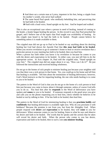**8** And there sat a certain man at Lystra, impotent in his feet, being a cripple from his mother's womb, who never had walked:

**9** The same heard Paul speak: who stedfastly beholding him, and perceiving that he had faith to be healed,

**10** Said with a loud voice, Stand upright on thy feet. And he leaped and walked.

This is also an exceptional case where a person in need of healing, instead of coming to the healer, a healer began healing the person. In this record it says that Paul preached the gospel, and I believe one of the topics that Paul taught was availability of healing. As this cripple man heard it, he had the faith to be healed. People cannot believe for something unless it is made available to them.

The crippled man did not go up to Paul to be healed or say anything about his desiring healing but God had shown the Apostle Paul that **this man had faith to be healed**. When you receive revelation to go to someone's home to heal or receive revelation that a particular person in your meeting has faith to be healed, then you heal him.

When a person has faith either you know it by revelation or because he comes to you with the desire and expectation to be healed. In either case, you just tell him to do the appropriate action. In Acts chapter 14, Paul told the crippled man, "Stand upright on your feet." The crippled man did not argue about it or say, "How can I do it?" He just followed the instructions and received healing wholeness.

Do not go to the homes of sick people to minister healing just because your neighbor told you that there was a sick person in that home. Yes, you could go to his home and tell him that healing is available. Tell him about the testimonies of healing deliverance; however, God's Word instructs us that for imparting healing, the one who needs healing is to come to you to be healed.

The pattern in the Word of God is that you do not go to the home of a sick person to heal him just because you came to know about it through someone, unless of course God tells you to do so. You heal him after he **responds** to the Word of deliverance you have spoken and **comes** to you to be healed. If someone responds to the good news you give and calls you on the phone requesting you to heal him, check whether he believes to be healed or not by talking to him. If he has faith to be healed, then heal him.

The pattern in the Word of God for ministering healing is that you **proclaim boldly** and **confidently** that healing deliverance is available right now. Why do you proclaim it with boldness? Because the promise is not from you, but from the Almighty God. When people respond with **desire** and **expectation** to be healed, they will **come** to you for deliverance. When someone comes to you for healing, listen to what he says and observe his desire and faith to be healed. The words that he speaks and the actions that he takes will reveal his desire and faith. When the person who comes to you has desire, expectation and faith to be healed, then to such a one **you minister healing**.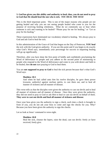# **3. God has given you this ability and authority to heal; thus, you do not need to pray to God that He should heal the one who is sick.** *YOU HEAL THE SICK!*

This is the third important point. This is one of the major reasons why people are not getting healed and why you are not seeing people healed who come to you for the purpose of receiving healing wholeness. What do we commonly say or hear when someone is sick and wanting to be healed? "Please pray for me for healing," or "Let us pray for his healing."

These expressions have dominated our vocabulary related to healing. We always pray to God and ask God to heal the sick.

In this administration of the Grace of God that began on the Day of Pentecost, **YOU heal** the sick with the God-given authority. If you see this point and if you begin to do exactly what God's Word says, immediately your percentage for success in imparting healing will go up significantly.

Therefore, after you have done the first point of boldly and confidently proclaiming the Word of deliverance to people and you adhere to the second point of ministering to people who respond to the Word of deliverance and come to you with desire and faith to be healed, then **do not** start praying to God to heal them.

You are **not supposed to pray to God** to heal the sick person because that's what God's Word says.

# **Matthew 10:1**

And when he had called unto *him* his twelve disciples, he gave them power [*exousia*, authority] against unclean spirits, to cast them out, and to heal all manner of sickness and all manner of disease.

This verse tells us that the disciples were given the authority to cast out devils and to heal all manner of sickness and all manner of disease. Once they were given the authority, they did not need to pray to God or ask Him to heal or cast out devils on behalf of them. **They were to cast out devils and heal all manner of sickness and disease**.

Once your boss gives you the authority to sign a check, each time a check is brought in front of you, you do not ask your boss to come and sign the checks for you. Why? Because you have been given the authority to sign the checks.

Let us look at Jesus' command in verse eight.

#### **Matthew 10:8**

Heal the sick, cleanse the lepers, raise the dead, cast out devils: freely ye have received, freely give.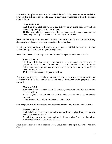The twelve disciples were commanded to heal the sick. They were **not commanded to pray for the sick** or to ask God to heal, but they were commanded to heal the sick and cast out devils.

#### **Mark 16:17 & 18**

And these signs shall follow them that believe: In my name shall they cast out devils; they shall speak with new tongues;

**18** They shall take up serpents; and if they drink any deadly thing, it shall not hurt them; they shall lay hands on the sick, and they shall recover.

Jesus said that **they**, those who believe, **shall cast out devils**. It does not say that they shall pray to God and He shall heal or cast out devils for them.

Also it says here that **they** shall speak with new tongues, not that they shall pray to God and he shall speak with new tongues through them.

Jesus Christ received God's spirit so that **he** could heal people and cast out devils.

#### **Luke 4:18 & 19**

The Spirit of the Lord *is* upon me, because he hath anointed me to preach the gospel to the poor; he hath sent me to heal the broken hearted, to preach deliverance to the captives, and recovering of sight to the blind, to set at liberty them that are bruised,

**19** To preach the acceptable year of the Lord.

When we read the Four Gospels, we do not find any places where Jesus prayed to God and asked Him to heal the sick or to cast out devils. **Jesus healed the people** and **cast out devils**.

#### **Matthew 8:5~7**

And when Jesus was entered into Capernaum, there came unto him a centurion, beseeching him,

**6** And saying, Lord, my servant lieth at home sick of the palsy, grievously tormented.

**7** And Jesus saith unto him, **I will** come and **heal him**.

God has given him the authority to heal people so he said, "**I will** come and **heal him.**"

#### **Matthew 8:2 & 3**

And, behold, there came a leper and worshipped him, saying, Lord, if thou wilt, thou canst make me clean.

**3** And Jesus put forth *his* hand, and touched him, saying, I will; be thou clean. And immediately his leprosy was cleansed.

Jesus did not pray to God to heal the leper. Jesus healed the leper by saying, "be thou clean."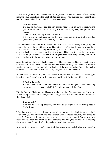I have put together a supplementary study, Appendix 1, where all the records of healing from the Four Gospels and the Book of Acts are listed. You can read these records and see for yourself all of these points that I have mentioned.

# **Matthew 9:6~8**

But that ye may know that the Son of man hath power on earth to forgive sins, (then saith he to the sick of the palsy,) Arise, take up thy bed, and go unto thine house.

**7** And he arose, and departed to his house.

**8** But when the multitudes saw *it*, they marveled, and glorified God, which had given such power [*exousia*, authority] unto men.

The multitudes saw how Jesus healed the man who was suffering from palsy and marveled at what **Jesus did,** not what **God did**. I don't think the people would have marveled if God did this healing because they knew, as all of us know, that God is allable and healing is an easy thing for Him to do. This verse tells us that the people marveled and glorified God **because He had given such authority to men,** and **a man** did the healing with the authority given to him by God.

Jesus did not pray to God to heal people, instead he exercised the God-given authority to deliver them. He understood that the one who needs healing must believe in order to receive it. Jesus had the authority to heal, and the man suffering from palsy had to believe when Jesus said "Arise, take up thy bed, and go unto thine house."

In the Grace Administration, we have **Christ in us,** and we are in his place or acting on behalf of him. According to the Revised Version Bible, 2 Corinthians 5:20 states:

# **2 Corinthians 5:20**

We are ambassadors therefore on behalf of Christ, as though God were entreating by us: we beseech you on behalf of Christ be ye reconciled to God.

We, the Body of Christ, are on this earth **in place** of him. We were made to sit together in heavenly places in Christ Jesus, that is, the right hand of God, with the authority of the right hand of God.

# **Ephesians 2:6**

And hath raised *us* up together, and made *us* sit together in heavenly *places* in Christ Jesus:

Why didn't people get healed many times when you prayed to God for their healing? Even when you had revelation and knew exactly what the cause was, why didn't they get healed? From the scriptures we see the reason is because you asked God to heal them instead of you operating your God given authority and doing the healing. Now knowing the truth from God's Word, what do you have to do? You heal them.

At other times, however, you have noticed that people were healed when you prayed to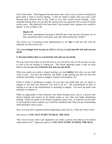God to heal them. That happened because those who came to you to receive healing had great faith or faith to receive healing. It did not matter to them what you said or did because they believed that if they came to you, they would receive healing. They snatched healing from you just like the woman who was diseased with an issue of blood twelve years. She believed in her heart that if she touched Jesus' garment she would be healed. It says in Mark 5:30:

# **Mark 5:30**

And Jesus, immediately knowing in himself that virtue [power] had gone out of him, turned him about in the press, and said, Who touched my clothes?

The correct way of healing in this administration is for **You** to heal the sick with the authority you have from God.

Thus **we no longer have to pray to God** for healing, **we just heal the sick and cast out devils**.

#### **4. We must believe that we can heal the sick and cast out devils.**

We now know that when we heal the sick or cast out devils, that we do not have to pray to God to do the healing or casting out. The fourth important point is that we must believe that **we can** indeed **heal the sick and cast out devils.**

When you speak out words to impart healing, you must **believe** that what you say shall come to pass. You have the authority and ability to gift healing just like you have the authority and ability to speak in tongues, interpret and prophesy, etc.

When it comes to speaking in tongues, do you have any doubt that you can speak in tongues at any time and whenever you wish to do so? The manifestation of gifts of healing is as real as the manifestation of speaking in tongues. You have the power and authority to evidence it.

When an opportunity to heal someone who needs healing arises, that is, a person who desires healing and expects to be healed comes to you, then you begin ministering healing. When you speak to the disease, headache, heart, liver, or whatever you feel like or are inspired to utter or speak, say it with the confidence that what you are commanding shall absolutely come to pass.

Now, you may have a question before beginning to heal such as, "What do I have to do?"

# The answer is **YOU JUST START TO HEAL THE SICK**.

"But I do not know what I am supposed to do when a person who desires to be healed comes before me?" Again the answer is **YOU JUST START TO HEAL THE SICK**.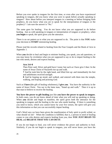Before you ever spoke in tongues for the first time, or even after you have experienced speaking in tongues, did you know what you were to speak before actually speaking in tongues? How about before you interpret tongues in a meeting or before bringing forth prophecy, do you know what you are to speak for the interpretation of tongues or the prophecy? I am sure the answer is "No."

The same goes for healing. You do not know what you are supposed to do before healing. Just as with speaking in tongues or interpretation of tongues or prophecy, when **you begin** to speak, the spirit gives you the utterance.

There is no set pattern as to what you are supposed to do. The point is that **YOU** make your decision to **START** ministering healing.

Please read the records related to healing from the Four Gospels and the Book of Acts in Appendix 1.

When **you** decide to heal and begin to minister healing, you speak, you ask questions, or you may know by revelation what you are supposed to say or do to impart healing to the one who needs, desires and expects healing.

# **Acts 3:6~8**

Then Peter said, Silver and gold have I none; but such as I have give I thee: In the name of Jesus Christ of Nazareth rise up and walk.

**7** And he took him by the right hand, and lifted *him* up: and immediately his feet and anklebones received strength.

**8** And he leaping up stood, and walked, and entered with them into the temple, walking, and leaping and praising God.

Such as **I have (**the gift of healing wholeness), **I give you**. You have the authority in the name of Jesus Christ. You say to the lame man, "Stand up and walk." Then it is up to that man to believe to receive the healing.

**You have the power to gift healing** just like **you have the power to speak in tongues**. In both cases, you do not know ahead of time what you will end up speaking or doing. When **you** decide and begin to manifest, the spirit gives both the utterance for the speaking in tongues and the healing to the one who needs healing. If there is something you need to know, which you cannot know by your five senses, the spirit will give you this information so that you can successfully impart healing.

God's Word says we have been given the manifestation of holy spirit to profit withal, so what should we do? When the condition is fulfilled, that is, a person in need of healing comes to you who desires and expects healing from you, then **YOU JUST BEGIN TO HEAL** and **BELIEVE THAT YOU CAN DO IT**.

If you do not begin to heal, you will never evidence the power and authority to heal. Similarly, if you do not begin to speak in tongues, you will never know you have the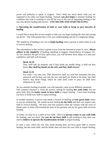power and authority to speak in tongues. Don't think too much about what you are supposed to do when you begin healing. Instead, **you just begin** to minister healing; be confident that God is working in you all the way to the end of imparting healing to the one who desires healing deliverance. **YOU DECIDE AND START HEALING!** 

# **5. Operating the manifestation of faith or your faith to bring to pass miracles of healing**

I would like to keep this section simple so that you can begin healing the sick and casting out devils. This information here is for your understanding and not to complicate things.

The simplicity of healing is for you to **begin healing** when a person in need comes to you to receive healing.

The information in this section is given to you from the theoretical point of view. **Please adhere to the simplicity** of healing, speaking in tongues, interpretation of tongues, etc. As you manifest the gift of holy spirit more, you will become more adept at it and your confidence and faith will increase.

# **Mark 16:18**

They shall take up serpents; and if they drink any deadly thing, it shall not hurt them; **they shall lay hands on the sick, and they shall recover**.

# **Mark 11:23**

For verily I say unto you, That whosoever shall say unto this mountain, Be thou removed, and be thou cast into the sea; and shall not doubt in his heart, but shall believe that those things which he saith shall come to pass; he shall have whatsoever he saith.

As you minister healing to people, you will naturally come across different situations. One common situation is when the person coming for healing **has some faith**, but not great faith, then the **healer needs to have faith** to impart healing. I have been teaching you how to build your faith to impart healing.

In another situation, a person who needs a miracle of healing and **has great faith** comes to you for ministering. He would receive healing **by his faith** and does not require your faith to receive healing. We have seen this situation when the woman with the issue of blood came to Jesus and touched the hem of his garment and by her great faith received healing.

At times, we may be at a point of low faith. Then if **a person comes to you with faith** for healing, and you know that **you do not have faith** to gift healing to him, then you need to **believe to operate the manifestation of faith** to impart healing.

In such a case, where the one who needs healing does not have great faith to receive healing, but has *some* faith, and the healer does not have his own faith to impart healing,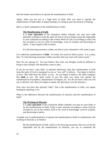then the healer must believe to operate the manifestation of faith.

Again, when you are not at a high level of faith, then you need to operate the manifestation of faith either to impart healing or to bring to pass the miracle of healing.

Here is a brief explanation of the manifestation of faith:

# **The Manifestation of Faith**

It is **your operation** of the God-given ability whereby you may have faith (absolute confidence from the spirit of God in you) to bring to pass the impossible at your command according to the written Word of God or according to what God has revealed to you by word of knowledge, word of wisdom and discerning of spirits. It also inspires faith in others.

It is the knowing awareness within you that at your command it will come to pass.

It is called the manifestation of **faith.** In Greek, the word for faith is *pistis*. It is a noun, thus "it is the knowing awareness within you that what you want will come to pass."

How do you operate it? You just believe that what you thought would be difficult to bring to pass initially will absolutely come to pass.

If you do not have "your faith" to minister effectively, then this manifestation of faith from the spirit of God is energized in you as "you will" to believe. You begin to believe to have "this faith from the spirit" in you. As you begin to believe, the spirit energizes this **faith** in you. The spirit works in you the same way when you operate the manifestations of prophecy, interpretation of tongues, etc. You do not know what you will say in advance, but when you began to speak, the spirit gives you the utterance.

Now once you have this spiritual "faith," that is the manifestation of faith, you impart healing by speaking it out.

What is the difference between the manifestation of miracles and the manifestation of faith?

# **The Working of Miracles**

It is **your operation** of the God-given ability whereby you may by your faith, or by the manifestation of faith, bring to pass miracles according to what God has revealed to you in the written word or by word of knowledge, word of wisdom, and discerning of spirits.

A simple way to understand how to operate the manifestation of faith in combination with working of miracles is as follows:

By the manifestation of faith- which is the knowing awareness that you can do the impossible and by the manifestation of miracles, you say or command the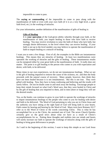impossible to come to pass.

The **saying or commanding** of the impossible to come to pass along with the manifestation of faith or even with your own faith (if it is at a very high level, a great faith level, etc.) is the working of miracles.

For your information, another definition of the manifestation of gifts of healing is:

# **Gifts of Healing**

It is **your operation** of the God-given ability whereby through your faith, or the manifestation of faith, you impart healing to those who have faith to receive healing. You may receive revelation to raise the faith of those who lack faith, but strongly desire deliverance, to the level where they can receive healing. If your faith is not up to the level needed, you may believe to operate the manifestation of faith to impart healing or a miracle of healing.

I want you to note a few things. First of all, the examples in the Bible are instantaneous healings. This means they are miracles of healing. At least two manifestations were operated: the working of miracles and the gifts of healing. These instantaneous results can be energized either by your great faith or the manifestation of faith. It really does not matter. The point is to gift healing to the person who comes to you with expectation and desire, with faith, to be delivered.

Many times in our own experiences, we do not see instantaneous healings. What we see is the gift of healing imparted to remove the cause of the sickness, etc. and then the body proceeds with the natural course of recovery. Many people, however, then think they have not been healed because it is not instantaneous. But this is not true. They were gifted with healing. Now they have to keep confessing and believing and the results will surely follow. Do not let doubt come in and steal away the healing. Encourage people to keep their minds focused on what God's Word says, that they were healed in Christ and by the gift of healing that you imparted to them, and in time (short or long) they will see the desired results.

You, as the healer, can continue to grow in your faith to operate the workings of miracles to impart instantaneous healings to the people who come to you for healing with desire and faith to be delivered. The Word of God pertaining to who you are in Christ Jesus and the authority you have sitting at the right hand of God will bring faith to your hearts. Faith comes by hearing and hearing by the Word of God. Many texts have Romans 10:17 refer us to the Word of Christ or the words concerning Christ. This is what he has accomplished for us as the Christ, the anointed one of God. The seven Church Epistles certainly give us the good news about what we have as a result of Christ's accomplishments for us. Putting these thoughts and realities into our minds and hearts will surely increase our faith to operate the workings of miracles along with the gifts of healing to bring great deliverance to people.

As I said in the beginning of this section, I want to keep this simple as our Lord Jesus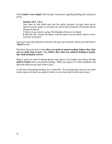Christ **made it very simple** when he gave instructions regarding healing and casting out devils.

# **Matthew 10:1, 7 & 8**

And when he had called unto *him* his twelve disciples, he gave them power *against* unclean spirits, to cast them out, and to heal all manner of sickness and all manner of disease.

**7** And as ye go, preach, saying, The kingdom of heaven is at hand.

**8** Heal the sick, cleanse the lepers, raise the dead, cast out devils: freely ye have received, freely give.

Jesus gave them the authority to heal the sick and cast out devils, and he just told them to "**Heal** the sick."

Therefore, the point here is that **when you speak to impart healing, believe that what you say shall come to pass**. Also, **believe that when you minister healing to people, they shall absolutely recover**.

When a person in need of healing desires and expects to be healed, just believe that **he shall be healed** when you minister healing. When you speak, do it with confidence and faith that what you say shall come to pass.

At the time of imparting healing, say it with faith. Do not doubt that what you say shall come to pass, but when you speak it, believe in your heart that it shall come to pass.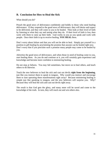# **B. Conclusion for How to Heal the Sick**

What should you do?

Preach the good news of deliverance confidently and boldly to those who need healing deliverance. If they respond to the good news of deliverance, they will desire and expect to be delivered, and they will come to you to be healed. Then look at their level of faith by listening to what they say and seeing what they do. If their level of faith is low, then work with them to raise up their faith. God works in you as you speak and work with people. Once their faith is up to receive healing, **YOU HEAL** them.

Don't worry about failure and that you will not be able to heal. Simply put yourself in a position to gift healing by proclaiming the promise that anyone can be healed right now. Don't worry that if you proclaim such a promise many people may come to be healed by you.

Advertise the good news of deliverance, and when those in need of healing come to you, start healing them. As you do and continue at it, you will certainly gain experience and knowledge and become more confident in ministering healing.

Do not stop at failures. You may fail sometimes, but move on to heal others, and teach others to do likewise.

Teach the new believers to heal the sick and cast out devils **right from the beginning,** just like you instruct them to speak in tongues. Why would you instruct and encourage them to start operating these manifestations right away? Because ministering healing is simple just like speaking in tongues, and the new believers will surprise you. Why? Because they will heal the sick and cast out devils right away.

The result is that God gets the glory, and many more will be saved and come to the knowledge of the truth. In turn, they will reach out and win others also.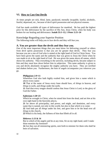# **VI. How to Cast Out Devils**

At times people are sick, blind, lame, paralyzed, mentally incapable, lustful, alcoholic, fearful, depressed, etc., because of devil spirit possession and not physical reasons.

God has made available all types of deliverance for mankind. He has paid the highest price for this deliverance by the sacrifice of His Son, Jesus Christ, when his body was broken for our healing and deliverance. **Isaiah 53:1~12; 1 Peter 2:21~24**

# Knowledge Regarding your Superior Position

The following truths will help you to face devils and they will fear you.

# **A. You are greater than the devils and they fear you.**

One of the most important things that you must know for delivering yourself or others from devil spirits possession is that you are far greater than devils. They fear you because you are a son of God who is seated at the right hand of God in Christ Jesus. You have been given the name and the authority that was given to Jesus the Christ when he was made to sit at the right hand of God. He was given the name above all names, which shows his authority. Thus everything in the universe, including devils, became subject to him and they must bow down before him in subjection. This same authority is given to you and devils absolutely recognize the mighty authority you have. They are terrified and shaken before you. Furthermore, the host of angels accompanies you wherever you go.

# **Philippians 2:9~11**

Wherefore God also hath highly exalted him, and given him a name which is above every name:

**10** That at the name of Jesus every knee should bow, of *things* in heaven, and *things* in earth, and *things* under the earth;

**11** And *that* every tongue should confess that Jesus Christ *is* Lord, to the glory of God the Father.

#### **Ephesians 1:20~23**

Which he wrought in Christ, when he raised him from the dead, and set *him* at his own right hand in the heavenly *places*,

**21** far above all principality, and power, and might, and dominion, and every name that is named, not only in this world, but also in that which is to come:

**22** And hath put all *things* under his feet, and gave him *to be* the head over all *things* to the church,

**23** Which is his body, the fullness of him that filleth all in all.

# **Hebrews 1:13 & 14**

But to which of the angels said he at any time, Sit on my right hand, until I make thine enemies thy footstool?

**14** Are they not all ministering spirits, sent forth to minister for them who shall be heirs of salvation.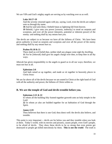We are VIPs and God's mighty angels are serving us by watching over us as well.

# **Luke 10:17~19**

And the seventy returned again with joy, saying, Lord, even the devils are subject unto us through thy name.

**18** And he said unto them, I beheld Satan as lightning fall from heaven.

**19** Behold, I give unto you power [*exousia*, authority] to tread on serpents and scorpions, and over all the power [*dunamis*, potential or inherent power] of the enemy: and nothing shall by any means hurt you.

The devils are subject to us because we have all the fullness of Christ. We have been given authority to tread on serpents and scorpions and over all the power of the enemy and nothing shall by any means hurt us.

# **Psalms 91:10 & 11**

There shall no evil befall thee, neither shall any plague come nigh thy dwelling. **11** For he [Jehovah] shall give his angels charge over thee, to keep thee in all thy ways.

Jehovah has given responsibility to the angels to guard us in all our ways; therefore, we must not fear at all.

# **Ephesians 2:6**

And hath raised *us* up together, and made *us* sit together in heavenly *places* in Christ Jesus:

We are far above all of the devils because we are seated in Christ at the right hand of God with all the authority and power, the fullness of Christ within us.

# **B. We are the temple of God and devils tremble before you.**

# **Ephesians 2:21 & 22**

In whom all the building fitly framed together groweth unto an holy temple in the Lord:

**22** In whom ye also are builded together for an habitation of God through the Spirit.

# **James 2:19**

Thou believest that there is one God; thou doest well: the devils also believe, and tremble.

This point is very important -- devils are far below you and they tremble when you look at them. Today's world, with its movies and pictures, causes people, even God's people, to be afraid of devils. They show these devils to be so strong that even priests get destroyed or people get killed mercilessly by them. **This is not the truth!** The truth is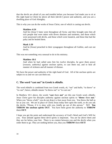that the devils are afraid of you and tremble before you because God made you to sit at His right hand in Christ far above all their [devils'] power and authority, and you are a dwelling place of God Almighty.

This is why you can do the works of Jesus Christ, one of which is casting out devils.

# **Matthew 4:24**

And his [Jesus'] fame went throughout all Syria: and they brought unto him all sick people that were taken with divers diseases and torments, and those which were possessed with devils, and those which were lunatick, and those that had the palsy and he healed them.

# **Mark 1:39**

And he [Jesus] preached in their synagogues throughout all Galilee, and cast out devils.

This was not something very unusual to do in his ministry.

# **Matthew 10:1**

And when he had called unto *him* his twelve disciples, he gave them power [*exousia*, authority] against unclean spirits, to cast them out, and to heal all manner of sickness and all manner of disease.

We have the power and authority of the right hand of God. All of the unclean spirits are subject to us and we can cast them out.

# **C. The word "cast out" in Greek is** *ekballo.*

The word *ekballo* is combined from two Greek words, *ek*, "out" and *ballo*, "to throw" or "to cast"; hence, ekballo means "to throw out" or "to cast out."

In Matthew 10:1 above, the words "**cast** them **out**" are this one Greek word, *ekballo*. Jesus Christ gave his disciples authority against unclean spirits to "**throw** them **out.**" When you "throw a ball," you do not drop it a foot away from you. You throw the ball as far as you can. We are in place of Christ Jesus today here upon the earth, so do you ask the devils, "Please, if it is okay with you, kindly go out of this person." NO! **You THROW the unclean spirits OUT**. You have been given the authority to **THROW** them **OUT**.

I hope you get the point and understand the accuracy of God's Word and God's Will for you. Your attitude against these devil spirits is important. You are far above them and they are far below your feet. There is no contest between you and the devils when you order them to go. They are nothing before you, thus you **THROW** them **OUT!**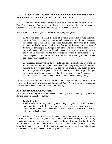# **VII. A Study of the Records from The Four Gospels and The Book of Acts Related to Devil Spirits and Casting Out Devils**

I will take you to all of the records related to devil spirits and casting out devils from the Four Gospels and the Book of Acts so that you may know what keys are involved, in what instances you cast out devils and how you are to throw them out.

As we study these records you will notice the following categories:

1. As in the case of healing the sick, after hearing the Word of God regarding healing deliverance, those who needed deliverance from devil spirit possession responded with desire and expectation for deliverance. They went to the healer and got the devils cast out. All of the five points discussed in *Principles of Healing the Sick* (pages 15-30) apply here also. The person who is possessed, or his family, needs to believe for the deliverance. The person ministering needs to believe in his authority over the devil spirit(s) and order the devil spirit(s) to go out of the person. Both parties, that is, those who desire healing and the one who casts out devil(s) must believe.

2. The second case is where a devil spirit(s) in a person disturbs you by crying out, shouting or speaking things that prevent you from doing what you wish to do in a meeting or in your daily routine. In this type of situation, you order the devil spirit(s) to get out of that person. When the devil spirit(s) disturbs you, then you do not need the affected person or his family to believe for him. You cast out the spirit(s) and then teach the delivered person how to keep the devil(s) away.

For this study, I will tell you which of the above two categories applies to each record of deliverance from the Four Gospels and the Book of Acts. Where these categories are not indicated in the record, I will not mention the category.

# **A. Study from the Four Gospels**

Let us begin studying each record related to devil spirits and devil spirit possession starting from the Gospel of Matthew.

# **1. Matthew 4:24**

And his fame went throughout all Syria: and they brought unto him all sick people that were taken with divers diseases and torments, and those which were possessed with devils, and those which were lunatick, and those that had the palsy; and he healed them.

This is category 1. Those who needed deliverance, including those who were possessed with devils, after hearing the good news of deliverance, were **brought** unto Jesus by parents and families or others who responded to the good news. The family and/or friends had a desire and expectation that their loved one would be healed, so they **brought** the person to Jesus. In this record we see that the healer, Jesus, believed and exercised the God-given power and authority and healed them.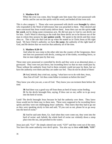# **2. Matthew 8:16**

When the even was come, they brought unto him many that were possessed with devils: and he cast out the spirits with *his* word, and healed all that were sick.

This is also category 1. Those who were possessed with devils were **brought** by others who responded to the Word of deliverance that was preached to them. They desired and were convinced that Jesus would surely deliver them. Jesus then cast out the spirits **with his word,** not by doing some extraneous acts. He did not pray to God to cast devils out for him. God's Word is showing us the truth that these devils are to be thrown out of the man in whom they possess by **our spoken words**. We speak to the devils and they must obey us. This is the rule that God set up when He seated us in Christ Jesus at His right hand. We have Christ's authority; we have **his name**, the authority of the right hand of God, and He desires that we exercise that authority all of the time.

# **3. Matthew 8:28~34**

And when he was come to the other side into the country of the Gergesenes, there met him two possessed with devils, coming out of the tombs, exceeding fierce, so that no man might pass by that way.

These men were possessed or controlled by devils and they were at an abnormal place, a graveyard. They were not just fierce, but exceeding fierce so that no man could pass by. Those without the authority from God in them certainly could not pass by them, but we have the authority over them and they are under our feet. Thus do not be afraid of them!

**29** And, behold, they cried out, saying, "what have we to do with thee, Jesus, thou Son of God? Art thou come hither to torment us before the time?"

They know you who you are, a son of God. They know you can torment them before the time.

**30** And there was a good way off from them an herd of many swine feeding. **31** So the devils besought him, saying, If thou cast us out, suffer us to go away into the herd of swine.

Look! The devils besought Jesus because he had the authority over them. They knew Jesus would not let them stay in these men. These were supposed to be exceeding fierce spirits and they were not challenging Jesus' authority. They knew that they had to go out so they were speaking nicely to him and said, "If you cast us out, please let us go away into the herd of swine."

**32** And he said unto them, Go. And when they were come out, they went into the herd of swine: and, behold, the whole herd of swine ran violently down a steep place into the sea, and perished in the waters.

Jesus just said, "Go!" He simply uttered one word, "GO!" and they went out of the men. You have this same authority over devil spirits. You also say to them **with faith**, "**GO!**"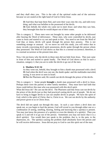and they shall obey you. This is the rule of the spiritual realm and of the universe because we are seated at the right hand of God in Christ Jesus.

**33** And they that kept them fled, and went their ways into the city, and told every thing, and what was befallen to the possessed of the devils.

**34** And, behold, the whole city came out to meet Jesus: and when they saw him, they besought him that he would depart out of their coasts.

This is category 2. These men were not brought by some other people to be delivered after hearing the Word of deliverance. These men, who were controlled by devils, just came to Jesus and started to cry out and speak to him. You need to see from the Word of God that, at times, devils will speak through the person they possess. This is not something strange or unusual. As we move on with this study, you will notice that in many records concerning devil spirit possession, devils spoke through the person whom they possessed. The Word of God shows us that this is a normal occurrence; therefore, it is a normal occurrence at the present time also.

Now, I do not know why the devils in these men did not hide from Jesus. They just came in front of him and started to speak loudly. The Word of God shows us that in such a situation, category 2, that you are to order the devils to go out of the men.

## **4. Matthew 9:32~34**

As they went out, behold, they brought to him a dumb man possessed with a devil. **33** And when the devil was cast out, the dumb spake: and the multitudes marveled, saying, It was never so seen in Israel.

**34** But the Pharisees said, He casteth out devils through the prince of the devils.

This is category 1. Some people **brought** a dumb man possessed with a devil to Jesus. Perhaps these were the parents or other family members. They must have had faith that Jesus could deliver this man who was possessed with this devil spirit.

What did Jesus do? He cast out the devil. The Pharisees said that Jesus cast out devils by the prince of the devils just as they had practiced casting devils out of people. We do not have to bring in bigger devils to cast out smaller devils in people. We have the spirit of God, which is the spirit of Christ, that is, Christ in us. We cast out devils by the authority and power given to us in Christ Jesus.

The devil did not speak out through this man. In such a case where a devil does not speak out, as you begin to heal the person, God will reveal to you through either one or a combination of seeing, smelling, hearing, feeling and knowing that a spirit(s) is present. You may just know the presence of a spirit(s) or even the identity of a spirit(s). Then you speak to it and tell it to go out of the person. Sometimes you may not know that it is a devil spirit(s). You would then just speak to the problem, that is, to the pain, to the depression, etc. The spirit(s) causing the problem shall absolutely leave the person and he will receive deliverance. Jesus did not pray to God to cast this spirit out of the man.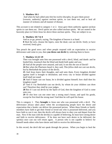### **5. Matthew 10:1**

 And when he had called unto *him* his twelve disciples, he gave them power [*exousia*, authority] *against* unclean spirits, to cast them out, and to heal all manner of sickness and all manner of disease.

This account is not related to category 1 or 2. Jesus gave them authority against unclean spirits to cast them out. Devil spirits are also called unclean spirits. We are seated in the heavenly place in Christ Jesus far above these unclean spirits. They are subject to us.

#### **6. Matthew 10:7 & 8**

And as ye go, preach, saying, The kingdom of heaven is at hand.

**8** Heal the sick, cleanse the lepers, raise the dead, cast out devils: freely ye have received, freely give.

You preach the good news and when people respond with an expectation to receive deliverance and come to you, then **you throw out devils** by ordering them to leave.

#### **7. Matthew 12:22~29**

Then was brought unto him one possessed with a devil, blind, and dumb: and he healed him, insomuch that the blind and dumb both spake and saw.

**23** And all the people were amazed, and said, Is not this the son of David?

**24** But when the Pharisees heard *it*, they said, This *fellow* doth not cast out devils, but by Beelzebub the prince of the devils.

**25** And Jesus knew their thoughts, and said unto them, Every kingdom divided against itself is brought to desolation; and every city or house divided against itself shall not stand:

**26** And if Satan cast out Satan, he is divided against himself; how shall then his kingdom stand?

**27** And if I by Beelzebub cast out devils, by whom do your children cast *them* out? Therefore they shall be your judges.

**28** But if I cast out devils by the Spirit of God, then the kingdom of God is come unto you.

**29** Or else how can one enter into a strong man's house, and spoil his goods, except he first bind the strong man? And then he will spoil his house.

This is category 1. They **brought** to Jesus one who was possessed with a devil. The deliverance always takes place when the accompanying people have the desire and expectation that a healer can deliver the possessed person. When these friends or family members have faith to get their friend or loved one who is possessed delivered, and you have faith to cast it out, then the devils will always have to obey you and depart from the man. Now if the man with the devil(s) is capable of believing, he must have strong desire and faith to receive deliverance. If he does not have such desire to be delivered, the spirit(s) once cast out will return again. A person who is not capable to believe for himself needs others who have desire and faith to receive his deliverance.

In this record, the devil did not speak through the person. When you begin to heal the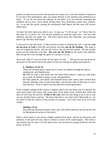person, at times you may know the presence of a spirit (s) or even the identity of spirit (s). If you have this information, then you speak directly to the spirit(s) and command it to leave. If you do not know the identity of the spirit, you can directly command the problem, such as fear, worry, doubt, broken heart, lust, alcoholism, pride, envy, arthritis, etc., to go and the spirits causing the problem(s) shall depart and the man will receive deliverance.

At times the devil spirit may talk to you. It may say, "I will not go," or "I have been in this man for 12 years," etc. Do not pay attention to what the spirit says. You have the authority and they are under you. The devil spirits know this; therefore, you command them to go and they shall depart.

I want you to note this point. In the previous section on healing the sick, I said that **you do not pray to God** to heal the sick person, but that **you do the healing**. The same is true for casting our devils. Do not ask God to cast out the devil spirits. He has already given you the authority to do this. **You cast out the devils** by the power and authority that was given to you through the spirit of God that is in you.

Jesus said, "But if I cast out devils by the Spirit of God.…" We do not cast out devils by the prince of the devils, but by the spirit of God, the God-given ability and authority.

## **8. Matthew 12:43~45**

When the unclean spirit is gone out of a man, he walketh through dry places, seeking rest, and findeth none.

**44** Then he saith, I will return into my house from whence I came out; and when he is come, he findeth *it* empty, swept, and garnished.

**45** Then goeth he, and taketh with himself seven other spirits more wicked than himself, and they enter in and dwell there: and the last *state* of that man is worse than the first. Even so shall it be also unto this wicked generation.

From a simple reading of this section, it appears that if you cast devils out of a person, the same devil spirit will return with seven more devil spirits more wicked than itself and they all will enter the person. **If this is the case**, then the best thing to do is not to cast out any devil(s) from a person. We know that this is not what God's Word tells us. So we need to read the context of this section of scripture. Let's start with verse 24 of this chapter.

### **Matthew 12:24**

But when the Pharisees heard *it*, they said, This *fellow* doth not cast out devils, but by Beelzebub the prince of the devils.

When a devil spirit is cast out by a higher-ranking devil spirit, and not by the power and authority of the spirit of God, what is written in verses 43-45 could happen. This truth is also clearly seen in Luke 11:14-26 where Jesus was accused of casting out devils with the prince of devils.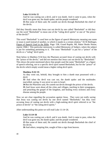#### **Luke 11:14 & 15**

And he was casting out a devil, and it was dumb. And it came to pass, when the devil was gone out, the dumb spake; and the people wondered.

**15** But some of them said, He casteth out devils through Beelzebub the chief of the devils.

Did they literally mean that Jesus cast out devils by one called "Beelzebub" or did they use the word "Beelzebub" to mean one of the "ruling devil spirits" or one of "the prince of the devils?"

This word "Beelzebub" is used here as the figure of speech Metonymy meaning one name or noun is used instead of another, to which it stands in a certain relation." [E.W.Bullinger, Figure of Speech Used in the Bible, Page: 538, Grand Rapids, MI, Baker Books House, reprint 1968.] This particular metonymy is called Metonymy of Subject, where the subject is put for something pertaining to it. The noun "Beelzebub" is put for a "prince" of the devils or a "ruling" devil spirit.

Note below in Matthew 9:34 how the Pharisees accused Jesus of casting out devils with the "prince of the devils," and did not mention that Jesus cast out devils by "Beelzebub." This shows the point mentioned above that people used the name "Beelzebub" as a figure of speech referring, not to a specific devil spirit named Beelzebub, but for the "prince" of the devils which simply would mean a higher ruling devil spirit.

#### **Matthew 9:32~35**

As they went out, behold, they brought to him a dumb man possessed with a devil.

**33** And when the devil was cast out, the dumb spake: and the multitudes marvelled, saying, It was never so seen in Israel.

**34** But the Pharisees said, He casteth out devils through the prince of the devils.

**35** And Jesus went about all the cities and villages, teaching in their synagogues, and preaching the gospel of the kingdom, and healing every sickness and every disease among the people.

Now we are clear regarding the accusation against Jesus. They were not really saying that Jesus was casting out devils by one devil named "Beelzebub," but they were accusing Jesus of casting out devils with a high-ranking devil spirit referred to as "the prince of devils" or "the ruling devil spirits."

After understanding this point we will read Luke 11:14~26.

#### **Luke 11:14~26**

And he was casting out a devil, and it was dumb. And it came to pass, when the devil was gone out, the dumb spake; and the people wondered.

**15** But some of them said, He casteth out devils through Beelzebub the chief of the devils.

**16** And others, tempting *him*, sought of him a sign from heaven.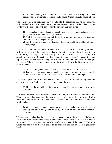**17** But he, knowing their thoughts, said unto them, Every kingdom divided against itself is brought to desolation; and a house *divided* against a house falleth.

The context shows us that Jesus was responding to the accusation that he cast out devils with the chief or prince of devils. Jesus continues his response of how he did not cast out devils with the prince of devils but of how he actually casts out devils.

**18** If Satan also be divided against himself, how shall his kingdom stand? because ye say that I cast out devils through Beelzebub.

**19** And if I by Beelzebub cast out devils, by whom do your sons cast *them* out? therefore shall they be your judges.

**20** But if I with the finger of God cast out devils, no doubt the kingdom of God is come upon you.

The context continues and Jesus responds to their accusation of his casting out devils with the prince of devils. Jesus states that he did not cast out devils with the prince of devils but by the "finger" of God. The phrase, "finger of God" is also the figure of speech Metonymy of Subject. In this phrase, the noun "finger" replaces the noun "spirit." We see the same truth taught in Matthew 12:28 but without the use of the figure of speech: "But if I cast out devils by the Spirit of God, then the kingdom of God is come unto you."

**21** When a strong man armed keepeth his palace, his goods are in peace:

**22** But when a stronger than he shall come upon him, and overcome him, he taketh from him all his armour wherein he trusted, and divideth his spoils.

This truth applies both to the one who casts out devils with a higher-ranking devil and also by the spirit of God; the stronger one overcomes the weaker one.

**23** He that is not with me is against me: and he that gathereth not with me scattereth.

Did Jesus' response to the accusation finish here? No, it still continues and now God's Word shows us what happens to the man who gets devils cast out by a ruling devil spirit. Jesus, knowing the nature of the devils shows what the devil, cast out by the ruling devil, would do later.

**24** When the unclean spirit is gone out of a man, he walketh through dry places, seeking rest; and finding none, he saith, I will return unto my house whence I came out.

We need to remember that the context or the subject matter of discussion here is "casting" out a devil from a man by the prince of the devils." Jesus shows them what that unclean spirit would do once it was cast out of a man by "the prince of the devils." This spirit would not find rest so it would desire to go back into the man in whom it previously lived.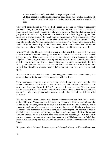**25** And when he cometh, he findeth *it* swept and garnished.

**26** Then goeth he, and taketh *to him* seven other spirits more wicked than himself; and they enter in, and dwell there: and the last *state* of that man is worse than the first.

This devil spirit desired to rest, or dwell, again in the man in whom it previously possessed. Why did Jesus say that this spirit would take with him "seven other spirits more wicked than himself" to enter in and dwell in the man? Couldn't that unclean spirit just go back into the man by itself since it dwelled there before? Apparently, the devil spirit was fine being alone in the man before he was cast out by "the ruling spirit." What was the use of taking with him "seven other spirits more wicked than himself?" Why didn't he simply take "seven other spirits of the same rank" or "seven other spirits of less rank?" Why did the devil spirit take "seven other spirits more wicked than himself; and they enter in, and dwell there"? There must have been a need for the spirit to do this.

In verse 17 of Luke 11, Jesus states that every kingdom divided against itself is brought to desolation and a house divided against itself falls. Verse 18 states that Satan is divided against himself. This reference gives us insight into what really happens in Satan's kingdom. There are greater devils casting out less powerful ones. There is antagonism and division between the devils. Satan's kingdom is divided against itself. For this reason, a less powerful devil that was cast out would take with him 7 more spirits more wicked than himself for protection against being cast out again by a higher ruling devil spirit.

In verse 26 Jesus describes this latter state of being possessed with now eight devil spirits as worse than the initial state of being possessed with one devil.

These sections of scripture show us the nature of devil spirits and what they do. The people who cast out devils with a "prince of the devils," and not by the correct means of casting out devils by "the spirit of God," leave people in a worse state. This is not what we do as sons of God. We use the authority we have in Christ to heal the sick and cast out devils. We bring genuine deliverance to people who have faith and desire to be delivered.

You cast out devils from a person who **desires deliverance** and **has faith** that he can be delivered by you. You do not cast devils out of a person who does not have faith or who enjoys being possessed, fulfilling his own lust. Casting out devils is not for fun. When you cast a devil out of a person, you must instruct him and teach him how to keep these devils out. The instruction is relative to the type of unclean spirit. For instance, if he is an alcoholic, then teach him accordingly so that he will no longer drink or be around drinking friends. If he is a lustful man, then teach him accordingly. If a devil spirit possessed a person because of his worship of a certain idol (this is common in India) then instruct him to worship the true God and to remove all of the idolatrous items from his house.

If a person who is delivered does not repent and change his heart, or if he decides to fear,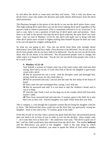he will allow the devils to come back and they will return. This is why you throw out devils from a man who makes the decision and really desires deliverance from the devil spirit possession.

The Pharisees brought in the prince of the devils to cast out the devil spirits from a man. This high-ranking devil spirit then cast out the lower-ranking devil spirit regardless of the person's faith in whom it possessed. (This is sometimes referred to as an "exorcism.") In such a case, there is not a question of faith but of devil spirit rank and position. Since there is no faith in the person who had the devil spirit removed, the same devil can come back. Like we read in Matthew 12:43~45, this devil will make sure to bring with him other devil spirits more wicked or higher-ranking than himself because he does not want to be cast out again by a higher ranking devil.

So what are you going to do? You cast out devils from those who strongly desire deliverance, have faith and have made a firm decision to be delivered. You do not cast out devils from people who do not have faith to be delivered. You do not cast out devils from those who do not desire to be delivered. Not all possessed people want to change, but rather enjoy it or long for that state. You do not cast out devils from people who wish to be in such a state.

## **9. Matthew 15:22~28**

And, behold, a woman of Canaan came out of the same coasts, and cried unto him, saying, Have mercy on me, O Lord, *thou* Son of David; my daughter is grievously vexed with a devil.

**23** But he answered her not a word. And his disciples came and besought him, saying, Send her away; for she crieth after us.

**24** But he answered and said, I am not sent but unto the lost sheep of the house of Israel.

**25** Then came she and worshipped him, saying, Lord, help me.

**26** But he answered and said, It is not meet to take the children's bread, and to cast *it* to dogs.

**27** And she said, Truth, Lord: yet the dogs eat of the crumbs which fall from their master's table.

**28** Then Jesus answered and said unto her, O woman, great *is* thy faith: be it unto thee even as thou wilt. And her daughter was made whole from that very hour.

This is category 1, even though the Canaanite woman did not bring her daughter with her to Jesus. She believed that Jesus could cast out the devil that was grievously vexing her daughter. Jesus in fact said to her, "O woman, great is thy faith."

From this record we see that when a person has great faith like hers, the possessed person does not need to be in front of you in order to cast out the devil(s). Jesus simply said, "…be it unto thee even as thou wilt." He could have even said, "The devil is gone out of her," and the child would have been delivered from the devil also. The mother **believed** and the deliverance was given to her daughter. Faith is the only thing by which deliverance is received; therefore, you need to speak the Word of God which enables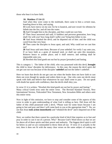those who hear it to have faith.

## **10. Matthew 17:14~21**

And when they were come to the multitude, there came to him a *certain* man, kneeling down to him, and saying,

**15** Lord, have mercy on my son: for he is lunatick, and sore vexed: for ofttimes he falleth into the fire, and oft into the water.

**16** And I brought him to thy disciples, and they could not cure him.

 **17** Then Jesus answered and said, O faithless and perverse generation, how long shall I be with you? how long shall I suffer you? bring him hither to me.

**18** And Jesus rebuked the devil; and he departed out of him: and the child was cured from that very hour.

**19** Then came the disciples to Jesus apart, and said, Why could not we cast him out?

**20** And Jesus said unto them, Because of your unbelief: for verily I say unto you, If ye have faith as a grain of mustard seed, ye shall say unto this mountain, Remove hence to yonder place; and it shall remove; and nothing shall be impossible unto you.

**21** Howbeit this kind goeth not out but by prayer [*prosukee*] and fasting.

This is category 1. The father of the child, who was possessed with this devil, **brought** the child to Jesus' disciples for deliverance. In this case, the reason the devil spirit did not get cast out was because of the disciples' **unbelief** and not the father's unbelief.

Here we learn that devils do not get cast out when the healer does not have faith to cast them out even though he speaks and orders them to go. One who casts out devils must speak with faith and believe that whatsoever he says shall come to pass. Do not speak with doubt but speak with confidence, then the devils shall obey you.

In verse 21 it is written, "Howbeit this kind goeth not out but by prayer and fasting." Many critical Greek texts omit the entire verse. The Revised Standard Version, New International Version, Tishcendorf New Testament, New Jerusalem Bible and others omit this entire verse.

Now in light of this omission, we have to stop and consider some of the aspects of this verse in order to gain understanding of what God is telling us here. Did Jesus tell the father of this child possessed with a devil, "Please wait for some hours because I am going to fast and pray and then I will come back to you at the appropriate time"? No, we see that Jesus **took action immediately** and "rebuked the devil" and it departed out of the child.

Next, we realize that there cannot be a particular kind of devil that requires us to fast and pray in order to cast it out of a person. Why? Because God's Word shows us that we are far above all of these spirits and their power and authority. The biggest devil spirit is still far below us and we are commanded to throw them all out. If verse 21 is actually in the text, then it does not fit with the many clear verses on the same subject of casting out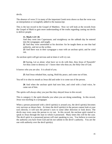devils.

The absence of verse 21 in many of the important Greek texts shows us that the verse was an interpolation or wrongfully added to the manuscript.

This is the last record in the Gospel of Matthew. Now we will look at the records from the Gospel of Mark to gain more understanding of the truths regarding casting out devils to deliver people.

## **11. Mark 1:21~26**

And they went into Capernaum; and straightway on the sabbath day he entered into the synagogue, and taught.

**22** And they were astonished at his doctrine: for he taught them as one that had authority, and not as the scribes.

**23** And there was in their synagogue a man with an unclean spirit; and he cried out,

An unclean spirit will get nervous and at times it will cry out.

**24** Saying, Let *us* alone; what have we to do with thee, thou Jesus of Nazareth? Art thou come to destroy us? I know thee who thou art, the Holy One of God.

It knows who you are also. It is afraid of you.

**25** And Jesus rebuked him, saying, Hold thy peace, and come out of him.

You tell it to shut its mouth as Jesus did and order it to come out of the person.

**26** And when the unclean spirit had torn him, and cried with a loud voice, he came out of him.

The spirits will always obey you just like they obeyed Jesus in this record.

This is category 2; the spirit disturbs you when you are doing something. In this record, Jesus was teaching in a synagogue.

When a person possessed with a devil spirit(s) is around you, the devil spirit(s) becomes very nervous as shown here. At times the devil spirit(s) in the person cannot look at your eyes directly; it will turn the person's eyes to some other direction or look down. The devils may even cause the person to cry out. In this record, the unclean spirit started to speak to Jesus through the man in whom it possessed. Many times this will be the case. The devil spirit in a possessed person will start speaking to you. You believe to exercise the authority you have from God and do not submit to the devil's authority. You are the one with authority over the devil spirit(s).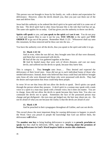This person was not brought to Jesus by his family, etc. with a desire and expectation for deliverance. However, when the devils disturb you, then you just cast them out of the man and deliver him.

Jesus had this authority so he ordered the devil spirit to be quiet and told it to come out of the man. The devil spirit had to obey Jesus because this is the rule that God has set up. The same rule applies for us today. God has given you the authority to throw out devils.

**Spirits will speak** to you, and **you speak to the spirit** and **cast it out**. You do not pray to God and request Him to cast it out for you. **YOU SPEAK** to the spirit and **YOU ORDER IT** to go out of the person. Remember Mark 11:23: "Whosoever shall say unto this mountain, be thou removed and be thou cast into the sea…."

You have the authority over all the devils, thus you speak to the spirit and order it to go.

## **12. Mark 1:32~34**

And at even, when the sun did set, they brought unto him all that were diseased, and them that were possessed with devils.

**33** And all the city was gathered together at the door.

**34** And he healed many that were sick of divers diseases, and cast out many devils; and suffered not the devils to speak, because they knew him.

This is category 1. They **brought** unto Jesus…. They desired and expected the deliverance of their loved ones. Jesus did not go to each individual home of those who needed deliverance. Instead, those who believed that Jesus could heal and deliver brought unto Jesus all who were diseased and those who were possessed with devils. They had the desire and expectation that Jesus could help these people.

In verse 34 we see that Jesus did not allow the devils to speak. Devil spirits can speak through the person whom they possess. A devil spirit in a woman may speak with a male voice or a spirit in a man may speak with a female voice, but it does not matter. You are in charge. Jesus did not allow the devils to speak because they knew him. You also can command the devils not to speak. Sometimes the face of the possessed person may change and get disfigured-- the eyes may get bulged out, the hair may shoot out, etc. Do not be afraid of what you see because the reality is that the devils are afraid of you!

### **13. Mark 1:39**

And he preached in their synagogues throughout all Galilee, and cast out devils.

This record shows the most important thing for causing deliverance to happen: to preach the Word. Once you preach to people the knowledge that God can deliver them, the deliverance **will** follow.

The **number one key** to bring healing deliverance to people is to **preach, proclaim or speak** that they shall be delivered, 100%, right now. **Hearing about the promises of healing deliverance in God's Word inspires faith to receive this wholeness**.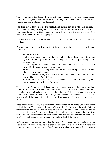The **second key** is that those who need deliverance **come to you.** They must respond with faith to the preaching of deliverance. Then they will come to you because they have a desire and an expectation to be delivered.

The **third key** is for **you to do the healing and casting out of devils.** Do not pray to God to deliver them, instead **you** heal or cast out devils. You minister with faith, and as you begin to minister, God's spirit in you will give you the necessary things to accomplish the task of delivering people.

The **fourth key** is for **you to believe** that you can cast out devils so that you throw the devils out.

When people are delivered from devil spirits, you instruct them so that they will remain delivered.

## **14. Mark 3:8~12**

And from Jerusalem, and from Idumaea, and from beyond Jordan; and they about Tyre and Sidon, a great multitude, when they had heard what great things he did, came unto him.

**9** And he spake to his disciples that a small ship should wait on him because of the multitude, lest they should throng him.

**10** For he had healed many; insomuch that they pressed upon him for to touch him, as many as had plagues.

**11** And unclean spirits, when they saw him fell down before him, and cried, saying, Thou art the Son of God.

**12** And he straitly charged them that they should not make him known. [Devils know you and they will fall before you.]

This is category 1. When people heard about the great things Jesus did, a great multitude **came** to him. How did so many people hear about what Jesus was doing? Many must have given testimonies about how Jesus delivered them. Perhaps some people just heard about the great works Jesus did and in turn, told others about it. Whatever the case, these words inspired thousands of people to come, from near and far, to receive deliverance from Jesus.

Jesus healed many people. We never read a record where he prayed to God to heal them; he healed them. Today, you are in place of Christ. It is Christ in you, the spirit of God of this administration, so you also do not pray to God to do the healing and the casting out of devils. Like Jesus Christ, you minister to the people who come to get deliverance from you. They will never come to get deliverance from you if you do not first tell them, with confidence and boldness, that they can absolutely be healed right now.

Make up your mind that you are what the Word of God says you are. Walk with your God-given authority. If you do this, then the unclean spirits will fall down before you. Devils will say that you are a son of God. You **throw them out.** You tell it, "Go out of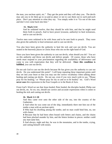the man, you unclean spirit, etc." They get the point and they will obey you. The devils may ask you to let them go to so-and-so place or not to cast them out to such-and-such place. Don't pay attention to what they say. You simply order it to "Go out of the man and don't ever come back into him."

## **15. Mark 3:14**

And he ordained twelve, that they should be with him, and that he might send them forth to preach, And to have power [*exousia*, authority] to heal sicknesses, and to cast out devils:

Twelve men were ordained to be with Jesus and to be sent forth to preach. They were also given the authority to heal sicknesses and to cast out devils.

You also have been given the authority to heal the sick and cast out devils. You are seated in the heavenly places in Christ Jesus who sits on the right hand of God.

Since you have been given the authority to cast out devils, what should you do? You act on this authority and throw out devils and deliver people. Of course, those who have needs must respond to your proclamation regarding the availability of deliverance and come to you with expectation that they will be delivered. **Once this condition is fulfilled**, you cast out devils.

Do not ask God to cast out the devils because He has given you the authority to cast out devils. Do you understand this point? I will keep repeating these important points until they set into your heart so that you may use the correct vocabulary when talking about healing and casting out devils. Do not say, even if you very much wish to say, "Please pray for his healing," or "Please pray for my so and so to be healed," etc. God's Word **never uses** this expression in the Four Gospels or in the Book of Acts.

From God's Word we see that Jesus healed, Peter healed, the disciples healed, Philip cast out devils, etc. So we, too, should use correct and accurate expressions when it comes to healing the sick and casting out devils.

### **16. Mark 5:1~20**

And they came over unto the other side of the sea, into the country of the Gadarenes.

**2** And when he was come out of the ship, immediately there met him out of the tombs a man with an unclean spirit,

**3** Who had *his* dwelling among the tombs; and no man could bind him, no, not with chains:

**4** Because that he had been often bound with fetters and chains, and the chains had been plucked asunder by him, and the fetters broken in pieces: neither could any *man* tame him.

**5** And always, night and day, he was in the mountains, and in the tombs, crying, and cutting himself with stones.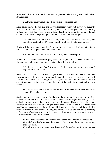If we just look at him with our five senses, he appeared to be a strong man who lived at a strange place.

**6** But when he saw Jesus afar off, he ran and worshipped him,

Devil spirits know who you are, and they will respect you if you believe your authority. If a devil thinks you don't know or that you do not believe your authority, he may frighten you. But don't react in fear to this. Based on the authority you have through Christ, you tell the devil spirit to get out of the man and it has to obey you.

**7** And cried with a loud voice, and said, What have I to do with thee, Jesus, *thou* Son of the most high God? I adjure thee by God, that thou torment me not.

Devils will lie or say something like "I adjure thee by God…." Don't pay attention to this. You tell it to be quiet. You tell it to sit down.

**8** For he said unto him, Come out of the man, *thou* unclean spirit.

**We** tell it to come out. We **do not pray** to God asking Him to cast the devils out. Also, the spirit may talk to you after you have given the order for it to leave.

**9** And he asked him, What *is* thy name? And he answered, saying, My name *is* Legion: for we are many,

Jesus asked his name. There was a legion (many devil spirits) of them in this man; however, Jesus did not cast them out one by one after asking each one to name itself. That would have taken him a long time. Jesus just threw them out altogether. He also did not hold conversations with the devils. He got the devils to be quiet and he threw them out.

**10** And he besought him much that he would not send them away out of the country [*kora*, place, region].

Spirits may beseech you at times. In this case, the ruling devil was speaking to Jesus beseeching him not to cast them out of the country, place or region where they had the authority to stay. It wanted to stay in its region of influence. However, Jesus did not pay attention to what the spirit said; he just threw them all out of the man. Jesus never specified the location where the spirits should depart to, nor did he bind the spirits like some Christians use the phrase "Binding the spirits." Let us cast out devils according to "It is written" and not by the experiences of people or by what you saw great preachers or evangelists do in revival meetings.

**11** Now there was there nigh unto the mountains a great herd of swine feeding.

**12** And all the devils besought him, saying, Send us into the swine, that we may enter into them.

**13** And forthwith Jesus gave them leave. And the unclean spirits went out, and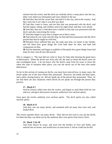entered into the swine: and the herd ran violently down a steep place into the sea, (they were about two thousand;) and were choked in the sea.

**14** And they that fed the swine fled, and told *it* in the city, and in the country. And they went out to see what it was that was done.

**15** And they come to Jesus, and see him that was possessed with the devil, and had the legion, sitting, and clothed, and in his right mind: and they were afraid.

**16** And they that saw *it* told them how it befell to him that was possessed with the devil, and *also* concerning the swine.

**17** And they began to pray him to depart out of their coasts.

**18** And when he was come into the ship, he that had been possessed with the devil prayed him that he might be with him.

**19** Howbeit Jesus suffered him not, but saith unto him, Go home to thy friends, and tell them how great things the Lord hath done for thee, and hath had compassion on thee.

**20** And he departed, and began to publish in Decapolis how great things Jesus had done for him: and all *men* did marvel.

This is category 2. The man did not come to Jesus for help after hearing the good news of deliverance. When the devils saw Jesus afar off, the man in whom the devils were ran and worshipped Jesus. I do not know why the devils came from far away to Jesus but when this type of situation takes place, you cast the devils out of the man who needs deliverance.

So far in this section of casting out devils, you must have noticed how, in many cases, the devils spoke out of the man whom they possessed. However, the dumb and deaf spirit, and a spirit causing lunacy, etc. did not speak out of the person they possessed. Thus, we see that there are also situations where devils do not speak out through the person they possess.

#### **17. Mark 6:7**

And he [Jesus] called *unto him* the twelve, and began to send them forth by two and two; and gave them power [*exousia*, authority] over unclean spirits;

Jesus gave the twelve authority over unclean spirits. The devil spirits are also called unclean spirits.

#### **18. Mark 6:13**

And they cast out many devils, and anointed with oil many that were sick, and healed *them*.

The twelve apostles threw out many devils. They did not ask God to cast out the devils for them but they cast them out by the authority they were given from Jesus Christ.

### **19. Mark 7:24~30**

And from thence he arose, and went into the borders of Tyre and Sidon, and entered into an house, and would have no man know *it*: but he could not be hid.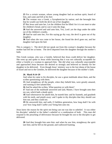**25** For a *certain* woman, whose young daughter had an unclean spirit, heard of him, and came and fell at his feet:

**26** The woman was a Greek, a Syrophenician by nation; and she besought him that he would cast forth the devil out of her daughter.

**27** But Jesus said unto her, Let the children first be filled: for it is not meet to take the children's bread, and to cast *it* unto the dogs.

**28** And she answered and said unto him, Yes, Lord: yet the dogs under the table eat of the children's crumbs.

**29** And he said unto her, For this saying go thy way; the devil is gone out of thy daughter.

**30** And when she was come to her house, she found the devil gone out, and her daughter laid upon the bed.

This is category 1. The devil did not speak out from this woman's daughter because the mother had left her at home. The devil departed from the daughter through the mother's faith.

This Greek woman, who was a Gentile, believed that Jesus could deliver her daughter. She went up and spoke to Jesus while knowing that it was not culturally acceptable for either a Gentile or a woman to approach him. She did what was culturally unacceptable and approached Jesus because she desired so strongly and believed so intently for her daughter to be delivered. Even though Jesus' ministry was to the lost sheep of the house of Israel and not to the Gentiles, he delivered the daughter because of the mother's faith.

#### **20. Mark 9:14~29**

And when he came to *his* disciples, he saw a great multitude about them, and the scribes questioning with them.

**15** And straightway all the people, when they beheld him, were greatly amazed, and running to *him* saluted him.

**16** And he asked the scribes, What question ye with them?

**17** And one of the multitude answered and said, Master, I have brought unto thee my son, which hath a dumb spirit;

**18** And wheresoever he taketh him, he teareth him: and he foameth, and gnasheth with his teeth, and pineth away: and I spake to thy disciples that they should cast him out; and they could not.

**19** He answereth him, and saith, O faithless generation, how long shall I be with you? how long shall I suffer you? bring him unto me.

Jesus knew the reason for the spirit not being cast out was due to unbelief. It was either his disciples' unbelief or the father's unbelief or a combination of both. This man did respond to the preaching of deliverance because he brought his son to the disciples to get delivered.

**20** And they brought him unto him: and when he saw him, straightway the spirit tare him; and he fell on the ground, and wallowed foaming.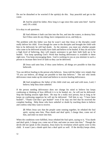Do not be disturbed or be worried if the spirit(s) do this. Stay peaceful and get to the cause.

**21** And he asked his father, How long is it ago since this came unto him? And he said, Of a child.

It is okay to ask questions.

**22** And ofttimes it hath cast him into the fire, and into the waters, to destroy him: but if thou canst do any thing, have compassion on us, and help us.

The problem with this father was that he wasn't sure that Jesus or the disciples could really deliver his child. Even though he came to the disciples and brought the child with him to be delivered, he still had doubt. As the minister, you must see whether people who come to be delivered actually have faith and believe to be healed. If they do not have a high level of believing, they will require assistance to get their faith built up to be healed. You keep speaking God's Word that healing deliverance is available to them right now. You keep encouraging them. God is working in you as you minister to such a person to increase their level of faith so they can be delivered.

**23** Jesus said unto him, if thou canst believe, all things *are* possible to him that believeth.

You can deliver healing to the person who believes. Jesus told the father very simply that "If you can believe, all things are possible to him that believes." The one who needs deliverance must make up his mind and believe to receive healing deliverance.

**24** And straightway the father of the child cried out, and said with tears, Lord, I believe; help thou mine unbelief.

If the person needing deliverance does not change his mind to believe but keeps confessing or thinking of how difficult it is to be healed, etc., he will not be delivered. Stop the healing session right there. He may be a really nice person, but as long as he keeps on confessing negatives he will not be delivered. Tell him to say, "I have been healed!", "Thank God that I got healed!" even if he may not feel that he received the complete healing. Help those who have unbelief or doubt by teaching them to believe and confess what they want to receive.

**25** When Jesus saw that the people came running together, he rebuked the foul spirit, saying unto him, *Thou* dumb and deaf spirit, I charge thee, come out of him, and enter no more into him.

When the conditions were fulfilled, Jesus rebuked the foul spirit, saying to it, "You dumb" and deaf spirit, I charge you, come out of him, and enter no more into him." Though the devils did not speak in this situation, Jesus knew by revelation which spirits were in this child. It wasn't just a dumb spirit but a deaf spirit as well. If the devil(s) keeps silent,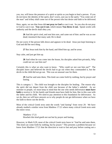you, too, will know the presence of a spirit or spirits as you begin to heal a person. If you do not know the identity of the spirit, don't worry, just say to the spirit, "You come out of the man" and it/they shall come out of the person who has desire and faith to be delivered.

Here, again, we see that Jesus did **not pray to God** to cast it out. So you also do not pray to God to cast it out. **You cast it out**, which means **You throw it out**. Speak words with authority and the devils shall obey you.

**26** And *the spirit* cried, and rent him sore, and came out of him: and he was as one dead; insomuch that many said, He is dead.

Do not worry if the person falls down and appears to be dead. Jesus just kept listening to God and did the next thing.

**27** But Jesus took him by the hand, and lifted him up; and he arose.

Stay calm, and just get him up.

**28** And when he was come into the house, his disciples asked him privately, Why could not we cast him out?

Certainly this is what we also want to know. "Why could we not cast him out?" The disciples knew and believed the devils had to go out when they commanded it, but the devils in the child did not go out. This was an unusual case for them.

**29** And he said unto them, This kind can come forth by nothing, but by prayer and fasting.

This is category 1. The child was brought to the disciples for healing. The reason why the spirit did not depart from the child was because of the father's unbelief. As we minister to people, we must keep in mind that the one who needs deliverance **must have**  faith to receive it. Or his family and friends must have faith for him, like in this case with the father and his child. We need to pay attention to this foundation for deliverance. As we do, then we will have answers as to why people do not get deliverance when we have the faith to throw out the devils.

Most of the critical Greek texts omit the words "and fasting" from verse 29. We have already studied a similar verse from Matthew 17:21 where many critical Greek texts omit the entire verse.

 Matthew 17:21 Howbeit this kind goeth not out but by prayer and fasting.

However, in Mark 9:29, most of the critical Greek texts leave in "And he said unto them, This kind can come forth by nothing, but by prayer." This presents a problem because we know from Matthew 17:21 that the direction to wait to fast and pray before casting out a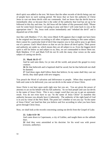devil spirit was added to the text. We know that the other records of devils being cast out of people have no such waiting period. We know that we have the authority of Christ Jesus to cast out these devils with our commands. And we know that the devils have to immediately obey us because that is the order of the authority that God has set up to be followed in this day and time. So, did Jesus tell the father of this possessed child, "Please wait for some hours because I am going to pray and then I will come back to you at the appropriate time"? No, Jesus took action immediately and "rebuked the devil" and it departed out of the child.

Just like with Matthew 17:21, this verse (Mark 9:29) appears that it might not have been in the original text because according to all other scriptures relating to this same subject, there cannot be a particular kind of devil that requires you to fast and/or pray to get them out of a person. God's Word shows us that we are far above all devil spirits. Their power and authority are under us, which means they are all subject to us. Even the biggest devil spirit is still far below us and subject to us; thus, we are commanded to throw them out. Both Matthew 17:21 and Mark 9:29 do not fit with the many clear verses on the same subject of casting out devils.

## **21. Mark 16:15~17**

And he said unto them, Go ye into all the world, and preach the gospel to every creature.

**16** He that believeth and is baptized shall be saved; but he that believeth not shall be damned.

**17** And these signs shall follow them that believe; In my name shall they cast out devils; they shall speak with new tongues;

You preach the Word of salvation and deliverance to people. When they respond with faith and come to be delivered, you cast out devils in the name of Jesus Christ.

Jesus Christ is not here upon earth right now but you are. You are given the power of attorney to act on his behalf with his full authority. So we heal people and cast out devils in the name of Jesus Christ. This is not a magic word that you say to get an automatic result. You do not even have to say "In the name of Jesus Christ" to manifest this authority because you already have it inherently. The authority of the right hand of God is in you by virtue of the New Birth. The point isn't whether or not you say "In the name of Jesus Christ" out loud but that you believe and live according to what you have been given through Christ Jesus.

Now, we shall look at the records concerning casting out devils from the Gospel of Luke.

### **22. Luke 4:31~36**

And came down to Capernaum, a city of Galilee, and taught them on the sabbath days.

**32** And they were astonished at his doctrine: for his word was with power [*exousia*, authority].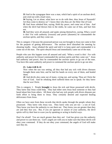**33** And in the synagogue there was a man, which had a spirit of an unclean devil, and cried out with a loud voice,

**34** Saying, Let *us* alone; what have we to do with thee, *thou* Jesus of Nazareth? Art thou come to destroy us? I know thee who thou art: the Holy One of God.

**35** And Jesus rebuked him, saying, Hold thy peace, and come out of him. And when the devil had thrown him in the midst, he came out of him, and hurt him not.

**36** And they were all amazed, and spake among themselves, saying, What a word *is* this! For with authority [*exousia*] and power [*dunamis*] he commandeth the unclean spirits, and they come out.

This is category 2 because the possessed person was not brought to Jesus nor came to him for the purpose of getting deliverance. The unclean devil disturbed the meeting by shouting loudly. Jesus rebuked the spirit and told it to keep quiet and commanded it to come out of the man. The spirit obeyed Jesus and immediately came out of the man.

People who saw this happen were all amazed and said, "What a word is this! For with authority and power he [Jesus] commanded the unclean spirits and they came out." Jesus had authority and power, thus he commanded the unclean spirits to go out of the man. You have this same authority and power to command the unclean spirits to go out also.

## **23. Luke 4:40 & 41**

Now when the sun was setting, all they that had any sick with divers diseases brought them unto him; and he laid his hands on every one of them, and healed them.

**41** And devils also came out of many, crying out, and saying, Thou art Christ the Son of God. And he rebuking *them* suffered them not to speak: for they knew that he was Christ.

This is category 1. People **brought** to Jesus the sick and those possessed with devils. They knew that Jesus could help. They had either seen Jesus heal someone or they had heard about him from others. All those who had any sick people with divers diseases put forth effort to bring them to Jesus. They certainly desired and expected healing deliverance from Jesus.

Often we have seen from these records that devils spoke through the people whom they possessed. They knew who Jesus was. They know who you are too - a son of God. They know you have the authority to cast them out. They know you are greater than they are and they fear you. But, if you are ignorant or unsure of your authority, the devil spirits will try their best to scare you by speaking or acting in fearful ways.

Don't be afraid! You are much greater than they are! God has given you the authority and power to cast them out. God's angels are with you to make sure that these devils will obey your command. If they do not obey your command, the angels of God will make sure they do.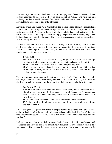There is a spiritual rule involved here. Devils can enjoy their freedom to steal, kill and destroy according to the order God set up after the fall of Adam. The ruler-ship and authority to rule the world was taken from Adam and given to the Devil. So devil spirits have authority according to this order of things.

**However**, when God raised Jesus Christ from the dead and seated him at His right hand and then also raised us up and seated us together with Christ Jesus, the spiritual order on earth was changed. We are now the Body of Christ and **devils are subject to us**. If they break the rule and do not obey us, they have to pay the price of their freedom; they would be bound and no longer free to roam. They know this consequence to their disobedience is real, so they will obey us.

We see an example of this in 1 Peter 3:18. During the time of Noah, the disobedient devil spirits who broke God's order and rules by causing the flood were put into prison. These are the devil spirits to whom Christ, immediately after the resurrection, went and proclaimed his triumph over the devils.

#### **1 Peter 3:18**

For Christ also hath once suffered for sins, the just for the unjust, that he might bring us to God, being put to death in the flesh, but quickened by the Spirit:

**19** By which also he went and preached unto the spirits in prison;

**20** Which sometime were disobedient, when once the longsuffering of God waited in the days of Noah, while the ark was a preparing, wherein few, that is, eight souls were saved by water.

Therefore, do not worry about devils not obeying you. God's Word says they are under our feet, which means: **they are under your feet**. God's Word instructs you to throw out the devils, which means you have the authority to do it, so you simply throw them out.

### **24. Luke 6:17~19**

And he came down with them, and stood in the plain, and the company of his disciples, and a great multitude of people out of all Judaea and Jerusalem, and from the sea coast of Tyre and Sidon, which came to hear him, and to be healed of their diseases;

**18** And they that were vexed with unclean spirits: and they were healed.

**19** And the whole multitude sought to touch him: for there went virtue out of him, and healed *them* all.

This is category 1. A **great multitude** of people from various places **came** to hear Jesus and to be healed. Why did the multitude come to hear and be healed by Jesus? Because they knew that he could heal them. How did so many people know what Jesus could do for them?

Perhaps, one day, Jesus decided to speak God's Word and boldly proclaimed with confidence that anyone could be immediately delivered. Maybe initially only a few responded to his message but they came to Jesus with desire and expectation to be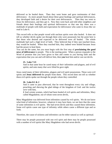delivered so he healed them. Then they went home and gave testimonies of their deliverance. As more people heard about these great healings and spiritual deliverances, they developed faith and a desire for their own deliverances. Then they too went to Jesus for deliverance, and they got it. Now they went back and told other neighbors and friends about their healings and spiritual deliverances so that one day there was a multitude of people with faith and expectation for deliverance who came to Jesus like we read in Luke 6.

This record tells us that people vexed with unclean spirits were also healed. It does not tell us whether devils spoke out through them who were possessed, but the point here is that those who desired and expected to be delivered were all healed. The whole multitude had such a high level of faith. They believed that if they just touched Jesus, they would be healed. When they touched him, they indeed were healed because Jesus had the power to heal them.

You can do the same, but you must begin with the first step of **proclaiming the good news of deliverance** to people. This is the starting point. When a person responds to the Word of promise that you have given to him and comes to you having faith and the expectation that you can and will deliver him, then **you** heal him and/or cast out devils.

## **25. Luke 7:21**

And in that same hour he cured many of *their* infirmities and plagues, and of evil spirits; and unto many *that were* blind he gave sight.

Jesus cured many of their infirmities, plagues and evil spirit possessions. These were evil spirits and **Jesus delivered** the people from them. This record does not tell us whether these evil spirits spoke out through the people whom they controlled.

## **26. Luke 8:1 & 2**

And it came to pass afterward, that he went throughout every city and village, preaching and shewing the glad tidings of the kingdom of God: and the twelve *were* with him,

**2** And certain women, which had been healed of evil spirits and infirmities, Mary called Magadalene, out of whom went seven devils,

Mary Magadalene was delivered from infirmities caused by evil spirits. We do not know what kind of infirmities; however, whatever it may have been, we see here that the cause of some infirmities is evil spirits. She had seven devils and they caused these infirmities. Some evil spirits cause one type of infirmity while others cause a different type and so forth.

Therefore, the cause of sickness and infirmities can be either natural as well as spiritual.

There may be people possessed with one evil spirit and there may be people possessed with a number of evil spirits like Mary Magdalene who had seven devils.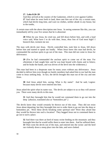#### **27. Luke 8:26~39**

And they arrived at the country of the Gadarenes, which is over against Galilee. **27** And when he went forth to land, there met him out of the city a certain man, which had devils long time, and ware no clothes, neither abode in *any* house, but in the tombs,

A certain man with the above description met Jesus. In seeing someone like this, you can immediately tell by your five senses that he is abnormal.

**28** When he saw Jesus, he cried out, and fell down before him, and with a loud voice said, What have I to do with thee, Jesus, *thou* Son of God most high? I beseech thee, torment me not.

The man with devils met Jesus. Devils controlled him, took him to Jesus, fell down before him and started to speak out loudly. When Jesus knew this man had devils, he commanded the unclean sprits to go out of the man. This man did not come to Jesus for deliverance.

**29** (For he had commanded the unclean spirit to come out of the man. For oftentimes it had caught him: and he was kept bound with chains and in fetters; and he brake the bands, and was driven of the devil into the wilderness.)

This man had been in a desperate state for many years without any deliverance. Jesus decided to deliver him even though no family members had asked him to nor had the man come to Jesus seeking help. In fact, the devils brought this man out of the city and met Jesus.

**30** And Jesus asked him, saying, What is thy name? And he said, Legion: because many devils were entered into him.

Jesus asked the spirit what its name was. The devils are subject to us so they will answer you. There were many devils in this man.

**31** And they besought him that he would not command them to go out into the deep [*abussos*, translated also as "bottomless pit".]

The devils knew they would certainly be thrown out of this man. They did not resist Jesus about departing, but they besought him not to order them to go out into the deep or bottomless pit. Were these devils breaking some spiritual rule? Were they afraid that they would be thrown into such a location? They begged Jesus not to command them to go out to such a place.

**32** And there was there an herd of many swine feeding on the mountain: and they besought him that he would suffer them to enter into them. And he suffered them. **33** Then went the devils out of the man, and entered into the swine: and the herd ran violently down a steep place into the lake, and were choked.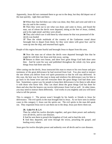Apparently, Jesus did not command them to go out to the deep, but they did depart out of the man quickly, right then and there.

**34** When they that fed them saw what was done, they fled, and went and told it in the city and in the country.

**35** Then they went out to see what was done; and came to Jesus, and found the man, out of whom the devils were departed, sitting at the feet of Jesus, clothed, and in his right mind: and they were afraid.

**36** They also which saw it told them by what means he that was possessed of the devils was healed

**37** Then the whole multitude of the country of the Gadarenes round about besought him to depart from them; for they were taken with great fear: and he went up into the ship, and returned back again.

People of this region became fearful and besought Jesus to depart from this area.

**38** Now the man out of whom the devils were departed besought him that he might be with him: but Jesus sent him away, saying,

**39** Return to thine own house, and shew how great things God hath done unto thee. And he went his way and published throughout the whole city how great things Jesus had done unto him.

After casting out the devils, Jesus instructed this man to return to his own house and give testimony of the great deliverance he had received from God. You also need to instruct the one whom you deliver from evil spirit possession so that he will stay delivered. In this case, the best way for this man to keep and reinforce his deliverance was for him to go back to his home town and tell everyone there the great things God had done unto him. Sometimes a great way for people to keep their deliverance is for them to talk about it with those who know him. They can share about the great things God has done for them and also that the hearers can receive deliverance from God as well. At other times, you may need to instruct them differently. God works in you mightily and you will know what to tell the person.

This is category 2. The person wasn't brought by his family or friends to Jesus for deliverance. The evil spirits in the man brought him to Jesus. As we have seen in similar cases in this category 2, Jesus cast the spirits out. The evil spirits in the man did speak out. They requested Jesus not to cast them out to the deep; Jesus just threw them out.

### **28. Luke 9:1 & 2, 6**

Then he called his twelve disciples together, and gave them power and authority over all devils, and to cure diseases.

**2** And he sent them to preach the kingdom of God, and to heal the sick.

**6** And they departed, and went through the towns, preaching the gospel, and healing every where.

Jesus gave his twelve disciples power and authority over all devils and to cure diseases.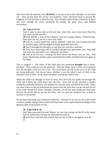They then had the authority over **all devils**; it was up to the twelve disciples to cast them out. After giving them this power and authority, Jesus instructed them to preach the kingdom of God and then to heal the sick. The disciples believed the instruction of Jesus and went through the towns preaching the gospel, the good news, and healing everywhere.

## **29. Luke 9:37~42**

And it came to pass, that on the next day, when they were come down from the hill, much people met him.

**38** And, behold, a man of the company cried out, saying, Master, I beseech thee, look upon my son: for he is mine only child.

**39** And, lo, a spirit taketh him, and he suddenly crieth out; and it teareth him that he foameth again, and bruising him hardly departeth from him.

**40** And I besought thy disciples to cast him out; and they could not.

**41** And Jesus answering said, O faithless and perverse generation, how long shall I be with you, and suffer you? Bring thy son hither.

**42** And as he was yet a coming, the devil threw him down, and tare *him*. And Jesus rebuked the unclean spirit, and healed the child, and delivered him again to his father.

This is category 1. The father of the child who was possessed **brought** him to Jesus' disciples. They could not cast the spirit out. Then the father came to Jesus and explained how the disciples could not cast it out. The record does not tell us the cause of the child not being delivered. We do not know whether it was the father's lack of faith or the disciples' lack of faith. Jesus asked the father to bring the child to him.

When the child was brought in front of Jesus, this devil did not speak out through the child, but it threw the child down and tore him. Jesus did not get shocked or fearful seeing this abnormal behavior, but rebuked the unclean spirit and healed the child. There are times when we do not understand the reason why the spirit does not go out and we are in the same situation as Jesus' disciples; however, we do not stop casting out devils just because the devils did not go out last time. We can also ask someone else to help us minister to the person.

Do not quit exercising your God-given authority. God gave it for you to use in this world to deliver people and get them saved and bring them to the experiential knowledge of the glorious light of the gospel of God.

### **30. Luke 9:49 & 50**

And John answered and said, Master, we saw one casting out devils in thy name; and we forbad him, because he followeth not with us.

**50** And Jesus said unto him, Forbid *him* not; for he that is not against us is for us.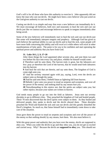God's will is for all those who have this authority to exercise it. John apparently did not know the man who cast out devils. He might have been a new believer who just acted on the God-given authority to cast out devils.

Casting out devils is so simple and easy that even a new believer can immediately do it. We must encourage all believers, both new and seasoned, to heal the sick and cast out devils just like we instruct and encourage believers to speak in tongues immediately after being saved.

Some of the new believers will immediately start to heal the sick and cast out devils just like some will immediately interpret tongues and prophecy. Although God has given to each believer the spiritual ability to cast out devils and to heal the sick, some people will have more faith concerning this ability and will excel at it while others will excel at other manifestations of holy spirit. The point is for you to be confident and start operating the spiritual power and authority that you have from God.

# **31. Luke 10:1, 2, 9, 17~20**

After these things the Lord appointed other seventy also, and sent them two and two before his face into every city and place, whither he himself would come.

**2** Therefore said he unto them, The harvest truly *is* great, but the labourers *are* few: pray ye therefore the Lord of the harvest, that he would send forth labourers into his harvest.

**9** And heal the sick that are therein, and say unto them, The kingdom of God is come nigh unto you.

**17** And the seventy returned again with joy, saying, Lord, even the devils are subject unto us through thy name.

**18** And he said unto them, I beheld Satan as lightning fall from heaven.

**19** Behold, I give unto you power to tread on serpents and scorpions, and over all the power of the enemy: and nothing shall by any means hurt you.

**20** Notwithstanding in this rejoice not, that the spirits are subject unto you; but rather rejoice, because your names are written in heaven.

God needs many people to go out into the field as laborers. Jesus sent out seventy disciples to go to different cities. They preached the kingdom of God and healed people. These 70 men discovered that the devil spirits were subject to them. As they healed and delivered people, they spoke to devils and the devils obeyed them. These disciples preached the Word and healed the sick and cast out devils and this greatly disturbed the Devil's kingdom. So much so, that Satan himself had to immediately come down to take care of the situation.

Jesus gave them the power to tread on serpents and scorpions and over all the power of the enemy so that nothing should, by any means, hurt them. We also must believe it.

With this great power and authority that you have over the enemy, devils are supposed to obey you. When you order the devils to go and they obey you, you do not get so excited and carried away. Why? Because the devils are **supposed to obey** you. This should not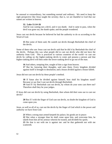be unusual or extraordinary, but something normal and ordinary. We need to keep the right perspective like Jesus taught the seventy; that is, we are thankful to God that our names are written in heaven.

#### **32. Luke 11:14~26**

And he was casting out a devil, and it was dumb. And it came to pass, when the devil was gone out, the dumb spake; and the people wondered.

Jesus cast out devils because he believed he had the authority to do so according to the Word of God.

**15** But some of them said, He casteth out devils through Beelzebub the chief of the devils.

Some of them who saw Jesus cast out devils said that he did it by Beelzebub the chief of the devils. Perhaps this was what people did to cast out devils who did not have the authority from God. This is practiced in various countries of the world—to cast out devils by calling on the higher-ranking devils to come and possess a person and that higher-ranking devil will then order the lower-ranking devil to go out of the man.

**16** And others, tempting *him*, sought of him a sign from heaven.

**17** But he, knowing their thoughts, said unto them, Every kingdom divided against itself is brought to desolation; and a house *divided* against a house falleth.

Jesus did not cast out devils by these people's method.

**18** If Satan also be divided against himself, how shall his kingdom stand? Because ye say that I cast out devils through Beelzebub.

**19** And If I by Beelzebub cast out devils, by whom do your sons cast *them* out? Therefore shall they be your judges.

If Jesus did cast out devils by using Beelzebub, then whom did their sons use to cast out devils?

**20** But if I with the finger of God cast out devils, no doubt the kingdom of God is come upon you.

Jesus, as well as all of us, cast out the devils by the finger of God which is the power and authority we have from God.

**21** When a strong man armed keepeth his palace, his goods are in peace:

**22** But when a stronger than he shall come upon him, and overcome him, he taketh from him all his armour wherein he trusted, and divideth his spoils.

**23** He that is not with me is against me: and he that gathereth not with me scattereth.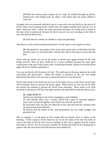**24** When the unclean spirit is gone out of a man, he walketh through dry places, seeking rest; and finding none, he saith, I will return unto my house whence I came out.

If people who are possessed with devils go to a man who casts out devils by the prince of devils, these lower-ranking devils would obey the higher-ranking devil and go out of them. However, after a while, the same spirit that had gone out would seek to return to the man whom it possessed, because the devil was not cast out according to the faith of one who desired deliverance.

**25** And when he cometh, he findeth *it* swept and garnished.

The house is clean and decorated and attractive for the spirit to once again live there.

**26** Then goeth he, and taketh *to him* seven other spirits more wicked than himself; and they enter in, and dwell there: and the last *state* of that man is worse than the first.

Those who get spirits cast out by the prince of devils may appear healed for the time being; however, later on they would be in a worse condition because the same spirit would return with seven other spirits more wicked than himself. [Please see section #8 on pages 38-42 for further explanation.]

You cast out devils with the power of God. The spirits go out because someone has faith concerning this deliverance. Either the family or parent(s) of the one who needs deliverance has faith or the one who is possessed believes to be delivered.

On the other hand, if the devils are not cast out by faith, such as in the above record, they will eventually return to possess the person again. When devils are not cast out by faith, the person has nothing to prevent the devils from returning. There needs to be faith involved so the person will have the right doctrine and right faith to keep the spirits away.

### **33. Luke 13:10~13**

And he was teaching in one of the synagogues on the Sabbath.

**11** And, behold, there was a woman, which had a spirit of infirmity eighteen years, and was bowed together, and could in no wise lift up *herself*.

**12** And when Jesus saw her, he called *her to him*, and said unto her, Woman, thou art loosed from thine infirmity.

**13** And he laid *his* hands on her: and immediately she was made straight, and glorified God.

This is category 1, as the spirit in this woman did not disturb Jesus or others in the meeting. In this category, devils must be cast out by the faith of the one who heals as well as the faith of the one who receives healing. In this case it appears that the woman had faith to receive. We do not know whether her family had faith for her healing but it appears that she must have had faith because Jesus healed her.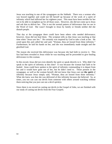Jesus was teaching in one of the synagogues on the Sabbath. There was a woman who was bowed together and could not lift herself up because of the work of a spirit of infirmity which had inflicted her for eighteen years. This must have been terrible for her not to be able to straighten up for all those years. However, she did not come up to Jesus and ask him to deliver her. This is not the normal pattern of deliverance that we see in the Word of God. She wasn't brought to Jesus by family or friends neither did she disturb people.

That day at the synagogue there could have been others who needed deliverance; however, Jesus did not heal them. The scripture tells us that Jesus was teaching at that time when "Jesus saw her." He certainly was inspired by God to take a look at her. He acted upon this and called her and said, "Woman, thou art loosed from thine infirmity." Furthermore, he laid his hands on her, and she was immediately made straight and she glorified God.

The reason she received this deliverance was because she had faith to receive it. This fact had been revealed to Jesus while he was teaching and he proceeded to give healing deliverance to this woman.

In this record, Jesus did not even identify the spirit or speak directly to it. Why didn't he speak to the spirit of infirmity at this time? It was because the woman had faith to be healed. Jesus could have spoken to the spirit of infirmity commanding it to depart from her and it would have gone out of her, but he didn't need to. Those present in the synagogue, as well as the woman herself, did not know that Jesus cast out **the spirit** of infirmity because Jesus simply said, "Woman, thou art loosed from thine infirmity." What she knew was that she was delivered of this infirmity because she believed. So, at times, you too can cast out devils from someone with others around watching without them noticing that you just cast out a devil spirit(s).

Since there is no record on casting out devils in the Gospel of John, we are finished with our study of casting out devils from the Four Gospels.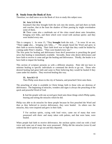# **B. Study from the Book of Acts**

Therefore, we shall move on to the Book of Acts to study this subject now.

#### **34. Acts 5:15 & 16**

Insomuch that they brought forth the sick into the streets, and laid *them* on beds and couches, that at the least the shadow of Peter passing by might overshadow some of them.

**16** There came also a multitude *out* of the cities round about unto Jerusalem, bringing sick folks, and them which were vexed with unclean spirits: and they were healed every one.

This is category 1. In verse 15, "They **brought** forth the sick.…" In verse 16 we see, "There **came** also… bringing sick folks.…" The people heard the Word and grew in their faith to receive healing. Their faith level was so high that they could be healed by coming under Peter's shadow. "They were healed every one."

The first point for healing and deliverance from devil possession is preaching the good news that healing is immediately available. Secondly, those who desire deliverance and have faith to receive it come and get the healing and deliverance. Thirdly, the healer is to have faith to impart the healing.

This section of scripture presents us with a different situation. Peter did not have to minister healing to specific individuals or command the devils to go out. Those who desired healing had great faith and came to Peter believing they would be healed if they came under his shadow. They received healing this way.

### **35. Acts 8:5~13**

Then Philip went down to the city of Samaria, and preached Christ unto them.

The preaching of what is available in Christ brings faith to those who are desirous of deliverance. The beginning of miracles, wonders and signs is always the preaching of the quick and powerful Word of God.

**6** And the people with one accord gave heed unto those things which Philip spake, hearing and seeing the miracles which he did.

Philip was able to do miracles for these people because he first preached the Word and then as they believed to receive deliverance, they were healed. As others saw the miracles, they were inspired and grew in their faith.

**7** For unclean spirits, crying with loud voice, came out of many that were possessed *with them:* and many taken with palsies, and that were lame, were healed.

When people had faith to receive deliverance, the unclean spirits cried out with a loud voice and came out of many that were possessed. Philip did the miracles (verse 6) and ordered the devil spirits to go out and they departed.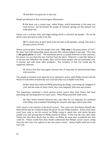**8** And there was great joy in that city.

People got blessed as they received great deliverance.

**9** But there was a certain man, called Simon, which beforetime in the same city used sorcery, and bewitched the people of Samaria, giving out that himself was some great one:

Simon was a sorcerer who used high-ranking devils to bewitch the people. He let the devils come into him in order to do this.

**10** To whom they all gave heed, from the least to the greatest, saying, This man is the great power of God.

Simon received glory from the people who said, "**This man** is the great power of God." He must have had measurable power because they acknowledged it and said, "This man is **the great power** of God." He manifested power so people believed in him; however, his power was not from the true God but from the devil. Wherever a man like Simon is in an area and influences the people, there will be many people who are possessed, sick, in poverty and with many other problems. The economy of that city would also be negatively affected.

**11** And to him they had regard, because that of long time he had bewitched them with sorceries.

The people in Samaria were ignorant of an alternative power until Philip arrived with the Word of God which revealed the true God and what was available from Him.

**12** But when they believed Philip preaching the things concerning the kingdom of God, and the name of Jesus Christ, they were baptized, both men and women.

The Samaritans witnessed a much greater power source than what Simon had been preaching and teaching them for many years. What Philip preached made sense.

**13** Then Simon himself believed also: and when he was baptized, he continued with Philip, and wondered, beholding the miracles and signs which were done.

God's power is far superior to the devil's power. This verse says that Simon himself also believed but that he wondered about the power he saw Philip manifest. Simon must [may even] have tried to use his sorcery on Philip trying to attack him with devils because people were now giving heed to Philip instead of Simon. If this was the case, then when Simon saw that these devils had no effect on Philip, he must have wondered how that could be. Simon would have then finally understood that Philips' power source, being from the true God, was superior to his own power source. Simon finally believed on the true God.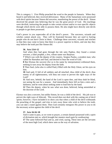This is category 1. First Philip preached the word to the people in Samaria. When they heard it and believed, they received deliverance. Many of the Samaritans were possessed with devil spirits because Simon did sorceries, manifesting the power of the devil. Simon deceived the people into believing that he was the great power of God. His teachings were devilish, instructing the people to take certain actions and/or to own specific objects through which devils were able to possess them. He also might have directly sent devils to people to get them possessed.

God's power in you supercedes all of the devil's power. The sorcerers, wizards and witches cannot attack you. They will be frustrated because they are used to hurting people who do not have Christ in them. Challenge these sorcerers, wizards and witches so that they may come to know that there is a power superior to theirs, and one day they may believe the truth just like Simon did.

### **36. Acts 13:6~12**

And when they had gone through the isle unto Paphos, they found a certain sorcerer, a false prophet, a Jew, whose name *was* Barjesus:

**7** Which was with the deputy of the country, Sergius Paulus, a prudent man; who called for Barnabas and Saul, and desired to hear the word of God.

**8** But Elymas the sorcerer (for so is his name by interpretation) withstood them, seeking to turn away the deputy from the faith.

**9** Then Saul, (who also *is called* Paul,) filled with the Holy Ghost, set his eyes on him.

**10** And said, O full of all subtlety and all mischief, *thou* child of the devil, *thou* enemy of all righteousness, wilt thou not cease to pervert the right ways of the Lord?

**11** And now, behold, the hand of the Lord *is* upon thee, and thou shalt be blind, not seeing the sun for a season. And immediately there fell on him a mist and a darkness; and he went about seeking some to lead him by the hand.

**12** Then the deputy, when he saw what was done, believed, being astonished at the doctrine of the Lord.

Elymas was also a sorcerer, but unlike Simon, he was a child of the devil. His job was to pervert the right ways of Jehovah. This record does not deal with the casting out of devil spirits; however, I have included it to show you that when a child of the devil withstands the preaching of the gospel, and tries to turn away those who wish to believe the truth, you can take a stand against them. Then God certainly energizes His power in you to do the necessary action against the child of the devil.

#### **37. Acts 16:16~18**

And it came to pass, as we went to prayer, a certain damsel possessed with a spirit of divination met us, which brought her masters much gain by soothsaying:

**17** The same followed Paul and us, and cried, saying, These men are the servants of the most high God, which shew unto us the way of salvation.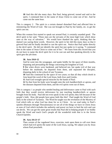**18** And this did she many days. But Paul, being grieved, turned and said to the spirit, I command thee in the name of Jesus Christ to come out of her. And he came out the same hour.

This is category 2. The spirit in a certain damsel disturbed Paul and affected him in ministering the Word of God. She was not brought to Paul by her family, etc. to get the spirit cast out.

When this woman first started to speak out around Paul, it certainly sounded good. The devil spirit in her said, "These men are the servants of the most high God, which show unto us the way of salvation." We would have thanked the spirit, thinking that the damsel was saying these words. However, the spirit in her did this many days so that it grieved Paul and he finally decided to cast the spirit out. Notice that Paul spoke directly to the devil spirit. He did not identify the spirit but just spoke to it saying, "I command thee in the name of Jesus Christ to come out of her." We learn from this record that you do not have to name the devil spirit for it to be cast out and that speaking directly to the spirit gets the job done.

#### **38. Acts 19:8~12**

And he went into the synagogue, and spake boldly for the space of three months, disputing and persuading the things concerning the kingdom of God.

**9** But when divers were hardened, and believed not, but spake evil of that way before the multitude, he departed from them, and separated the disciples, disputing daily in the school of one Tyrannus.

**10** And this continued by the space of two years; so that all they which dwelt in Asia heard the word of the Lord Jesus, both Jews and Greeks.

**11** And God wrought special miracles by the hands of Paul:

**12** So that from his body were brought unto the sick handkerchiefs or aprons, and the diseases departed from them, and the evil spirits went out of them.

This is category 1 as people who needed healing and deliverance came to Paul with such faith that they would receive deliverance by just touching handkerchiefs or aprons brought from his body. Paul did not even speak to the evil spirits; they left because of the people's faith. How did people have great faith like this? Paul taught the Word of God daily in the school of Tyrannus. The Word he taught was the revelation of the Mystery of God which tells us what God has done for us in Christ. As we read today in Paul's epistles (Romans through Thessalonians) we see all of the things we have in Christ Jesus as sons of God which includes the authority and power we have to heal the sick and cast out devils. We can get the same great results that Paul did in helping people if we boldly speak the Word and teach God's people all the wonderful truth that is in the Seven Church Epistles.

#### **39. Acts 19:13~17**

Then certain of the vagabond Jews, exorcists, took upon them to call over them which had evil spirits the name of the Lord Jesus, saying, We adjure you by Jesus whom Paul preacheth.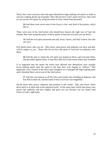These Jews were exorcists who took upon themselves high-ranking evil spirits in order to cast low-ranking devils out of people. They did not have God's spirit; however, they tried to cast out the evil spirits by using the name of Jesus whom Paul preached.

**14** And there were seven sons of *one* Sceva, a Jew, *and* chief of the priests, which did so.

These were sons of the chief priest who should have known the right way of God, but instead, they were using the power of devil spirits to heal the sick and cast out devils.

**15** And the evil spirit answered and said, Jesus I know, and Paul I know; but who are you?

Evil spirits know who you are. They know what power and authority you have and they will be subject to you. Those who do not have the spirit of God have no authority over them.

**16** And the man in whom the evil spirit was leaped on them, and overcame them, and prevailed against them, so that they fled out of that house naked and wounded.

It so happened that the spirits the seven sons allowed into themselves were actually lower-ranking spirits than the spirit in the man they were hoping to "deliver." This apparently was a breach in the devil spirit kingdom so it outraged the high-ranking spirit and it thrashed these seven sons of the chief priest.

**17** And this was known to all the Jews and Greeks also dwelling at Ephesus; and fear fell on them all, and the name of the Lord Jesus was magnified.

Devils know their power, authority and position in this world. They also know which devil spirit is at what rank in the spiritual world. At the same time, devils also know your power and authority and how mighty and great you are because you are seated with Christ at God's right hand.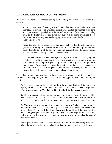# **VIII. Conclusion for How to Cast Out Devils**

We have seen from these records dealing with casting out devils the following two categories:

**1.** As in the case of healing the sick, after learning from God's Word that immediate deliverance is available, people who needed deliverance from devil spirit possession responded with desire and expectation for deliverance. They went to the healer and got the devils cast out. All the points numbered 1 to 5 discussed in the healing section also apply here to casting out devils. (See pages 14~29.)

When the one who is possessed or his family believes for the deliverance, the person ministering also believes in his authority over the devil spirits and then orders them to go out of the person. Here both parties, those who desire healing and the one who is casting out devils, must believe.

**2.** The second case is where devil spirits in a person disturb you by crying out, shouting or speaking things that interfere or prevent you from doing what you wish to do in a meeting or in your daily routine. You may order it to get out of that person. When a devil spirit disturbs you, then you do not need someone else to have faith for the possessed person's deliverance. However, you will need to instruct the now delivered person on how to keep the devils away.

The following points are also seen in these records. In order for you to deliver those possessed of devil spirits, you must have these following points absolutely clear in your heart.

**1.** The most important thing that you do to bring about healing deliverance is to speak, preach and proclaim to people that they shall be 100% delivered, right now. **The promise from the Word of God inspires faith in the hearer to receive**.

**2.** Those who need deliverance are to respond to the preaching of deliverance. They come to you with a desire and an expectation to be delivered. You do not go to their house to cast out devils just because someone has told you about their situation.

**3. You heal** and **you cast out** devils. You do not pray to God to cast out the devils or to do the healing. You have already been given the authority and power to do these things. So **you heal the sick** and **cast out the devils** to deliver people. Use your God-given power and authority **with faith**. As you begin to minister, God's spirit in you will provide the necessary things for you to accomplish the task of delivering people.

When people are delivered, instruct them with God's Word concerning who Jesus Christ is and what he has accomplished for them so that they will remain delivered.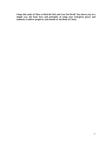**I hope this study of "How to Heal the Sick and Cast Out Devils" has shown you, in a simple way, the basic keys and principles of using your God-given power and authority to deliver people in, and outside of, the Body of Christ.**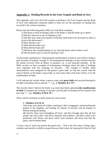# **Appendix 1: Healing Records in the Four Gospels and Book of Acts**

This appendix will cover all of the records on healing in the Four Gospels and the Book of Acts with additional comments added to help you see the principles of healing that occurred in the various situations.

Please note the following points while you read these scriptures:

- 1) Did those in need of healing come to the healer or did the healer go to them?
- 2) Did they beseech or ask for healing or not?
- 3) Did they have faith to be healed or did their faith need to be increased in order to receive the deliverance?
- 4) What did they say?
- 5) What did the healer say?
- 6) What did the healer do?
- 7) Did those who needed healing act on what the healer said to them or not?
- 8) Did the healer pray to God for healing or not?

As previously mentioned in "Operating the manifestation of faith or your faith to bring to pass miracles of healing" on page 27, all instantaneous healings are also miracles because the instant recovery from an illness or paralysis, etc. is not naturally possible. In the Bible records we have examples of instantaneous healings where the gifts of healings were imparted with the workings of miracles. The variable is whether these manifestations were energized by the person's great faith, as with the woman with the issue of blood, or the healer's great faith, as seen many times with Jesus Christ, or by the manifestation of faith.

I will indicate the records where a person came with **great faith** and received healing by the gifts of healing with an asterisk '\*', e.g., **3. Matthew 8:5~13\*.** 

The records where I believe the healer was more than likely operating **the manifestation of faith** to energize the working of miracles and the gifts of healing will be marked with plus sign '+', e.g., **Matthew 9:18 & 19 +**.

There will be comments on these points for each record.

### **1. Matthew 4:23 & 24**

And Jesus went about all Galilee, teaching in their synagogues, and preaching the gospel of the kingdom, and healing all manner of sickness and all manner of disease among the people.

**24** And his fame went throughout all Syria: and they brought unto him all sick people that were taken with divers diseases and torments, and those which were possessed with devils, and those which were lunatick, and those that had the palsy; and he healed them.

1) Jesus went to teach and preach the good news. That is the first step of doing signs, wonders and miracles to deliver people because faith comes by hearing the Word of God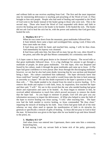and without faith no one receives anything from God. The first and the most important step for ministering deliverance is teaching and preaching of the Word of God. 2) They brought to him sick people. People who had need of healing and responded to the Word of God went to the healer instead of the healer going to those who were sick. This is the second step. Those who heard the Word of God responded with desire and faith to receive the healing and went to the healer to be healed. 3) He healed the sick. The healer did not ask God to heal the sick but he, with the power and authority that God gave him, healed the sick.

## **2. Matthew 8:1~4 \* +**

When he was come down from the mountain, great multitudes followed him. **2** And, behold, there came a leper and worshipped him, saying, Lord, if thou wilt, thou canst make me clean.

**3** And Jesus put forth *his* hand, and touched him, saying, I will; be thou clean. And immediately his leprosy was cleansed.

**4** And Jesus saith unto him, See thou tell no man; but go thy way, shew thyself to the priest, and offer the gift that Moses commanded, for a testimony unto them.

1) A leper came to Jesus with great desire to be cleansed of leprosy. The record tells us that great multitudes followed Jesus. It is a big challenge for anyone to get through a multitude of people, let alone great multitudes. Yet this leper, who was despised and feared by his culture, made it through the great multitudes and came up to Jesus. 2) The leper had great confidence to even pursue after Jesus through the discouraging multitude; however, we see that he also had some doubt, knowing that he was unclean and despised being a leper. His culture considered him subhuman. The leper obviously knew that Jesus could heal "normal" people, but could or would Jesus take the time to heal someone as unworthy as a leper? We see this doubt expressed in the leper's question to Jesus, "**If**  thou wilt…." This doubt needed to be cleared from his mind to receive healing. 3) To remove this doubt and replace it with faith, Jesus, by inspiration, first touched the leper and then said, "I will." We see in this record that the one who needed healing had great desire and expectation and came to be healed. As Jesus began to minister to him, he received added information to touch him which proved necessary to remove the doubt that the leper had. As you begin to minister to people, God will also give you any information necessary to impart the deliverance. 4) What also helped to raise the faith of the leper to receive healing was Jesus saying, "I will," after touching him. The leper now had the faith needed to receive healing, so Jesus commanded "Be thou clean," imparting the miracle of healing by his faith. Jesus Christ had great faith all of the time whereas we may often need to operate the manifestation of faith to do miracles (in general) or specifically a miracle of gifts of healing. 5) Jesus did not pray to God to heal the man. 6) Instruction was given to the leper after he was healed to go and show himself to the priest, etc.

#### **3. Matthew 8:5~13\***

And when Jesus was entered into Capernaum, there came unto him a centurion, beseeching him,

**6** And saying, Lord, my servant lieth at home sick of the palsy, grievously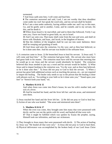tormented.

**7** And Jesus saith unto him, I will come and heal him.

**8** The centurion answered and said, Lord, I am not worthy that thou shouldest come under my roof: but speak the word only, and my servant shall be healed.

**9** For I am a man under authority, having soldiers under me: and I say to this *man*, Go, and he goeth; and to another, Come, and he cometh; and to my servant, Do this, and he doeth *it*.

**10** When Jesus heard *it*, he marvelled, and said to them that followed, Verily I say unto you, I have not found so great faith, no, not in Israel.

**11** And I say unto you, That many shall come from the east and west, and shall sit down with Abraham, and Isaac, and Jacob, in the kingdom of heaven.

**12** But the children of the kingdom shall be cast out into outer darkness: there shall be weeping and gnashing of teeth.

**13** And Jesus said unto the centurion, Go thy way; and as thou hast believed, *so* be it done unto thee. And his servant was healed in the selfsame hour.

1) A centurion came to Jesus. 2) He beseeched Jesus to heal his servant. 3) Jesus said, "I will come and heal him." 4) The centurion had great faith. His servant also must have had great faith in his master. The centurion must have told his servant that morning that he would go to see Jesus and the servant would absolutely be healed. The centurion believed that Jesus needed to just say a word and his servant would be healed. 5) What Jesus said to impart healing to the centurion was, "Go thy way; and as thou hast believed, so be it done unto thee." 6) Jesus did not pray to God to heal the servant. 7) When a person has great faith additional actions such as touching the person, etc., are not required to impart the healing. The healer only needs to say to the person that the healing is done with phrases such as, "According to your faith so be it done unto you," "Stand upon your feet" or "Stretch forth your hand," etc.

# **4. Matthew 8:14 & 15**

And when Jesus was come into Peter's house, he saw his wife's mother laid, and sick of a fever.

**15** And he touched her hand, and the fever left her: and she arose, and ministered unto them.

1) Jesus touched her hand and the fever left her. 2) He did not pray to God to heal her. 3) Action of one who was healed. "She arose and ministered unto them".

# **5. Matthew 8:16 & 17**

When the even was come, they brought unto him many that were possessed with devils: and he cast out the spirits with *his* word, and healed all that were sick: **17** That it might be fulfilled which was spoken by Esaias the prophet, saying, Himself took our infirmities, and bare *our* sicknesses.

1) They brought to Jesus many that were possessed with devils 2) The action of healing by Jesus was "He healed all that were sick." 3) Jesus did not pray to God to heal them. 4) Physical deliverance was accomplished by the broken body of our Lord Jesus Christ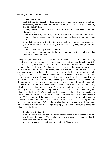according to God's promise in Isaiah.

# **6. Matthew 9:2~8\***

And, behold, they brought to him a man sick of the palsy, lying on a bed: and Jesus seeing their faith said unto the sick of the palsy; Son, be of good cheer; thy sins be forgiven thee.

**3** And, behold, certain of the scribes said within themselves, This *man* blasphemeth.

**4** And Jesus knowing their thoughts said, Wherefore think ye evil in your hearts?

**5** For whether is easier, to say, *Thy* sins be forgiven thee; or to say, Arise, and walk?

**6** But that ye may know that the Son of man hath power on earth to forgive sins, (then saith he to the sick of the palsy,) Arise, take up thy bed, and go unto thine house.

**7** And he arose, and departed to his house.

**8** But when the multitudes saw *it*, they marveled, and glorified God, which had given such power unto men.

1) They brought a man who was sick of the palsy to Jesus. The sick man and his family desired greatly for his healing. They were convinced that he could be delivered if he went to Jesus. 2) Jesus saw their faith. Often times you can see faith in the person needing healing by his action(s) and/or his speech. Use your five senses to get whatever information you can. Look at the person, see what they are doing, and listen to their conversation. Jesus saw their faith because it takes a lot of effort to transport a man with palsy lying on a bed. Remember, there were no cars or wheelchairs to use. If possible, have a conversation with the person who has come to you for deliverance and listen to him. If you cannot get the information you need by your five senses, or if you need more information for you to impart deliverance to someone, God will provide you with whatever information you may need. 3) Once Jesus understood that the man with palsy had faith to receive healing, Jesus said, "Son, be of good cheer; thy sins be forgiven thee." 4) When Jesus imparted healing, he said to the sick man, "Arise, take up thy bed, and go unto thine house." When you know that a person needing deliverance has faith to be healed, simply tell him that he has received it like Jesus spoke to the man healed of palsy. 5) The response of the man healed of palsy was, "And he arose, and departed to his house." Why did he do this? It was because he believed he was healed. 6) Jesus did not pray to God to heal him. 7) Since the man had faith to be healed, Jesus did not touch him or instruct him to do any other things but simply said to him, "Arise, take up thy bed, and go unto thine house."

# **7. Matthew 9:18 & 19 +**

While he spake these things unto them, behold, there came a certain ruler, and worshipped him, saying, My daughter is even now dead: but come and lay thy hand upon her, and she shall live.

**19** And Jesus arose, and followed him, and *so did* his disciples.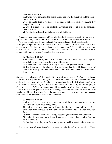# **Matthew 9:23~26 +**

And when Jesus came into the ruler's house, and saw the minstrels and the people making a noise,

**24** He said unto them, Give place: for the maid is not dead, but sleepeth. And they laughed him to scorn.

**25** But when the people were put forth, he went in, and took her by the hand, and the maid arose.

**26** And the fame hereof went abroad into all that land.

1) A certain ruler came to Jesus. 2) The ruler had faith because he said, "Come and lay thy hand upon her, and she **shall live.**" 3) Jesus arose and went to the ruler's house.

4) Jesus had faith to heal the girl and said, "for the maid is not dead, but sleepeth."

5) People were put out of the house because of their unbelief. 6) Jesus' action at the time of healing was "He took her by the hand and the maid arose." 7) He did not pray to God to heal her. 8) The girl's father had the faith that she should live. 9) The healer also had to have faith to raise the man's daughter from the dead.

# **8. Matthew 9:20~22\***

And, behold, a woman, which was diseased with an issue of blood twelve years, came behind *him*, and touched the hem of his garment:

**21** For she said within herself, If I may but touch his garment, I shall be whole.

**22** But Jesus turned him about, and when he saw her, he said, Daughter, be of good comfort; thy faith hath made thee whole. And the woman was made whole from that hour.

She came behind Jesus. 2) She touched the hem of his garment. 3) What she **believed** and said, "If I may but touch his garment, I shall be whole." 4) Jesus turned him about and saw her and said to her, "Daughter, be of good comfort; **thy faith** [not Jesus' faith] hath made thee whole." 5) She was made whole from that hour. 6) He did not pray to God to heal her. 7) When a person has faith to receive healing, then a healer does not have to raise up the person's faith by touching, speaking, etc. through inspiration or revelation. Her faith was that Jesus did not even have to do anything; she only needed only to touch his garment to receive her wholeness.

# **9. Matthew 9:27~31**

And when Jesus departed thence, two blind men followed him, crying, and saying, *Thou* Son of David, have mercy on us.

**28** And when he was come into the house, the blind men came to him: and Jesus saith unto them, Believe ye that I am able to do this? They said unto him, Yea, Lord.

**29** Then touched he their eyes, saying, According to your faith be it unto you.

**30** And their eyes were opened; and Jesus straitly charged them, saying, See *that* no man know *it*.

**31** But they, when they were departed, spread abroad his fame in all that country.

1) Two blind men followed Jesus because they strongly desired to be healed. 2) These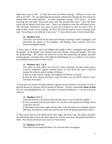blind men came to him. 3) What did Jesus say before healing? "Believe ye that I am able to do this?" He was gathering the necessary information through his five senses by asking them the main question. 4) Their responded saying, "Yea, Lord." 5) After knowing they had faith, Jesus took action and "He touched their eyes." How did Jesus know that he should touch their eyes? Jesus was inspired to take this additional action. The necessary information was given to Jesus by revelation to raise the men's level of faith so they would receive healing. 6) Once they had the faith to receive healing, Jesus said, "According to your faith be it unto you." 7) Jesus did not pray to God to heal them.

## **10. Matthew 9:35**

And Jesus went about all the cities and villages, teaching in their synagogues, and preaching the gospel of the kingdom, and healing every sickness and every disease among the people.

1) Jesus went to all the cities and villages and taught in their synagogues and preached the gospel. 2) He healed every sickness and every disease among the people. This was his methodology. We clearly see from this record that preaching the gospel precedes healing people. Certainly this is the biblical methodology for us to follow if we want to successfully do the works of Jesus Christ.

# **11. Matthew 10:1, 7 & 8**

And when he had called unto *him* his twelve disciples, he gave them power [*exousia*, authority] *against* unclean spirits, to cast them out, and to heal all manner of sickness and all manner of disease.

**7** And as ye go, preach, saying, The kingdom of heaven is at hand.

**8** Heal the sick, cleanse the lepers, raise the dead, cast out devils: freely ye have received, freely give.

1) Jesus gave his twelve disciples authority against unclean spirits to cast them out and to heal all manner of sickness and all manner of disease. 2) Jesus commanded **them to heal** the sick and **cast out** devils, etc. Once they received the authority, it was up to them to utilize it.

# **12. Matthew 11:3~5**

And said unto him, Art thou he that should come, or do we look for another? **4** Jesus answered and said unto them, Go and shew John again those things which ye do hear and see:

**5** The blind receive their sight, and the lame walk, the lepers are cleansed, and the deaf hear, the dead are raised up, and the poor have the gospel preached to them.

1) They heard and saw the blind receive their sight, the lame walk, the lepers cleansed, the deaf being able to hear, the dead raised up, and the poor have the gospel preached to them. We can also do these same works of Jesus Christ.

# **13. Matthew 12:9~13\***

And when he was departed thence, he went into their synagogue: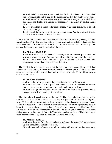**10** And, behold, there was a man which had *his* hand withered. And they asked him, saying, Is it lawful to heal on the sabbath days? that they might accuse him.

**11** And he said unto them, What man shall there be among you, that shall have one sheep, and if it fall into a pit on the sabbath day, will he not lay hold on it, and lift *it* out?

**12** How much then is a man better than a sheep? Wherefore it is lawful to do well on the sabbath days.

**13** Then saith he to the man, Stretch forth thine hand. And he stretched *it* forth; and it was restored whole, like as the other.

1) Jesus said to the man with the withered hand at the time of imparting healing, "Stretch forth thine hand." 2) The man had faith to receive healing, thus he believed and acted on what Jesus said. He stretched his hand forth. 3) Jesus did not need to take any other actions. 4) Jesus did not pray to God to heal the man.

## **14. Matthew 14:13 & 14**

When Jesus heard *of it*, he departed thence by ship into a desert place apart: and when the people had heard *thereof*, they followed him on foot out of the cities. **14** And Jesus went forth, and saw a great multitude, and was moved with compassion toward them, and he healed their sick.

1) The people followed Jesus on foot out of the cities to a desert place. These people had hunger and desire so they followed Jesus all the way to a desert place. 2) Jesus saw them come and had compassion toward them and he healed their sick. 3) He did not pray to God to heal the sick.

#### **15. Matthew 14:34~36\***

And when they were gone over, they came into the land of Gennesaret.

**35** And when the men of that place had knowledge of him, they sent out into all that country round about, and brought unto him all that were diseased;

**36** And besought him that they might only touch the hem of his garment: and as many as touched were made perfectly whole.

1) They brought to Jesus all that were diseased. 2) They besought Jesus that they might only touch the hem of his garment because they had great faith to receive healing this way. 3) Jesus did not do or say anything to impart healing because the people already had faith to receive it. This is similar to the woman who was suffering from the issue of blood for 12 years who touched the hem of Jesus' garment and received healing. Jesus did not even need to say, "According to thy faith, be it unto you." Healing was already taking place according to their faith. 4) Those who touched the hem of his garment were made perfectly whole. 5) Jesus did not pray to God to heal them.

## **16. Matthew 15:29~31**

And Jesus departed from thence, and came nigh unto the sea of Galilee; and went up into a mountain, and sat down there.

**30** And great multitudes came unto him, having with them *those that were* lame,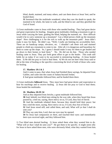blind, dumb, maimed, and many others, and cast them down at Jesus' feet; and he healed them:

**31** Insomuch that the multitude wondered, when they saw the dumb to speak, the maimed to be whole, the lame to walk, and the blind to see: and they glorified the God of Israel.

1) Great multitudes came to Jesus with those who needed healing. They had great desire and great expectation for healing. Imagine great multitudes climbing a mountain to get to Jesus while carrying the lame, guiding the blind, helping the maimed, etc. How difficult would it be to carry someone up a mountain? Can a blind person climb up the mountain slope? How challenging is it for the sick to walk up the mountain path? Jesus didn't make it easy for them. He didn't say, "Well, I really am limiting my accessibility here. There are no handicap ramps, elevators, etc. I shouldn't ask these sick and maimed people to climb up a mountain to come to me. After all, it is dangerous and hazardous for them to come up the slope. So, I guess I should make it easy for them to get healed and go down to their homes to heal them." No. He did not do that. Those who needed healing came to Jesus. They put forth great effort to get to the healer. This truth still holds for us today if we want to be successful in ministering healing. 2) Jesus healed them. 3) He did not pray to God to heal them. 4) We do not see here what Jesus said or did at the time of healing or the specifics concerning the level of faith of those who came for healing.

## **17. Matthew 19:1 & 2**

And it came to pass, *that* when Jesus had finished these sayings, he departed from Galilee, and came into the coasts of Judaea beyond Jordan;

**2** And great multitudes followed him; and he healed them there.

1) Great multitudes **followed** Jesus. They must have had great desire and expectation to hear his teachings and to receive healing. 2) Jesus did not pray to God to heal them; Jesus healed the multitudes.

#### **18. Matthew 20:29~34**

And as they departed from Jericho, a great multitude followed him.

**30** And, behold, two blind men sitting by the way side, when they heard that Jesus passed by, cried out, saying, Have mercy on us, O Lord, *thou* Son of David.

**31** And the multitude rebuked them, because they should hold their peace: but they cried the more, saying, Have mercy on us, O Lord, *thou* Son of David.

**32** And Jesus stood still, and called them, and said, What will ye that I shall do unto you?

**33** They say unto him, Lord, that our eyes may be opened.

**34** So Jesus had compassion *on them*, and touched their eyes: and immediately their eyes received sight, and they followed him.

1) Two blind men desired healing. 2) Jesus asked them what they wanted him to do. "What will ye that I shall do unto you?" He got them to be specific. It might seem silly for Jesus to have asked these men, who were obviously blind, what they wanted from him.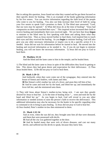But in asking this question, Jesus found out what they wanted and he got them focused on their specific desire for healing. This is an example of the healer gathering information by his five senses. You can receive information regarding the faith level of the people who come to you for healing. You also can help increase their level of faith by using your five senses to speak God's promises to them. 3) The blind men answered, "Lord, that our eyes may be opened." 4) What did Jesus do at the time of healing? "Jesus had compassion on them and touched their eyes." This inspired action increased their faith to receive healing and immediately their eyes received sight. We see here that Jesus **began** to minister to the blind men by first speaking with them and asking them what they wanted from him. Then as Jesus moved further to heal them, God inspired him to touch their eyes and they received the healing. As you **begin** to minister healing, God will also give you any other necessary information or inspire you to do a specific action if it is needed. Jesus did not wait for information before he started to heal. He moved into the healing and received information as he needed it. So, if you do not begin to minister healing, you will not know the necessary information. 5) Jesus did not pray to God to heal them.

#### **19. Matthew 21:14**

And the blind and the lame came to him in the temple; and he healed them.

1) The blind and the lame came to Jesus in spite of the difficulties they faced in getting to him. This shows they had great desire and expectation for their deliverance. 2) Thus Jesus healed them. 3) He did not pray to God to heal them.

## **20. Mark 1:29~31**

And forthwith, when they were come out of the synagogue, they entered into the house of Simon and Andrew, with James and John.

**30** But Simon's wife's mother lay sick of a fever, and anon they tell him of her.

**31** And he came and took her by the hand, and lifted her up; and immediately the fever left her, and she ministered unto them.

1) They told Jesus about Simon's mother-in-law being sick. I am sure they greatly desired for Jesus to heal her. 2) At the time of healing Jesus "… went and took her by the hand and lifted her up." As you begin to heal, God will reveal to you any other information or needed actions to raise the person's faith to receive the deliverance. This additional information may also be necessary for the healer to be specific regarding what to command or do to bring to pass healing. 3) Jesus did not pray to God to heal her. 4) Once healed, Peter's mother-in-law then ministered to them.

#### **21. Mark 1:32~34**

And at even, when the sun did set, they brought unto him all that were diseased, and them that were possessed with devils.

**33** And all the city was gathered together at the door.

**34** And he healed many that were sick of divers diseases, and cast out many devils; and suffered not the devils to speak, because they knew him.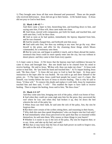1) They brought unto Jesus all that were diseased and possessed. These are the people who received deliverance. Jesus did not go to their homes. 2) He healed many. 3) Jesus did not pray to God to heal them.

## **22. Mark 1:40~45 \* +**

And there came a leper to him, beseeching him, and kneeling down to him, and saying unto him, If thou wilt, thou canst make me clean.

**41** And Jesus, moved with compassion, put forth *his* hand, and touched him, and saith unto him, I will; be thou clean.

**42** And as soon as he had spoken, immediately the leprosy departed from him, and he was cleansed.

**43** And he straitly charged him, and forthwith sent him away;

**44** And saith unto him, See thou say nothing to any man: but go thy way, shew thyself to the priest, and offer for thy cleansing those things which Moses commanded, for a testimony unto them.

**45** But he went out, and began to publish *it* much, and to blaze abroad the matter, insomuch that Jesus could no more openly enter into the city, but was without in desert places: and they came to him from every quarter.

1) A leper came to Jesus. 2) We know that the leprous man had confidence because he came to Jesus and besought him. But one doubt had to be cleared from his mind to receive healing. He said to Jesus, "**If** thou wilt, thou can make me clean." 3) Jesus took action to heal him. He "put forth his hand and touched him." 4) To impart healing Jesus said, "Be thou clean." 5) Jesus did not pray to God to heal the leper. 6) Jesus gave instruction to the leper after he was healed. He was told to go and show himself to the priest, etc. 7) The leper knew Jesus could heal people but wasn't sure if a leper, like himself, was worthy before the eyes of Jesus to receive healing. That is why he said to Jesus, "if thou wilt." To remove this doubt and replace it with faith, Jesus by inspiration touched him and then said, "I will." This enabled the leper to have faith to receive healing. Then to impart the healing, Jesus said to him, "Be thou clean."

## **23. Mark 2:3~12\***

And they come unto him, bringing one sick of the palsy, which was borne of four. **4** And when they could not come nigh unto him for the press, they uncovered the roof where he was: and when they had broken *it* up, they let down the bed wherein the sick of the palsy lay.

**5** When Jesus saw their faith, he said unto the sick of the palsy, Son, thy sins be forgiven thee.

**6** But there were certain of the scribes sitting there, and reasoning in their hearts,

**7** Why doth this *man* thus speak blasphemies? who can forgive sins but God only? **8** And immediately when Jesus perceived in his spirit that they so reasoned within themselves, he said unto them, Why reason ye these things in your hearts?

**9** Whether is it easier to say to the sick of the palsy, *Thy* sins be forgiven thee; or to say, Arise, and take up thy bed, and walk?

**10** But that ye may know that the Son of man hath power on earth to forgive sins, (he saith to the sick of the palsy,)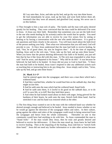**11** I say unto thee, Arise, and take up thy bed, and go thy way into thine house. **12** And immediately he arose, took up the bed, and went forth before them all; insomuch that they were all amazed, and glorified God, saying, We never saw it on this fashion.

1) They brought to him a man sick of palsy. The family and the man with palsy desired greatly for his healing. They were convinced that the man could be delivered if he went to Jesus. 2) Jesus saw their faith. Remember that sometimes you can see the faith level in the one who needs healing by his action(s) and/or the words that he speaks. You need to get the information you are able to receive by your five senses first by seeing or hearing or by having a conversation with the one who needs deliverance. It is good to ask questions and listen closely to the answers. You will learn much about the faith level of the person seeking your help. Then what ever information that you still need, God will provide to you. 3) Once Jesus understood that the man had faith to receive healing, he said, "Son, be of good cheer; thy sins be forgiven thee." 4) At the time of imparting healing, Jesus said to the sick man, "Arise, take up thy bed, and go unto thine house." When you know that the person desiring deliverance has faith to be healed, you just tell him that he has it like Jesus did with this man. 5) The sick man responded to what Jesus said "And he arose, and departed to his house." Why did he do this? It was because he believed; he had faith to be healed. 6) Jesus did not pray to God to heal him. 7) Since the man had faith to be healed, Jesus wasn't inspired to take any additional actions such as touching him or instructing him to do any thing else. Jesus simply said to him, "Arise, take up thy bed, and go unto thine house."

## **24. Mark 3:1~5\***

And he entered again into the synagogue; and there was a man there which had a withered hand.

**2** And they watched him, whether he would heal him on the sabbath day; that they might accuse him.

**3** And he saith unto the man which had the withered hand, Stand forth.

**4** And he saith unto them, Is it lawful to do good on the sabbath days, or to do evil? to save life, or to kill? But they held their peace.

**5** And when he had looked round about on them with anger, being grieved for the hardness of their hearts, he saith unto the man, Stretch forth thine hand. And he stretched *it* out: and his hand was restored whole as the other.

1) The first thing Jesus wanted to see in the man with the withered hand was whether he desired strongly enough and believed to be healed. Jesus needed to know whether or not he would go against the direction of the synagogue elders and rulers. In their culture, going against the elders and rulers of the synagogue could result in being ostracized from the synagogue and hence from the whole community. Thereafter no one in that community would have had anything to do with him. So Jesus commanded the man to "Stand forth." If the man would obey Jesus, then he truly and greatly desired and believed to receive the deliverance. 2) Since the man stood up, Jesus knew he had faith to receive healing. Then at the imparting of the healing, Jesus told him to "stretch forth thine hand." Jesus did not need any further information or to take other actions because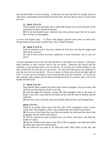the man had faith to receive healing. 3) Because the man had faith, he simply acted on what Jesus commanded and stretched forth his hand. 4) Jesus did not pray to God to heal the man.

# **25. Mark 3:9 & 10**

And he spake to his disciples, that a small ship should wait on him because of the multitude, lest they should throng him.

**10** For he had healed many; insomuch that they pressed upon him for to touch him, as many as had plagues.

1) Jesus had healed many. 2) Those with plagues pressed upon Jesus to touch him. People believed that if they touched Jesus, they would be healed.

# **26. Mark 3:14 & 15**

And he ordained twelve, that they should be with him, and that he might send them forth to preach,

**15** And to have power [*exousia*, authority] *to* heal sicknesses, and to cast out devils:

1) Jesus ordained twelve to be with him and then to send them out to preach. 2) He gave them authority to heal sickness and to cast out devils. Therefore the twelve had the authority to heal sickness and to cast out devils. It was then up to them whether or not they would heal the sick and cast out devils. We also have been given the authority to heal the sick and cast out devils. We are in place of Christ who sits on the right hand of God. It is now up to us whether or not to heal the sick and cast out devils. If we exercise this authority, then people will be healed and delivered but if we don't, they will not be healed and delivered.

# **27. Mark 5:22~24 +**

And, behold, there cometh one of the rulers of the synagogue, Jairus by name; and when he saw him [Jesus], he fell at his feet,

**23** And besought him greatly, saying, My little daughter lieth at the point of death: *I pray thee*, come and lay thy hands on her, that she may be healed; and she shall live.

**24** And *Jesus* went with him; and much people followed him, and thronged him.

# **Mark 5:35~43 +**

While he yet spake, there came from the ruler of the synagogue's *house certain* which said, Thy daughter is dead: why troublest thou the Master any further?

**36** As soon as Jesus heard the word that was spoken, he saith unto the ruler of the synagogue, Be not afraid, only believe.

**37** And he suffered no man to follow him, save Peter, and James, and John the brother of James.

**38** And he cometh to the house of the ruler of the synagogue, and seeth the tumult, and them that wept and wailed greatly.

**39** And when he was come in, he saith unto them, Why make ye this ado, and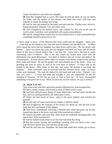weep? the damsel is not dead, but sleepeth.

**40** And they laughed him to scorn. But when he had put them all out, he taketh the father and the mother of the damsel, and them that were with him, and entereth in where the damsel was lying.

**41** And he took the damsel by the hand, and said unto her, Talitha cumi; which is, being interpreted, Damsel, I say unto thee, arise.

**42** And straightway the damsel arose, and walked; for she was *of the age* of twelve years. And they were astonished with a great astonishment.

**43** And he charged them straitly that no man should know it; and commanded that something should be given her to eat.

1) Jairus came to Jesus. 2) He believed that Jesus could heal his daughter. Jairus said, "…come and lay thy hands on her, that she may be healed; and she shall live." 3) When Jairus heard the news that his daughter was dead Jesus said to him, "Be not afraid, only believe." Jairus was given the news that his daughter had died, yet Jesus said do not be afraid of this news, instead believe that I can heal her. Jairus had a decision to make concerning what to believe. This is the area where the healer must work with the individuals who need deliverance. Get them to believe and not to fear and believe the circumstances. 4) Jesus did not allow others to remain in the house except for the parents, Peter, John and James. He put the people who had unbelief out of the house. Jesus was guarding the heart of Jairus as well as his own heart to believe. 5) Jesus said to the people in the house, "Why make ye this ado, and weep? the damsel is not dead, but sleepeth." Jesus confessed what he believed and this assisted Jairus' faith. 6) Jesus' action and command: "He took the damsel by the hand and said to her, 'Damsel, I say unto you, arise'." 7) Jesus had faith and brought to pass the impossible; he did the working of miracles. 8) He did not pray to God to heal her. 9) Jesus commanded something to be given her to eat. What we know by our five senses, we say or instruct.

# **28. Mark 5:24~34\***

And *Jesus* went with him; and much people followed him, and thronged him.

**25** And a certain woman, which had an issue of blood twelve years,

**26** And had suffered many things of many physicians, and had spent all that she had, and was nothing bettered, but rather grew worse,

**27** When she had heard of Jesus, came in the press behind, and touched his garment.

**28** For she said, If I may touch but his clothes, I shall be whole.

**29** And straightway the fountain of her blood was dried up; and she felt in *her* body that she was healed of that plague.

**30** And Jesus, immediately knowing in himself that virtue had gone out of him, turned him about in the press, and said, Who touched my clothes?

**31** And his disciples said unto him, Thou seest the multitude thronging thee, and sayest thou, Who touched me?

**32** And he looked round about to see her that had done this thing.

**33** But the woman fearing and trembling, knowing what was done in her, came and fell down before him, and told him all the truth.

**34** And he said unto her, Daughter, thy faith hath made thee whole; go in peace,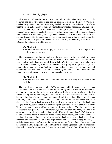and be whole of thy plague.

1) This woman had heard of Jesus. She came to him and touched his garment. 2) She believed and said, "If I may touch but his clothes, I shall be whole." 3) When she touched his garment, she was immediately healed. 4) Jesus came to know by revelation that the power had gone out of him. 5) She told him what had happened. 6) Jesus said to her, "Daughter, **thy faith** hath made thee whole; go in peace, and be whole of thy plague." When a person has faith to receive healing then a miracle of healing can happen. She believed that by touching Jesus' garment she should be made whole. Her faith was not that Jesus had to do something for her or say something to her for the healing. She had faith to touch his garment to be whole and it came to pass according to her faith. 7) Jesus did not pray to God to heal her.

# **29. Mark 6:5**

And he could there do no mighty work, save that he laid his hands upon a few sick folk, and healed *them*.

1) The reason Jesus could do no mighty works was because of their unbelief. We know this from the identical record in the book of Matthew (Matthew 13:58: "And he did not many mighty works there because of **their unbelief."**). 2) Therefore, he was only able to heal a few sick people. 3) We have to understand that gifting healing is not magic. It is given only to those who **have faith to receive healing**. If a person has doubt, unbelief, confessing that it may be difficult to receive healing, etc. then you cannot heal him. You guide him to confess and believe what God says about healing.

# **30. Mark 6:13**

And they cast out many devils, and anointed with oil many that were sick, and healed *them*.

1) The disciples cast out many devils. 2) They anointed with oil many that were sick and healed them. Jesus did not heal people by anointing with oil nor did he instruct the disciples to do so. Anointing the sick with oil was a Jewish custom; the disciples' faith to impart healing was by anointing the sick with oil. We know from the records we have been reading that it is not necessary to anoint with oil for healing. The bottom line, and only line, is the faith of the one who heals and the faith of the one who needs healing. If the healer has faith to heal by instructing the sick person (who believes the healer can heal) to drink a glass of water, then the healing can come to pass when the water is drunk. Various healers do many different things to impart healing. This is how they are confident to heal people. These different ways work for them and many who see it are confused and wonder why such methods work. If we understand that God's Word shows us that when the healer is confident or has faith to impart healing and the one who needs healing also has confidence or faith to receive healing, then the healing is simply imparted and received. Faith is the requirement, not the added things; however, the added things do not interfere with the healing as long as there is faith. Some people do not understand this simplicity and add things to the healing process. But we understand that faith is the only requirement. We see the patterns in God's Word of how Jesus Christ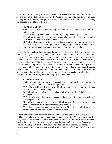healed and also how the apostles and the believers healed after the day of Pentecost. We need to stay in the ballpark of what God's Word teaches us regarding how to minister healing with the authority and power that God has given to us in Christ Jesus. 3) They did not pray to God to heal the sick.

# **31. Mark 6:53~56\***

And when they had passed over, they came into the land of Gennesaret, and drew to the shore.

**54** And when they were come out of the ship, straightway they knew him,

**55** And ran through that whole region round about, and began to carry about in beds those that were sick, where they heard he was.

**56** And whithersoever he entered, into villages, or cities, or country, they laid the sick in the streets, and besought him that they might touch if it were but the border of his garment: and as many as touched him were made whole.

1) They laid the sick in the streets and besought or asked Jesus if they might touch the border of his garment. 2) They believed that if they touched his garment, they would be healed. This was their faith to receive healing. In a previous record, we learned of the woman with the issue of blood who had this kind of faith. Many of these healings occurred in the area of Galilee. God's Word must have been preached greatly and those who received healing must have given their testimonies of deliverance in that part of the land. Verse 54 tells us that the people in Gennesaret immediately recognized Jesus and knew who he was. Apparently the community believing was very great. 3) Jesus did not say or do anything for them to receive healing. 4) They just received healing themselves according to **their faith**. 5) Jesus did not pray to God to heal them.

# **32. Mark 7:32~37 +**

And they bring unto him one that was deaf, and had an impediment in his speech; and they beseech him to put his hand upon him.

**33** And he took him aside from the multitude, and put his fingers into his ears, and he spit, and touched his tongue;

**34** And looking up to heaven, he sighed, and saith unto him, Ephphatha, that is, Be opened.

**35** And straightway his ears were opened, and the string of his tongue was loosed, and he spake plain.

**36** And he charged them that they should tell no man: but the more he charged them, so much the more a great deal they published *it*;

**37** And were beyond measure astonished, saying, He hath done all things well: he maketh both the deaf to hear, and the dumb to speak.

1) They brought to Jesus one that was deaf and had an impediment in his speech.

2) They besought Jesus to put his hand on this man to heal him. 3) Jesus took him aside, away from the multitude. He must have been inspired to do this to increase the man's level of faith. 4) Jesus took action in healing the man and "He put his fingers into his ears, and he spit, and touched his tongue and looking up to heaven, he sighed." These inspired actions increased the man's level of faith to receive healing. 5) When the man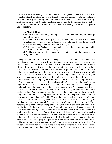had faith to receive healing, Jesus commanded, "Be opened." The man's ears were opened and the string of his tongue was loosed. Jesus had faith to operate the working of miracles and the gift of healing. His faith was always great. If our faith is not at a high level, that is, we are not absolutely confident that we can do the healing, then we believe to operate the manifestation of faith to do the miracle of healing. 6) Jesus did not pray to God to heal him.

#### **33. Mark 8:22~26**

And he cometh to Bethsaida; and they bring a blind man unto him, and besought him to touch him.

**23** And he took the blind man by the hand, and led him out of the town; and when he had spit on his eyes, and put his hands upon him, he asked him if he saw ought. **24** And he looked up, and said, I see men as trees, walking.

**25** After that he put *his* hands again upon his eyes, and made him look up: and he was restored, and saw every man clearly.

**26** And he sent him away to his house, saying, Neither go into the town, nor tell *it* to any in the town.

1) They brought a blind man to Jesus. 2) They beseeched Jesus to touch the man to heal him. 3) Jesus wanted to work with the blind man's faith away from those who brought him so "Jesus led him out of the town." Always do what feels comfortable to you to minister deliverance. If you feel the presence of others does not help you to have confidence to minister healing then either ask them to please leave or relocate yourself and the person desiring the deliverance to a more private area. Jesus was working with the blind man to increase his faith to the level of receiving healing. God will inspire your words and actions to help raise people's faith levels so that they will receive the deliverance they are seeking. 4) Jesus did three actions at the time of healing this man:

a) "He had spit on his eyes and put his hands upon him." b) He asked the man if he saw ought and the man answered that he saw men as trees walking. c) Jesus then put his hands again upon the man's eyes and made him look up. Jesus' actions and words were inspired by God and increased the man's faith. In the end, the man had full faith to receive healing. Another point to make here is that when a man does not have the desire along with some faith for healing then God will not give the inspiration or revelation to the healer to increase that man's faith. 5) Jesus did not pray to God to heal this blind man. 6) After healing the blind man, Jesus instructed him to go directly to his house saying, "Neither go into the town, nor tell *it* to any in the town." Why did Jesus say this? There must/may have been unbelief among the people who lived in that town that would have hurt the faith of this newly healed man. Once delivered, people still need to have faith concerning their healing. Satan would have doubt come into their hearts so that they would loose their deliverance. We see from the record that the blind man's faith was just enough to receive his deliverance. He may not have been able to stay firm in his deliverance if he had gone back and mixed with the unbelieving people of his town. Jesus did not want these people to put doubt in this newly delivered man's mind to the end he would loose the restoration of his sight. You need to be aware of the faith level of the person you ministered healing to and instruct him accordingly. If his faith is strong then instruct him to proclaim his deliverance to others in his town, etc. Otherwise,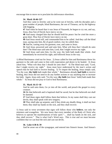encourage him to move on to proclaim his deliverance elsewhere.

# **34. Mark 10:46~52\***

And they came to Jericho: and as he went out of Jericho, with his disciples and a great number of people, blind Bartimaeus, the son of Timaeus, sat by the highway side begging.

**47** And when he heard that it was Jesus of Nazareth, he began to cry out, and say, Jesus, *thou* Son of David, have mercy on me.

**48** And many charged him that he should hold his peace: but he cried the more a great deal, *Thou* Son of David, have mercy on me.

**49** And Jesus stood still, and commanded him to be called. And they call the blind man, saying unto him, Be of good comfort, rise; he calleth thee.

**50** And he, casting away his garment, rose, and came to Jesus.

**51** And Jesus answered and said unto him, What wilt thou that I should do unto thee? The blind man said unto him, Lord, that I might receive my sight.

**52** And Jesus said unto him, Go thy way; thy faith hath made thee whole. And immediately he received his sight, and followed Jesus in the way.

1) Blind Bartimaeus cried out for Jesus. 2) Jesus called for him and Bartimaeus threw his garment to the side and came to him with expectation and desire to be healed. 3) Jesus asked him, "What wilt thou that I should do unto thee?" 4) The blind man said, "Lord, that I might receive my sight." Jesus must have understood by the man's action and speech that he had faith to receive healing. 5) To impart the healing, Jesus simply said, "Go thy way; **thy faith** hath made thee whole." Bartimaeus already **had faith** to receive healing, thus Jesus did not need to do any further actions or say anything else to increase his faith. Again, Jesus only said, "Go thy way; **thy faith** [not Jesus' faith] hath made thee whole." 6) Jesus did not pray to God to heal Bartimaeus.

# **35. Mark 16:15~18**

And he said unto them, Go ye into all the world, and preach the gospel to every creature.

**16** He that believeth and is baptized shall be saved; but he that believeth not shall be damned.

**17** And these signs shall follow them that believe; In my name shall they cast out devils; they shall speak with new tongues;

**18** They shall take up serpents; and if they drink any deadly thing, it shall not hurt them; they shall lay hands on the sick, and they shall recover.

1) Jesus said in verse seventeen that signs will follow those who **believe**, not only the ministers and evangelists. We now know that every member of the Body of Christ who believes to operate the manifestations of holy spirit "... shall lay hands on the sick, and they shall recover." That is what God's Word says. This is true and we must become confident that we can heal the sick and cast out devils.

# **36. Luke 4:38 & 39**

And he arose out of the synagogue, and entered into Simon's house. And Simon's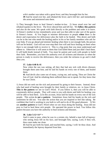wife's mother was taken with a great fever; and they besought him for her. **39** And he stood over her, and rebuked the fever; and it left her: and immediately she arose and ministered unto them.

1) They besought Jesus to heal Simon's mother-in-law. 2) Jesus stood over her and rebuked (spoke) to the fever. The fever obeyed him and left her. We **follow this pattern** and also do the same. We speak with faith directly to the problem and order it to leave. 3) Simon's mother-in-law immediately arose and was then able to take care of the guests in Simon's house. 4) You begin to minister deliverance to people **when** there is the desire and expectation for deliverance plus the faith to be healed. This desire and faith can be in the one who needs the healing and/or in his or her family members who ask for your help. If you go ahead and minister healing when there is not enough faith, the person will not be healed. God will not over-step their free will and force healing on them when there is not enough faith to receive it. This is a big point that you must understand and adhere to. Otherwise it will seem to them that God failed them and just didn't heal them. It will build doubt instead of faith. You must be patient and work with people to build their faith. Remember, you have the authority over all sickness and diseases so when the person is ready to receive the deliverance, then you order the sickness to go and it shall obey you.

# **37. Luke 4:40 & 41**

Now when the sun was setting, all they that had any sick with divers diseases brought them unto him; and he laid his hands on every one of them, and healed them.

**41** And devils also came out of many, crying out, and saying, Thou art Christ the Son of God. And he rebuking them suffered them not to speak: for they knew that he was Christ.

1) Jesus did not seek out the sick and possessed by going to their houses. Instead, those who had need of healing were brought by their family or relatives, etc. to Jesus Christ. This is the pattern we see in God's Word. If you follow it, then you will be able to consistently deliver people. They will come to you with desire and faith for healing; you will be able to heal them. 2) In this account, Jesus laid his hands on every one of the sick people. This action **is not a pattern**. Sometimes Jesus laid his hands on the sick and sometimes he did not. You take the action that you are inspired or feel like taking. Be confident that God is working in you both to will and to do of His good pleasure. 3) We see **another pattern** in God's Word when we see Jesus doing the healing. Jesus did not pray to God to heal these sick people. He operated the power to heal. You follow this pattern because you have the authority to heal sickness and diseases.

# **38. Luke 5:12~14 \* +**

And it came to pass, when he was in a certain city, behold a man full of leprosy: who seeing Jesus fell on his face, and besought him, saying, Lord, if thou wilt, thou canst make me clean.

**13** And he put forth his hand, and touched him, saying, I will: be thou clean. And immediately the leprosy departed from him.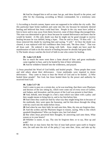**14** And he charged him to tell no man: but go, and shew thyself to the priest, and offer for thy cleansing, according as Moses commanded, for a testimony unto them.

1) According to Jewish custom, lepers were not supposed to be within the city walls. But this particular leper broke tradition and came into the city because he intensely desired healing and believed that Jesus could heal him. People in the city must have yelled at him to leave and to stay away from them; however, none of these things discouraged him. This man was determined to get to Jesus because he wanted deliverance and knew that he would be healed. 2) His only doubt was that he might not be good enough to receive healing because he was defiled, being a leper. Thus he said to Jesus, "If thou wilt." 3) Jesus removed this doubt by touching him and saying, "I will." 4) Once the doubt was cleared, it was replaced with full confidence then Jesus said, "Be thou clean." That was all Jesus said. He ordered it into being with faith. Jesus might not have used the manifestation of faith to do this miracle of healing because he already had great faith. 5) The healer always watches the level of faith in one who comes for healing.

## **39. Luke 5:15 &16**

But so much the more went there a fame abroad of him: and great multitudes came together to hear, and to be healed by him of their infirmities. **16** And he withdrew himself into the wilderness, and prayed.

1) Jesus preached the Word of God boldly and healed people. These people then went and told others about their deliverance. Great multitudes were inspired to desire deliverance. They came to Jesus to hear the Word of God and to be healed. 2) Who healed these people? Not God, but Jesus healed them by the power and authority he received from God.

#### **40. Luke 5:17~26**

And it came to pass on a certain day, as he was teaching, that there were Pharisees and doctors of the law sitting by, which were come out of every town of Galilee, and Judaea, and Jerusalem: and the power of the Lord was present to heal them.

**18** And, behold, men brought in a bed a man which was taken with a palsy: and they sought means to bring him in, and to lay him before him.

**19** And when they could not find by what way they might bring him in because of the multitude, they went upon the housetop, and let him down through the tiling with his couch into the midst before Jesus.

**20** And when he saw their faith, he said unto him, Man, thy sins are forgiven thee. **21** And the scribes and the Pharisees began to reason, saying, Who is this which speaketh blasphemies? Who can forgive sins, but God alone?

**22** But when Jesus perceived their thoughts, he answering said unto them, What reason ye in your hearts?

**23** Whether is easier, to say, Thy sins be forgiven thee; or to say, Rise up and walk?

**24** But that ye may know that the Son of man hath power upon earth to forgive sins, (he said unto the sick of the palsy,) I say unto thee, Arise, and take up thy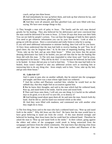couch, and go into thine house.

**25** And immediately he rose up before them, and took up that whereon he lay, and departed to his own house, glorifying God.

**26** And they were all amazed, and they glorified God, and were filled with fear, saying, We have seen strange things to day.

1) They brought a man sick of palsy to Jesus. The family and the sick man desired greatly for his healing. They also believed for his deliverance and were convinced that the man could be delivered if he went to Jesus. 2) Verse 20 says that Jesus saw their faith. You can see faith by people's actions. You can hear the language of faith by their speech. You need to get whatever information you can by your five senses. Look at what is going on with the person. Have a conversation and really listen to what he is saying. If you still need additional information to minister healing, then God will let you know. 3) Once Jesus understood that the man had faith to receive healing, he said "Son, be of good cheer; thy sins be forgiven thee." 4) At the time of imparting healing, Jesus said, "Arise, take up thy bed, and go unto thine house." When you know that the person desiring deliverance has faith to be healed, you just tell him that he has the healing like Jesus did with this man. 5) The sick man responded to what Jesus said "And he arose, and departed to his house." Why did he do this? It was because he believed; he had faith to be healed. 6) Jesus did not pray to God to heal him. 7) Since the man had faith to be healed, Jesus wasn't inspired to take any additional actions such as touching him or instructing him to do any thing else. Jesus simply said to him, "Arise, take up thy bed, and go unto thine house."

## **41. Luke 6:6~11\***

And it came to pass also on another sabbath, that he entered into the synagogue and taught: and there was a man whose right hand was withered.

**7** And the scribes and Pharisees watched him, whether he would heal on the sabbath day; that they might find an accusation against him.

**8** But he knew their thoughts, and said to the man which had the withered hand, Rise up, and stand forth in the midst. And he arose and stood forth.

**9** Then said Jesus unto them, I will ask you one thing; Is it lawful on the sabbath days to do good, or to do evil? to save life, or to destroy *it*?

**10** And looking round about upon them all, he said unto the man, Stretch forth thy hand. And he did so: and his hand was restored whole as the other.

**11** And they were filled with madness; and communed one with another what they might do to Jesus.

1) The first thing Jesus said to the man who had a withered hand was, "Rise up and stand forth in the midst." Why did Jesus say this first? He knew that the man would have to have great believing to stand out from the crowd. If this man desired strongly and believed for healing, then Jesus knew that he could heal his withered hand. Therefore he asked the man to "Rise up and stand forth in the midst." In their culture, going against the elders and rulers of the synagogue could result in being ostracized from the synagogue and hence from the whole community. The man knew that obeying what Jesus said would get him into trouble. If this man feared the scribes and Pharisees of the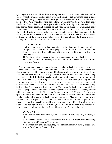synagogue, the man would not have risen up and stood in the midst. The man had to choose what he wanted. Did he really want the healing or did he want to keep in good standing with the synagogue leaders? Jesus got him to make up his mind. Had the man not stood up, Jesus would not have healed him. By the man's actions, Jesus then knew that he had faith and not fear. Jesus gathered this information by his five senses. 2) The man obeyed Jesus' command and rose up and stood in the midst. 3) Once Jesus knew and understood that the man had faith, Jesus said, "Stretch forth thy hand." 4) Because the man **had faith** to receive healing, he believed and acted on what Jesus said. He did the impossible and stretched forth his withered hand and it was immediately made whole. 5) Jesus did not do or say anything else because the man **already had faith** to receive healing. 6) He did not pray to God to heal the man.

## **42. Luke 6:17~19\***

And he came down with them, and stood in the plain, and the company of his disciples, and a great multitude of people out of all Judaea and Jerusalem, and from the sea coast of Tyre and Sidon, which came to hear him, and to be healed of their diseases;

**18** And they that were vexed with unclean spirits: and they were healed.

**19** And the whole multitude sought to touch him: for there went virtue out of him, and healed *them* all.

1) A great multitude of people came to hear Jesus and to be healed of their diseases.

2) They were healed. 3) The whole multitude sought to touch Jesus. They **believed** that they would be healed by simply touching him because virtue or power went out of him. They did not need Jesus to specifically minister to them or touch them or say something to them. They **had the faith** to receive healing and healing happened according to their faith. Why were they at such high level of faith? Jesus had been preaching the good news and healing a lot of people. Those who were healed had been proclaiming their deliverance to others who were now inspired to have faith to be healed because now they believed that Jesus was so full of power. 4) The power for healing went out of Jesus when the people touched him with faith and expectation to be healed. According to their faith, they were all healed. This record is similar to Acts 19:11 where God wrought special miracles (*dunamis*) by the hands of Paul when he passed around the aprons and handkerchiefs and people were healed by touching them. Also we have records where the shadow of Peter passed over people and they were healed. When people's faith is greatly increased by preaching, teaching and testimonies, this kind of healing can take place. The healings in this record were gifted by Jesus to as many who touched his garment and had faith to receive. 5) Jesus did not pray to God to heal them.

## **43. Luke 7:2~10\***

And a certain centurion's servant, who was dear unto him, was sick, and ready to die.

**3** And when he heard of Jesus, he sent unto him the elders of the Jews, beseeching him that he would come and heal his servant.

**4** And when they came to Jesus, they besought him instantly, saying, That he was worthy for whom he should do this: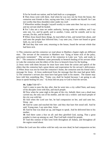**5** For he loveth our nation, and he hath built us a synagogue.

**6** Then Jesus went with them. And when he was now not far from the house, the centurion sent friends to him, saying unto him, Lord, trouble not thyself: for I am not worthy that thou shouldest enter under my roof:

**7** Wherefore neither thought I myself worthy to come unto thee: but say in a word, and my servant shall be healed.

**8** For I also am a man set under authority, having under me soldiers, and I say unto one, Go, and he goeth; and to another, Come, and he cometh; and to my servant, Do this, and he doeth *it*.

**9** When Jesus heard these things, he marvelled at him, and turned him about, and said unto the people that followed him, I say unto you, I have not found so great faith, no, not in Israel.

**10** And they that were sent, returning to the house, found the servant whole that had been sick.

1) This centurion and the centurion we read about in Matthew chapter eight are different men. The servant of the centurion in Matthew was "lying at home sick of the palsy, grievously tormented." The servant of the centurion in Luke was "sick, and ready to die." The centurion in Matthew came personally to beseech healing of his servant while in Luke the centurion sent the elders of the Jews to beseech Jesus for the healing.

2) Jesus went with them because he must have seen from the action and speech of the elders that the centurion had a great desire and expectation for his servant's deliverance. 3) When Jesus was not far from the centurion's home, the centurion sent his friend with a message for Jesus. 4) Jesus understood from the message that this man had great faith. 5) The centurion's servant also must have had great faith in his master. The master may have told him something like, "Today you shall be healed because I am going to ask Jesus to speak healing for you." 6) Jesus did not pray to God to heal the servant.

#### **44. Luke 7:11~17 +**

And it came to pass the day after, that he went into a city called Nain; and many of his disciples went with him, and much people.

**12** Now when he came nigh to the gate of the city, behold, there was a dead man carried out, the only son of his mother, and she was a widow: and much people of the city was with her.

**13** And when the Lord saw her, he had compassion on her, and said unto her, Weep not.

**14** And he came and touched the bier: and they that bare *him* stood still. And he said, Young man, I say unto thee, Arise.

**15** And he that was dead sat up, and began to speak. And he delivered him to his mother.

**16** And there came a fear on all: and they glorified God, saying, That a great prophet is risen up among us; and, That God hath visited his people.

**17** And this rumour of him went forth throughout all Judaea, and throughout all the region round about.

1) When the Lord saw this widow with her only son now dead, he had compassion on her.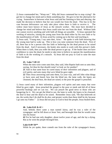2) Jesus commanded her, "Weep not." Why did Jesus command her to stop crying? He got her to change her mind and to think something else. He gave to her the alternative for crying. Somewhere in between what Jesus said and her listening to him and obeying, she made the decision to believe that her son would rise from the dead. This has to be the case because deliverance can only take place when there is faith to receive it. The widow must have known of Jesus as the miracle worker. She must have decided to change her mind and believe that Jesus could raise her son from the dead. Without faith one cannot receive anything and with faith all things are possible. 3) Jesus operated the working of miracles, raising the young man from the dead either by his own faith or by the manifestation of faith. 4) Jesus acted by coming up to the bier and touching it.

5) Jesus said, "Young man, I say unto thee, Arise." He spoke it with faith knowing that the young man had to wake up. This is how you raise someone from the dead. First of all, there has to be a person who has faith or believing for the dead person to be raised from the dead. And if necessary, the healer also needs to work with this person's faith. When there is faith, then you order the dead person to get up. If the healer does not have confidence to raise the dead, he needs to take time to believe to operate the manifestation of faith to do the working of a miracle. 6) Jesus did not pray to God to raise the man from the dead.

## **45. Luke 7:20~22**

When the men were come unto him, they said, John Baptist hath sent us unto thee, saying, Art thou he that should come? or look we for another?

**21** And in that same hour he cured many of *their* infirmities and plagues, and of evil spirits; and unto many *that were* blind he gave sight.

**22** Then Jesus answering said unto them, Go your way, and tell John what things ye have seen and heard; how that the blind see, the lame walk, the lepers are cleansed, the deaf hear, the dead are raised, to the poor the gospel is preached.

1) Jesus cured many of their infirmities, plagues evil spirits and unto many that were blind he gave sight. Jesus preached the gospel to the poor or meek and did all of these powerful healings and we can too. We can preach the good news to those who are hungering for it. We can get the blind to see, the lame to walk, the lepers to be cleansed, the deaf to hear and the dead to be raised. Remember Jesus said, "He that believeth on me, the works that I do shall he do also; and greater works than these shall he do; because I go unto my Father." 2) Jesus did not pray to God to heal the people; Jesus healed them.

### **46. Luke 8:41 & 42 +**

And, behold, there came a man named Jairus, and he was a ruler of the synagogue: and he fell down at Jesus' feet, and besought him that he would come into his house:

**42** For he had one only daughter, about twelve years of age, and she lay a dying. But as he went the people thronged him.

#### **Luke 8:49~56\*\***

While he yet spake, there cometh one from the ruler of the synagogue's *house*,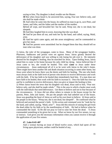saying to him, Thy daughter is dead; trouble not the Master.

**50** But when Jesus heard *it*, he answered him, saying, Fear not: believe only, and she shall be made whole.

**51** And when he came into the house, he suffered no man to go in, save Peter, and James, and John, and the father and the mother of the maiden.

**52**And all wept, and bewailed her: but he said, Weep not; she is not dead, but sleepeth.

**53** And they laughed him to scorn, knowing that she was dead.

**54** And he put them all out, and took her by the hand, and called, saying, Maid, arise.

**55** And her spirit came again, and she arose straightway: and he commanded to give her meat.

**56** And her parents were astonished: but he charged them that they should tell no man what was done.

1) Jairus, the ruler of the synagogue, came to Jesus. Many of the synagogue leaders, Pharisees, Sadducees and priests were set against Jesus. Jairus greatly desired the deliverance of his daughter and was willing to risk losing his job over it. He intensely desired for his daughter's healing, thus he searched for Jesus. Upon finding Jesus, Jairus asked him to come to his home because his only child lay dying. Jairus believed that if Jesus came to her, she would be healed. This ruler **came** to Jesus under these circumstances. Jesus understood all of it so he went with Jairus to the ruler's home. There might have been another life and death situation occurring in some other home, but Jesus went where he knew there was the desire and faith for healing. The one who heals must always look at the faith level of person who desires to receive deliverance and work with his faith. If he has faith to be healed then immediately heal him. If a man does not have faith to be healed, then work with his faith to increase it. Once his faith has risen up and he is confident to receive deliverance, then you give or impart the healing to him.

2) When Jairus heard the news that his daughter was dead, Jesus said to him, "Fear not: believe only, and she shall be made whole." This is the area in which a healer must work with the individuals that need deliverance. Get them to believe and not to fear because of the circumstances. 3) Jesus did not allow others to remain in the house except for the parents, Peter, John and James. He put the people who had unbelief out of the house. Jesus was guarding the heart of Jairus as well as his own heart to believe. 4) Jesus said to the people in the house, "Weep not; she is not dead, but sleepeth". He confessed what he believed and assisted the parent's faith. 5) His action and command were he "took her by the hand, and called, saying, 'Maid, arise'". Jesus did this miracle of raising the girl from the dead either by his faith or by the manifestation of faith. He had to believe when he commanded the maid. 6) He did not pray to God to raise her from the dead. 7) Jesus commanded something to be given her to eat. What we know by our five senses, we say or instruct. God gives you the necessary information when you cannot receive it through the application of your five senses.

## **47. Luke 8:43~48\***

And a woman having an issue of blood twelve years, which had spent all her living upon physicians, neither could be healed of any,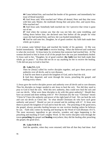**44** Came behind *him*, and touched the border of his garment: and immediately her issue of blood stanched.

**45** And Jesus said, Who touched me? When all denied, Peter and they that were with him said, Master, the multitude throng thee and press *thee*, and sayest thou, Who touched me?

**46** And Jesus said, Somebody hath touched me: for I perceive that virtue is gone out of me.

**47** And when the woman saw that she was not hid, she came trembling, and falling down before him, she declared unto him before all the people for what cause she had touched him, and how she was healed immediately.

**48** And he said unto her, Daughter, be of good comfort: thy faith hath made thee whole; go in peace.

1) A woman came behind Jesus and touched the border of his garment. 2) She was healed immediately. She **had faith** to receive healing. What she believed and confessed is what she received. 3) Jesus knew by revelation that someone had touched him. 4) The woman declared to him in front of all of the people how she was just immediately healed. 5) Jesus said to her, "Daughter, be of good comfort: **thy faith** [not his] hath made thee whole; go in peace." 6) Jesus did not do or say anything for her to receive the healing. 7) He did not pray to God to heal her.

#### **48. Luke 9:1, 2, 6**

Then he [Jesus] called his twelve disciples together, and gave them power and authority over all devils, and to cure diseases.

**2** And he sent them to preach the kingdom of God, and to heal the sick.

**6** And they departed, and went through the towns, preaching the gospel, and healing every where.

1) Jesus gave the twelve disciples power and authority over all devils and to cure diseases. Thus his disciples no longer needed to ask Jesus to heal the sick. Nor did they need to pray to God to heal the sick. With this new authority, they could now heal the sick and cast our devils. What were these disciples to do with this great authority? Should they have sat around and done nothing with it? We Christians [by the way "Christian" means "Christ In"] have the authority and power of the right hand of God. We can heal the sick and cast out devils as Christ did. So what should Christians do who have such great authority and power? Should we just sit around and do nothing with it? 2) Jesus sent them to preach the kingdom of God and to heal the sick. The preaching of the good news, the gospel, always precedes healing because no one receives healing unless he believes he can. Faith only comes by hearing and hearing by the Word of God (Romans 10:17). The most necessary ingredient to get miracles, wonders and signs happening is the preaching and teaching of God's mighty Word. 3) The twelve disciples went through the towns **preaching** the gospel and **healing** everywhere; they did the healing after preaching the gospel, the good news.

#### **49. Luke 9:10 & 11**

And the apostles, when they were returned, told him all that they had done. And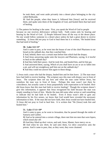he took them, and went aside privately into a desert place belonging to the city called Bethsaida.

**11** And the people, when they knew it, followed him [Jesus]: and he received them, and spake unto them of the kingdom of God, and healed them that had need of healing.

1) The pattern for healing is the same. First, you speak the Word of God to people because no one receives deliverance without faith. Faith comes only by hearing and hearing by the Word of God. 2) People followed Jesus all the way to the desert place. No one would follow someone to a desert place unless he had a great desire to receive something. 3) Jesus did not pray to God to heal them but it is written, "He healed them that had need of healing."

#### **50. Luke 14:1~6\***

And it came to pass, as he went into the house of one of the chief Pharisees to eat bread on the sabbath day, that they watched him.

**2** And, behold, there was a certain man before him which had the dropsy.

**3** And Jesus answering spake unto the lawyers and Pharisees, saying, Is it lawful to heal on the sabbath day?

**4** And they held their peace. And he took *him*, and healed him, and let him go;

**5** And answered them, saying, Which of you shall have an ass or an ox fallen into a pit, and will not straightway pull him out on the sabbath day?

**6** And they could not answer him again to these things.

1) Jesus took a man who had the dropsy, healed him and let him leave. 2) The man must have had faith to receive healing. The scripture says this man with dropsy was in front of Jesus. The scripture does not say how and when the man came before Jesus, but somehow the man was in front of Jesus. Perhaps this man wasn't just there by coincidence, but actually came to Jesus purposefully with expectation to be healed. How did Jesus know that this man had faith to receive healing? Though the scripture doesn't give this information, it appears that Jesus recognized his faith because the man was simply standing in front of him. Maybe the man did some other action or said something to indicate that he had faith to be healed. Even if Jesus wasn't able to gain any information by his five senses, we know that God would have revealed the necessary information to him. If the man did not have faith, then Jesus would not have healed him. 3) Jesus did not pray to God to heal him. It is written that "He [Jesus] took *him* and healed him."

#### **51. Luke 17:11~19\***

And it came to pass, as he went to Jerusalem, that he passed through the midst of Samaria and Galilee.

**12** And as he entered into a certain village, there met him ten men that were lepers, which stood afar off:

**13** And they lifted up *their* voices, and said, Jesus, Master, have mercy on us.

**14** And when he saw *them*, he said unto them, Go shew yourselves unto the priests. And it came to pass, that, as they went, they were cleansed.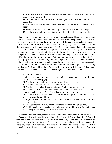**15** And one of them, when he saw that he was healed, turned back, and with a loud voice glorified God,

**16** And fell down on *his* face at his feet, giving him thanks: and he was a Samaritan.

**17** And Jesus answering said, Were there not ten cleansed? but where *are* the nine?

**18** There are not found that returned to give glory to God, save this stranger.

**19** And he said unto him, Arise, go thy way: thy faith hath made thee whole.

1) Ten lepers who stood far away still were able to **meet** Jesus. These lepers understood that their custom prohibited defiled men such as themselves (being lepers) to come near a normal person. So they stood far away but they still **desired** and **expected** deliverance. 2) Because of the distance separating them from Jesus, they lifted up their voices and shouted, "Jesus, Master, have mercy on us." 3) Thus after seeing their faith, Jesus said to them, "Go shew themselves unto the priests." This means that they were cleansed, so they were to go show themselves to the priest in the temple. 4) What was the response of the lepers? They believed what Jesus said and therefore they began to walk to the temple and "as they went, they were cleansed." Without faith no one receives healing. 5) Jesus did not pray to God to heal them. 6) One of the lepers was a Samaritan who turned back and glorified God. Previously he had to stand far away from Jesus but once cleansed, he came all the way to be near Jesus falling down before him (showing respect) and giving him thanks. 7) Jesus said to him, "Arise, go thy way: **thy faith** [not Jesus'] hath made thee whole." This man not only received healing but also was made whole.

## **52. Luke 18:35~43\***

And it came to pass, that as he was come nigh unto Jericho, a certain blind man sat by the way side begging:

**36** And hearing the multitude pass by, he asked what it meant.

**37** And they told him, that Jesus of Nazareth passeth by.

**38** And he cried, saying, Jesus, *thou* Son of David, have mercy on me.

**39** And they which went before rebuked him, that he should hold his peace: but he cried so much the more, *Thou* Son of David, have mercy on me.

**40**And Jesus stood, and commanded him to be brought unto him: and when he was come near, he asked him,

**41** Saying, What wilt thou that I shall do unto thee? And he said, Lord, that I may receive my sight.

**42** And Jesus said unto him, Receive thy sight: thy faith hath saved thee.

**43** And immediately he received his sight, and followed him, glorifying God: and all the people, when they saw *it*, gave praise unto God.

1) A certain blind man cried, saying, "Jesus, thou Son of David, have mercy on me."

2) Because of his insistence, he was called before Jesus. 3) Jesus asked him, "What wilt thou that I shall do unto thee?" 4) The blind man said, "Lord, that I may receive my sight." 5) Jesus did not take any other actions. 6) Jesus only said to him, "Receive thy sight: **thy faith** hath saved thee." The blind man **had faith** to receive deliverance. When a man has the faith to receive deliverance, then you can say, "According to thy faith be it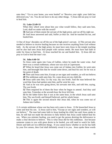unto thee," "Go to your home, you were healed" or "Receive your sight: your faith has delivered you," etc. You do not have to do any other things. 7) Jesus did not pray to God to heal him.

## **53. Luke 22:49~51**

When they which were about him saw what would follow, they said unto him, Lord, shall we smite with the sword?

**50** And one of them smote the servant of the high priest, and cut off his right ear. **51** And Jesus answered and said, Suffer ye thus far. And he touched his ear, and

healed him.

1) One of Jesus' disciples cut off the ear of the high priest's servant. 2) This servant also needed to believe to receive healing because no one receives anything from God without faith. As the servant of the high priest, he must have seen Jesus in the temple teaching and he also had seen Jesus heal people with various needs. He must have had faith in order for Jesus to heal him. 2) Jesus touched his ear and healed him. 3) Jesus did not pray to God to heal the man's ear.

## **54. John 4:46~54**

So Jesus came again into Cana of Galilee, where he made the water wine. And there was a certain nobleman, whose son was sick at Capernaum.

**47** When he heard that Jesus was come out of Judaea into Galilee, he went unto him, and besought him that he would come down, and heal his son: for he was at the point of death.

**48** Then said Jesus unto him, Except ye see signs and wonders, ye will not believe. **49** The nobleman saith unto him, Sir, come down ere my child die.

**50** Jesus saith unto him, Go thy way; thy son liveth. And the man believed the word that Jesus had spoken unto him, and he went his way.

**51** And as he was now going down, his servants met him, and told *him*, saying, Thy son liveth.

**52** Then enquired he of them the hour when he began to amend. And they said unto him, Yesterday at the seventh hour the fever left him.

**53** So the father knew that *it was* at the same hour, in the which Jesus said unto him. Thy son liveth: and himself believed, and his whole house.

**54** This *is* again the second miracle *that* Jesus did, when he was come out of Judaea into Galilee.

1) A certain nobleman whose son has been sick came to Jesus. 2) He beseeched Jesus to come and heal his son. 3) Jesus said to him, "Except ye see signs and wonders, ye will not believe." The man had some faith in Jesus healing his child, but until Jesus spoke to him, he still had not made the decision to fully believe that Jesus could indeed heal his son. When you minister healing, you need to get the person desiring the deliverance to make a clear decision to believe. This is what Jesus did for this nobleman. Just because someone comes to you with great desire to be healed, you still need to watch for faith. Desire and faith are two different things. If you cannot know whether or not he has faith by your five senses, then God shall definitely reveal it to you. Jesus spoke these words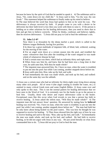because he knew by the spirit of God that he needed to speak it. 4) The nobleman said to Jesus, "Sir, come down ere my child die." 5) Jesus said to him, "Go thy way; thy son liveth." This statement helped the nobleman to finally make up his mind to believe.

6) The man believed the word that Jesus had spoken to him so he went his way. The deliverance is always received by faith. If people come to you with a desire to be delivered, but their faith level is low then you work with them to raise it. If the person is holding on to other solutions for his healing deliverance, then you need to show that to him and get him to believe correctly. When he thinks, confesses and believes rightly, then he receives deliverance. 7) Jesus did not pray to God to heal the nobleman's son.

#### **55. John 5:2~8\***

Now there is at Jerusalem by the sheep *market* a pool, which is called in the Hebrew tongue Bethesda, having five porches.

**3** In these lay a great multitude of impotent folk, of blind, halt, withered, waiting for the moving of the water.

**4** For an angel went down at a certain season into the pool, and troubled the water: whosoever then first after the troubling of the water stepped in was made whole of whatsoever disease he had.

**5** And a certain man was there, which had an infirmity thirty and eight years.

**6** When Jesus saw him lie, and knew that he had been now a long time *in that case*, he saith unto him, Wilt thou be made whole?

**7** The impotent man answered him, Sir, I have no man, when the water is troubled, to put me into the pool: but while I am coming, another steppeth down before me.

**8** Jesus saith unto him, Rise, take up thy bed, and walk.

**9** And immediately the man was made whole, and took up his bed, and walked: and on the same day was the sabbath.

1) Jesus saw a certain man who had an infirmity for thirty-eight years lying down among many other sick people. All of verse 4 (the angel coming to trouble the water, etc.) is omitted in many critical Greek texts and some English Bibles. 2) Jesus came over and only spoke to this man. This is not the normal pattern for healing deliverance that we have seen in the Word of God. It is extremely rare for the healer to go to the person to heal him. Usually, those who desire and expect deliverance come to the healer. Exceptional cases like this occur when God reveals to you that a person has faith to receive healing. 3) Jesus asked the infirm man, "Wilt thou be made whole?" 4) The impotent man did not answer Jesus' question. He answered by stating how he **believed** healing was received; "Sir, I have no man, when the water is troubled, to put me into the pool: but while I am coming, another steppeth down before me." The man had faith but he only knew about being healed via the pool waters. This was how he thought he was supposed to receive his healing. 5) Then Jesus showed him the right way of how he was to receive healing and said to the man, "Rise, take up thy bed, and walk." 6) Immediately the man was made whole, and took up his bed, and walked. He had faith to receive healing, so he did not argue with Jesus in any way. He just acted literally on what Jesus commanded him to do. 7) Jesus did not pray to God to heal the man.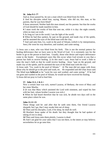## **56. John 9:1~7\***

And as *Jesus* passed by, he saw a man which was blind from *his* birth.

**2** And his disciples asked him, saying, Master, who did sin, this man, or his parents, that he was born blind?

**3** Jesus answered, Neither hath this man sinned, nor his parents: but that the works of God should be made manifest in him.

**4** I must work the works of him that sent me, while it is day: the night cometh, when no man can work.

**5** As long as I am in the world, I am the light of the world.

**6** When he had thus spoken, he spat on the ground, and made clay of the spittle, and he anointed the eyes of the blind man with the clay,

**7** And said unto him, Go, wash in the pool of Siloam, (which is by interpretation, Sent.) He went his way therefore, and washed, and came seeing.

1) Jesus saw a man, who was blind from his birth. This is not the normal pattern for healing deliverance that we have seen in the Word of God. It is extremely rare for the healer to go to the person to heal him. Usually, those who desire and expect deliverance come to the healer. Exceptional cases like this occur when God reveals to you that a person has faith to receive healing. 2) In this man's case, Jesus had to work a little to raise the man's faith so that he could receive healing. Jesus "spat on the ground, and made clay of the spittle, and he anointed the eyes of the blind man with the clay."

3) Jesus said, "Go, wash in the pool of Siloam." 4) The man did not argue with Jesus about why he should go to the pool and wash, etc. He responded and did what Jesus said. The blind man **believed** so he "went his way and washed, and came seeing." If he had not gone and washed in the pool of Siloam, he would not have received his healing. 5) Jesus did not pray to God to heal him.

#### **57. John 11:1, 2 & 6 +**

Now a certain *man* was sick, *named* Lazarus, of Bethany, the town of Mary and her sister Martha.

**2** (It was *that* Mary which anointed the Lord with ointment, and wiped his feet with her hair, whose brother Lazarus was sick.)

**6** When he had heard therefore that he was sick, he abode two days still in the same place where he was.

#### **John 11:11~15**

These things said he: and after that he saith unto them, Our friend Lazarus sleepeth; but I go, that I may awake him out of sleep.

**12** Then said his disciples, Lord, if he sleep, he shall do well.

**13** Howbeit Jesus spake of his death: but they thought that he had spoken of taking of rest in sleep.

**14** Then said Jesus unto them plainly, Lazarus is dead.

**15** And I am glad for your sakes that I was not there, to the intent ye may believe; nevertheless let us go unto him.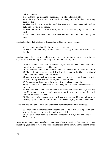## **John 11:18~44**

Now Bethany was nigh unto Jerusalem, about fifteen furlongs off:

**19** And many of the Jews came to Martha and Mary, to comfort them concerning their brother.

**20** Then Martha, as soon as she heard that Jesus was coming, went and met him: but Mary sat *still* in the house.

**21** Then said Martha unto Jesus, Lord, if thou hadst been here, my brother had not died.

**22** But I know, that even now, whatsoever thou wilt ask of God, God will give *it* thee.

Martha had faith that whatsoever Jesus asked of God, he would receive.

**23** Jesus saith unto her, Thy brother shall rise again.

**24** Martha saith unto him, I know that he shall rise again in the resurrection at the last day.

Martha thought that Jesus was talking of raising his brother in the resurrection at the last day, but Jesus was talking about raising him from the dead right then.

**25** Jesus said unto her, I am the resurrection, and the life: he that believeth in me, though he were dead, yet shall he live:

**26** And whosoever liveth and believeth in me shall never die. Believest thou this? **27** She saith unto him, Yea, Lord: I believe that thou art the Christ, the Son of God, which should come into the world.

**28** And when she had so said, she went her way, and called Mary her sister secretly, saying, The Master is come, and calleth for thee.

**29** As soon as she heard *that*, she arose quickly, and came unto him.

**30** Now Jesus was not yet come into the town, but was in that place where Martha met him.

**31** The Jews then which were with her in the house, and comforted her, when they saw Mary, that she rose up hastily and went out, followed her, saying, She goeth unto the grave to weep there.

**32** Then when Mary was come where Jesus was, and saw him, she fell down at his feet, saying unto him, Lord, if thou hadst been here, my brother had not died.

Mary also had faith that if Jesus was with them, her brother would not have died.

**33** When Jesus therefore saw her weeping, and the Jews also weeping which came with her, he groaned in the spirit, and was troubled,

**34** And said, Where have ye laid him? They said unto him, Lord, come and see. **35** Jesus wept.

Jesus himself wept. You may also get emotional when you are in such a situation but you must keep your mind focused and work with the faith of the family. In this record, either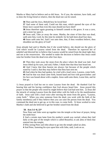Martha or Mary had to believe and so did Jesus. So if you, the minister, have faith, and so does the living friend or relative, then the dead one can be raised.

**36** Then said the Jews, Behold how he loved him!

**37** And some of them said, Could not this man, which opened the eyes of the blind, have caused that even this man should not have died?

**38** Jesus therefore again groaning in himself cometh to the grave. It was a cave, and a stone lay upon it.

**39** Jesus said, Take ye away the stone. Martha, the sister of him that was dead, saith unto him, Lord, by this time he stinketh: for he hath been *dead* four days.

**40** Jesus saith unto her, Said I not unto thee, that, if thou wouldest believe, thou shouldest see the glory of God?

Jesus already had said to Martha that if she would believe, she should see the glory of God which would be Lazarus raised from the dead. Therefore he reproved her of unbelief and directed her to believe that Lazarus would be raised from the dead right then and not at the resurrection. She needed to make the decision to believe that Jesus could raise her brother from the dead even after four days.

**41** Then they took away the stone *from the place* where the dead was laid. And Jesus lifted up *his* eyes, and said, Father, I thank thee that thou hast heard me.

**42** And I knew that thou hearest me always: but because of the people which stand by I said *it*, that they may believe that thou hast sent me.

**43** And when he thus had spoken, he cried with a loud voice, Lazarus, come forth. **44** And he that was dead came forth, bound hand and foot with graveclothes: and his face was bound about with a napkin. Jesus saith unto them, Loose him, and let him go.

1) Jesus prayed to God but not to raise Lazarus from the dead. He thanked God for hearing him and his having confidence that God always heard him. Jesus prayed this prayer so that the people who stood by might believe that God had sent him. 2) Jesus did the miracle of raising Lazarus from the dead either with his faith or by the manifestation of faith. Jesus said with a loud voice after moving the stone from the grave, "Lazarus, come forth." When you raise someone from the dead, you work with the faith of the family member(s) and if they believe then you can raise the person from the dead. You command the dead one to get up, or in this case, to come forth. 3) Jesus worked to raise Martha's faith and she believed to get her brother raised from the dead.

# **58. Acts 3:1~8, 22\***

Now Peter and John went up together into the temple at the hour of prayer, *being* the ninth *hour*.

**2** And a certain man lame from his mother's womb was carried, whom they laid daily at the gate of the temple which is called Beautiful, to ask alms of them that entered into the temple;

**3** Who seeing Peter and John about to go into the temple asked an alms.

**4** And Peter, fastening his eyes upon him with John, said, Look on us.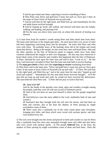**5** And he gave heed unto them, expecting to receive something of them.

**6** Then Peter said, Silver and gold have I none; but such as I have give I thee: In the name of Jesus Christ of Nazareth rise up and walk.

**7** And he took him by the right hand, and lifted *him* up: and immediately his feet and ankle bones received strength.

**8** And he leaping up stood, and walked, and entered with them into the temple, walking, and leaping, and praising God.

**22** For the man was above forty years old, on whom this miracle of healing was shewed.

1) A man lame from his mother's womb seeing Peter and John asked alms from them. The lame man had been at the temple gate daily. He must have been very aware of what had been happening concerning Jesus and his disciples. He knew that Peter and John were with Jesus. He probably knew of the healings Jesus did in the temple and round about that district. Being at the temple, he also must have seen and heard Peter, John and the other apostles on the Day of Pentecost speak in tongues while Jews from other countries understood the tongues in their own languages. He also may have observed or heard about some of the miracles and wonders that happened after the Day of Pentecost. 2) Peter, fastened his eyes upon the lame man and said to him, "Look on us." By this time, God must have revealed to Peter that this lame man had faith to receive healing.

3) The **man gave heed** to Peter and John **expecting to receive** something from them.

4) Then Peter said to the lame man, "Silver and gold have I none; but such as I have give I thee: In the name of Jesus Christ of Nazareth rise up and walk." 5) Then "He took him by the right hand, and lifted him up," and at the same time the man also "leaped up and stood and walked." "Immediately his feet and ankle bones received strength". 6) If the man did not leap up and stand and walk, he would not have received the deliverance. The man believed what Peter said. 7) Peter did not pray to God to heal him.

# **59. Acts 5:12~16\***

And by the hands of the apostles were many signs and wonders wrought among the people; (and they were all with one accord in Solomon's porch.

**13** And of the rest durst no man join himself to them: but the people magnified them.

**14** And believers were the more added to the Lord, multitudes both of men and women.)

**15** Insomuch that they brought forth the sick into the streets, and laid *them* on beds and couches, that at the least the shadow of Peter passing by might overshadow some of them.

**16** There came also a multitude *out* of the cities round about unto Jerusalem, bringing sick folks, and them which were vexed with unclean spirits: and they were healed every one.

1) The sick were brought into the streets and placed on beds and couches to wait for Peter. Also a multitude from the cities near Jerusalem brought more sick folks and also those who were vexed with unclean spirits. 2) The people **believed** that, at the least, the shadow of Peter passing by might overshadow some of them and heal them. Peter did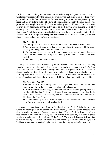not have to do anything in this case but to walk along and pass by them. Just as wholeness was received by the faith of the woman who had an issue of blood for twelve years and not by the faith of Jesus, so also was healing imparted to these people **by their**  faith and not by Peter's faith. The level of faith had risen greatly because the apostles **preached** and **taught** the Word of God relentlessly with boldness. Those who were delivered gave testimony of their deliverance so the believers were praising God. They certainly must have spoken to one another about the wonderful works God had done in their lives. All of these testimonies also helped to raise the level of people's faith. 3) The level of faith was so high that **every one was healed** when Peter's shadow passed over them. 4) Peter did not pray to God to heal them.

## **60. Acts 8:5~8**

Then Philip went down to the city of Samaria, and preached Christ unto them. **6** And the people with one accord gave heed unto those things which Philip spake,

hearing and seeing the miracles which he did.

**7** For unclean spirits, crying with loud voice, came out of many that were possessed *with them*: and many taken with palsies, and that were lame, were healed.

**8** And there was great joy in that city.

1) Philip went to the city of Samaria. 2) Philip preached Christ to them. The first thing you always must do before delivering healing is to boldly preach and teach God's Word You tell them that healing is available right now, etc. This generates faith and desire in them to receive healing. They will come to you to be healed and then you heal them. 3) Philip cast out unclean spirits from many that were possessed and he healed those

# taken with palsies and those who were lame. 4) Philip did not pray to God to heal him.

#### **61. Acts 9:8, 17 & 18\***

And Saul arose from the earth; and when his eyes were opened, he saw no man: but they led him by the hand, and brought *him* into Damascus.

**17** And Ananias went his way, and entered into the house; and putting his hands on him said, Brother Saul, the Lord, *even* Jesus, that appeared unto thee in the way as thou camest, hath sent me, that thou mightest receive thy sight, and be filled with the Holy Ghost.

**18** And immediately there fell from his eyes as it had been scales: and he received sight forthwith, and arose, and was baptized.

1) Ananias received instructions from the Lord and went to Saul. This is the exception where the healer goes to the person who needs healing. This exception happens when there is revelation to do so. 2) Ananias said to Saul, "Brother Saul, the Lord, *even* Jesus, that appeared unto thee in the way as thou camest, hath sent me, that thou mightest receive thy sight, and be filled with the Holy Ghost." These words **brought faith** to Saul to receive healing. 3) After Saul heard this, "immediately there fell from his eyes as it had been scales: and he received sight." 4) Ananias did not pray to God to heal him.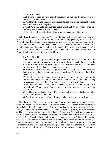## **62. Acts 9:32~35\***

And it came to pass, as Peter passed throughout all *quarters*, he came down also to the saints which dwelt at Lydda.

**33** And there he found a certain man named Aeneas, which had kept his bed eight years, and was sick of the palsy.

**34** And Peter said unto him, Aeneas, Jesus Christ maketh thee whole: arise, and make thy bed. And he arose immediately.

**35** And all that dwelt at Lydda and Saron saw him, and turned to the Lord.

1) Peter **found** a certain man named Aeneas, who had kept his bed eight years and was sick of the palsy. This is also an exception to how healing generally took place in the Word of God. Peter found Aeneas because he was instructed by God to go and heal this man who must have had faith to receive wholeness. 2) Peter said to him, "Aeneas, Jesus Christ maketh thee whole: arise, and make thy bed." 3) Aeneas "arose immediately." If Aeneas did not have faith to receive healing, he would not have acted on the command of Peter. 4) Peter did not pray to God to heal him.

# **63. Acts 9:36~42 +**

Now there was at Joppa a certain disciple named Tabitha, which by interpretation is called Dorcas: this woman was full of good works and almsdeeds which she did. **37** And it came to pass in those days, that she was sick, and died: whom when they had washed, they laid *her* in an upper chamber.

**38** And forasmuch as Lydda was nigh to Joppa, and the disciples had heard that Peter was there, they sent unto him two men, desiring *him* that he would not delay to come to them.

**39** Then Peter arose and went with them. When he was come, they brought him into the upper chamber: and all the widows stood by him weeping, and shewing the coats and garments which Dorcas made, while she was with them.

**40** But Peter put them all forth, and kneeled down, and prayed; and turning *him* to the body said, Tabitha, arise. And she opened her eyes: and when she saw Peter, she sat up.

**41** And he gave her *his* hand, and lifted her up, and when he had called the saints and widows, presented her alive.

**42** And it was known throughout all Joppa; and many believed in the Lord.

1) The disciples at Joppa sent two men to ask Peter to come quickly to Joppa. 2) Peter went with them. These two men were sent to Peter because some of the believers in Joppa **believed** that Peter could raise Dorcas. Peter therefore went with them. 3) He was brought to the upper chamber where all the widows stood weeping by the body of Dorcas. 4) These crying women were not helping Peter's faith to raise Dorcas from the dead so he put all of them out of the chamber. I do not think Peter still had faith to raise her from the dead. 5) Peter "kneeled down, and prayed and turned to the body." Why did Peter pray to God? He was getting his faith to rise up to the point of the manifestation of faith (the knowing awareness that what he would command would come to pass.) In the Old Testament we see prayer during ministering healing (refer to Appendix 3). However, from the time and ministry of Jesus Christ to the present period of the Grace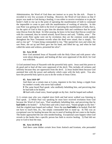Administration, the Word of God does not instruct us to pray for the sick. Prayer is recorded in very few accounts of healing. However, the Word of God shows us that if prayer was made to God during a healing, it was either to receive revelation or to get the healer's faith to rise up to the point of operating the manifestation of faith to command the impossible to come to pass with the manifestation of working of miracles. In this case Peter was getting his faith to the level of operating the manifestation of faith, that is, for the spirit of God in him to give him the absolute faith and confidence that he could raise Dorcas from the dead. 6) After praying, he knew in his heart that Dorcas would rise with his command, thus he turned around, faced Dorcas and said, "Tabitha, arise." The actual words Peter spoke were not by revelation; they are the common words spoken throughout the New Testament records when the dead were raised, that is simply, "So and so rise up!" 7) Upon being commanded to rise, "She opened her eyes and when she saw Peter, she sat up and Peter gave her his hand, and lifted her up, and when he had called the saints and widows, presented her alive".

## **64. Acts 10:38**

How God anointed Jesus of Nazareth with the Holy Ghost and with power: who went about doing good, and healing all that were oppressed of the devil; for God was with him.

1) God anointed Jesus of Nazareth with the powerful holy spirit. Jesus used this power to do good and to heal all that were oppressed of the devil. This includes all sickness and infirmity because they are oppression from the devil. 2) Jesus healed them because God anointed him with the power and authority which came with the holy spirit. You also have the powerful holy spirit in you to do the works of Jesus Christ.

#### **65. Acts 14:8~10\***

And there sat a certain man at Lystra, impotent in his feet, being a cripple from his mother's womb, who never had walked:

**9** The same heard Paul speak: who stedfastly beholding him, and perceiving that he had faith to be healed,

**10** Said with a loud voice, Stand upright on thy feet. And he leaped and walked.

1) A certain man who was crippled since birth and had never walked was listening to Paul speak. 2) While Paul was speaking he must have received revelation from God because the Word of God says, "Paul steadfastly beholding him, and perceiving that he **had faith** to be healed." 3) Paul then said with a loud voice, "Stand upright on thy feet." And the crippled man leaped and walked. Since the man **had faith** to be healed, Paul did not have to touch him, etc., but simply commanded him to stand up. 4) This was an exceptional case for healing because the one in need of healing did not come to the healer. The healer approached the one who needed healing. Exceptional cases happen when God reveals to the healer that a specific person has faith to receive healing. 5) Paul did not pray to God to heal the man.

#### **66. Acts 14:19 & 20**

And there came thither *certain* Jews from Antioch and Iconium, who persuaded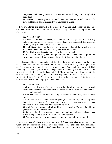the people, and, having stoned Paul, drew *him* out of the city, supposing he had been dead.

**20** Howbeit, as the disciples stood round about him, he rose up, and came into the city: and the next day he departed with Barnabas to Derbe.

1) Paul was stoned and assumed to be dead. 2) What did Paul's disciples do? "The disciples stood round about him and he rose up." They ministered healing to Paul and got him up.

# **67. Acts 19:9~12\***

But when divers were hardened, and believed not, but spake evil of that way before the multitude, he departed from them, and separated the disciples, disputing daily in the school of one Tyrannus.

**10** And this continued by the space of two years; so that all they which dwelt in Asia heard the word of the Lord Jesus, both Jews and Greeks.

**11** And God wrought special miracles by the hands of Paul:

**12** So that from his body were brought unto the sick handkerchiefs or aprons, and the diseases departed from them, and the evil spirits went out of them.

1) Paul separated the disciples and disputed daily in the school of Tyrannus for the period of two years so all those in Asia heard the Word of the Lord Jesus. 2) Teaching the Word of God precedes the miracles, wonders and signs. Paul taught the Word of God, including the Great Mystery, so the temperature of believing rose so high that God wrought special miracles by the hands of Paul; "From his body were brought unto the sick handkerchiefs or aprons, and the diseases departed from them, and the evil spirits went out of them." 3) People with needs for healing had great faith to receive deliverance. 4) Paul did not pray to God to heal them.

# **68. Acts 20:7~12**

And upon the first *day* of the week, when the disciples came together to break bread, Paul preached unto them, ready to depart on the morrow; and continued his speech until midnight.

**8** And there were many lights in the upper chamber, where they were gathered together.

**9** And there sat in a window a certain young man named Eutychus, being fallen into a deep sleep: and as Paul was long preaching, he sunk down with sleep, and fell down from the third loft, and was taken up dead.

**10** And Paul went down, and fell on him, and embracing *him* said, Trouble not yourselves; for his life is in him.

**11** When he therefore was come up again, and had broken bread, and eaten, and talked a long while, even till break of day, so he departed.

**12** And they brought the young man alive, and were not a little comforted.

1) A young man fell down from the third story loft and was taken up as dead. Paul wasn't shaken with this and neither were the others because they knew Paul could raise the young man from the dead. 2) Paul went down, pressed upon him and embraced him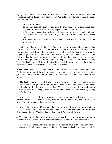saying, "Trouble not yourselves; for his life is in him." Paul spoke with faith and confidence and the disciples also believed. 3) Paul did not pray to God to raise the young man from the dead.

# **69. Acts 28:7~9 +**

In the same quarters were possessions of the chief man of the island, whose name was Publius; who received us, and lodged us three days courteously.

**8** And it came to pass, that the father of Publius lay sick of a fever and of a bloody flux: to whom Paul entered in, and prayed, and laid his hands on him, and healed him.

**9** So when this was done, others also, which had diseases in the island, came, and were healed:

1) Paul came to know that the father of Publius lay sick of a fever and of a bloody flux. 2) He went to heal the man. 3) Note that Paul prayed first **and then** laid his hands on him **and then** healed him. He did not pray to God to heal the man first, however, he prayed to get his faith up. Once the prayer was over, he laid his hands on the man and that was when he began to minister healing. God might have given him any necessary information to get the faith of Publius' father to the place where he could receive healing. Then Paul healed him. 4) Seeing Publius' father healed, inspired others to have faith to receive healing so they also came to Paul and were healed.

**In conclusion**, we have seen a number of patterns from God's Word concerning healing. We know that we can follow these patterns in operating the power of God to manifest gifts of healing and also miracles of healing to deliver people. These are the patterns that we have seen:

1. The healer boldly and confidently preaches the Word of God, the good news that healing is available right now so that those who need healing and deliverance will desire it and make the decision to receive healing. You preach, teach and give testimony of deliverance from God. People need faith to get deliverance and faith comes by hearing the Word of God.

2. Jesus or the healer did not seek out the sick and possessed by going to their houses. Instead, those who had need of healing were brought by their family or relatives, etc. to Jesus Christ or the person doing the healing.

3. Jesus did the healing. He operated the power to heal. Jesus did not pray to God to heal these sick people. You follow this pattern because you have the authority to heal sickness and disease. You heal them and do not ask God to do it for you.

4. You watch for the faith level of the person who desires healing by speaking to him or listening to him. Work with him so that he changes his mind if he has doubt and fear.

5. Do not heal immediately but wait for the person to have faith. You can help to increase their faith by preaching the availability of immediate healing to them through the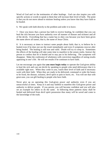Word of God and /or the testimonies of other healings. God can also inspire you with specific actions or words to speak to them that will increase their level of faith. The point is that you do not move ahead to minister healing unless you know that they have faith to be healed.

6. We speak with faith directly to the problem and order it to leave.

7. Once you know that a person has faith to receive healing, be confident that you can heal the sick because you have authority over all manner of disease and sickness and all of the devils. Everything that has a name has to obey you because you have been given the name above all names, that is, the name of Jesus Christ.

8. It is necessary at times to instruct some people about faith; that is, to believe he is healed even if he does not see the result immediately and even if symptoms reoccur after being healed. The healing is still true and valid. Doubt will try to creep in. Sometimes the effects of the healing will take some time to manifest in the senses realm. Instruct the person to confess that he is healed and to stay put in his believing. The symptoms will disappear. Make the confession of wholeness with conviction regardless of seeing results appearing in one's life. He will see results if he continues to have faith.

Let me encourage you again that **you must begin today** to operate the God-given ability to heal the sick and cast out devils by speaking to people who need deliverance that it is available right now. When they come to you, watch their level of faith and if necessary work with their faith. When they are ready to be delivered, command or order the bones to be fixed, the disease, sickness, devil spirit or pain to leave, etc. You will see that with great ease, you can gift healing to people who have faith.

Never give up on operating this God-given power and authority even if you are unsuccessful at times. Keep at it and stay faithful to manifest this God-given power and authority to deliver people. If you persist, you will become confident and you will also set an example for others to do the same. In following these patterns many shall be healed and delivered from devil spirit possession thus many will be saved and come to the knowledge of the truth.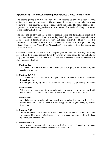# **Appendix 2: The Person Desiring Deliverance Comes to the Healer**

The second principle of How to Heal the Sick teaches us that the person desiring deliverance comes to the healer. The recipient of healing must strongly desire and believe to receive healing. He goes to the healer to be healed. The healer does not go to a person to minister healing just because he is aware of this need for healing. The person desiring help will ask for it.

The following list of verses shows us how people needing and desiring help asked for it. They knew healing was available because they heard the preaching of the good news or heard someone's testimony of how they had been delivered. These people then **"Followed"** or **"Came"** to Jesus for their deliverance. Some were **"Brought"** to him by others. Some people **"Cried"** or **"Beseeched"** Jesus, Peter or Paul for healing and always received it.

Of course we want to remember all of the principles we have been learning concerning how to heal the sick and cast out devils. Even when a person comes to you and asks for help, you still need to watch their level of faith and if necessary, work to increase it so they can receive healing.

## **1. Matthew 8:2**

And, behold, there **came** a leper and worshipped him, saying, Lord, if thou wilt, thou canst make me clean.

## **2. Matthew 8:5 & 6**

And when Jesus was entered into Capernaum, there came unto him a centurion, **beseeching** him,

**6** And saying, Lord, my servant lieth at home sick of the palsy, grievously tormented.

### **3. Matthew 8:16**

When the even was come, they **brought** unto him many that were possessed with devils: and he cast out the spirits with his word, and healed all that were sick:

### **4. Matthew 9:2**

And, behold, they **brought** to him a man sick of the palsy, lying on a bed: and Jesus seeing their faith said unto the sick of the palsy; Son, be of good cheer; thy sins be forgiven thee.

## **5. Matthew 9:18**

While he spake these things unto them, behold, there **came** a certain ruler, and worshipped him, saying, My daughter is even now dead: but come and lay thy hand upon her, and she shall live.

## **6. Matthew 9:20 & 21**

And, behold, a woman, which was diseased with an issue of blood twelve years, **came** behind him, and touched the hem of his garment: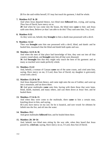**21** For she said within herself, If I may but touch his garment, I shall be whole.

## **7. Matthew 9:27 & 28**

And when Jesus departed thence, two blind men **followed** him, crying, and saying, *Thou* Son of David, have mercy on us.

**28** And when he was come into the house, the blind men **came** to him: and Jesus saith unto them, Believe ye that I am able to do this? They said unto him, Yea, Lord.

#### **8. Matthew 9:32**

As they went out, behold, they **brought** to him a dumb man possessed with a devil.

### **9. Matthew 12:22**

Then was **brought** unto him one possessed with a devil, blind, and dumb: and he healed him, insomuch that the blind and dumb both spake and saw.

## **10. Matthew 14:35 & 36**

And when the men of that place had knowledge of him, they sent out into all that country round about, and **brought** unto him all that were diseased;

**36** And **besought** him that they might only touch the hem of his garment: and as many as touched were made perfectly whole.

## **11. Matthew 15:22**

And, behold, a woman of Canaan **came** out of the same coasts, and cried unto him, saying, Have mercy on me, O Lord, thou Son of David; my daughter is grievously vexed with a devil.

### **12. Matthew 15:29 & 30**

And Jesus departed from thence, and came nigh unto the sea of Galilee; and went up into a mountain, and sat down there.

**30** And great multitudes **came** unto him, having with them those that were lame, blind, dumb, maimed, and many others, and cast them down at Jesus' feet; and he healed them:

## **13. Matthew 17:14 & 15**

And when they were come to the multitude, there **came** to him a certain man, kneeling down to him, and saying,

**15** Lord, have mercy on my son: for he is lunatick, and sore vexed: for ofttimes he falleth into the fire, and oft into the water.

## **14. Matthew 19:2**

And great multitudes **followed** him; and he healed them there.

### **15. Matthew 20: 30~34**

And, behold, two blind men sitting by the way side, when they heard that Jesus passed by, **cried out**, saying, Have mercy on us, O Lord, thou Son of David.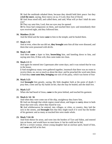**31** And the multitude rebuked them, because they should hold their peace: but they **cried the more**, saying, Have mercy on us, O Lord, thou Son of David.

**32** And Jesus stood still, and called them, and said, What will ye that I shall do unto you?

**33** They say unto him, Lord, that our eyes may be opened.

**34** So Jesus had compassion on them, and touched their eyes: and immediately their eyes received sight, and they followed him.

## **16. Matthew 21:14**

And the blind and the lame **came** to him in the temple; and he healed them.

# **17. Mark 1:32**

And at even, when the sun did set, **they brought** unto him all that were diseased, and them that were possessed with devils.

# **18. Mark 1:40**

And there **came** a leper to him, **beseeching** him, and kneeling down to him, and saying unto him, If thou wilt, thou canst make me clean.

# **19. Mark 2:1~3**

And again he entered into Capernaum after some days; and it was noised that he was in the house.

**2** And straightway many were gathered together, insomuch that there was no room to receive them, no, not so much as about the door: and he preached the word unto them. **3** And they **come unto him, bringing** one sick of the palsy, which was borne of four

# **20. Mark 5:23**

And **besought** him greatly, saying, My little daughter lieth at the point of death: I pray thee, come and lay thy hands on her, that she may be healed; and she shall live.

# **21. Mark 5:27**

When she had heard of Jesus, **came** in the press behind, and touched his garment.

## **22. Mark 6: 54~ 56**

And when they were come out of the ship, straightway they knew him,

**55** And ran through that whole region round about, and began to **carry** about in beds those that were sick, where they heard he was.

**56** And whithersoever he entered, into villages, or cities, or country, they laid the sick in the streets, and **besought** him that they might touch if it were but the border of his garment: and as many as touched him were made whole.

## **23. Mark 7:24~26**

And from thence he arose, and went into the borders of Tyre and Sidon, and entered into an house, and would have no man know *it*: but he could not be hid.

**25** For a *certain* woman, whose young daughter had an unclean spirit, heard of him, and **came** and fell at his feet: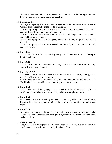**26** The woman was a Greek, a Syrophenician by nation; and she **besought** him that he would cast forth the devil out of her daughter.

### **24. Mark 7:31~35**

And again, departing from the coasts of Tyre and Sidon, he came unto the sea of Galilee, through the midst of the coasts of Decapolis.

**32** And they **bring** unto him one that was deaf, and had an impediment in his speech; and they **beseech** him to put his hand upon him.

**33** And he took him aside from the multitude, and put his fingers into his ears, and he spit, and touched his tongue;

**34** And looking up to heaven, he sighed, and saith unto him, Ephphatha, that is, Be opened.

**35** And straightway his ears were opened, and the string of his tongue was loosed, and he spake plain.

## **25. Mark 8:22**

And he cometh to Bethsaida; and they **bring** a blind man unto him, and **besought** him to touch him.

## **26. Mark 9:17**

And one of the multitude answered and said, Master, I have **brought** unto thee my son, which hath a dumb spirit;

#### **27. Mark 10:47 & 51**

And when he heard that it was Jesus of Nazareth, he began to **cry out**, and say, Jesus, thou Son of David, have mercy on me.

**51** And Jesus answered and said unto him, What wilt thou that I should do unto thee? The blind man said unto him, Lord, that I might receive my sight.

## **28. Luke 4:38**

And he arose out of the synagogue, and entered into Simon's house. And Simon's wife's mother was taken with a great fever; and they **besought** him for her.

## **29. Luke 4:40**

Now when the sun was setting, all they that had any sick with divers diseases **brought** them unto him; and he laid his hands on every one of them, and healed them.

#### **30. Luke 5:12**

 And it came to pass, when he was in a certain city, behold a man full of leprosy: who seeing Jesus fell on his face, and **besought** him, saying, Lord, if thou wilt, thou canst make me clean.

## **31. Luke 5:18 & 19**

And, behold, men **brought** in a bed a man which was taken with a palsy: and they sought means to bring him in, and to lay him before him.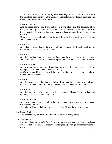**19** And when they could not find by what way they might bring him in because of the multitude, they went upon the housetop, and let him down through the tiling with his couch into the midst before Jesus.

# **32. Luke 6:17 & 19**

And he came down with them, and stood in the plain, and the company of his disciples, and a great multitude of people out of all Judaea and Jerusalem, and from the sea coast of Tyre and Sidon, which **came** to hear him, and to be healed of their diseases;

**19** And the whole multitude sought to touch him: for there went virtue out of him, and healed them all.

## **33. Luke 7:3**

And when he heard of Jesus, he sent unto him the elders of the Jews, **beseeching** him that he would come and heal his servant.

# **34. Luke 8:41**

And, behold, there **came** a man named Jairus, and he was a ruler of the synagogue: and he fell down at Jesus' feet, and **besought** him that he would come into his house:

# **35. Luke 8:43 & 44**

And a woman having an issue of blood twelve years, which had spent all her living upon physicians, neither could be healed of any,

**44 Came** behind him, and touched the border of his garment: and immediately her issue of blood stanched.

## **36. Luke 9:11**

And the people, when they knew it, **followed** him: and he received them, and spake unto them of the kingdom of God, and healed them that had need of healing.

## **37. Luke 9:38**

And, behold, a man of the company **cried** out, saying, Master, I **beseech** thee, look upon my son: for he is mine only child.

## **38. Luke 17:12 & 13**

And as he entered into a certain village, there **met** him ten men that were lepers, which stood afar off:

**13** And they lifted up their voices, and said, Jesus, Master, have mercy on us.

## **39. Luke 18:38**

And he **cried**, saying, Jesus, thou Son of David, have mercy on me.

# **40. Acts 5:15 &16**

Insomuch that they **brought** forth the sick into the streets, and laid them on beds and couches, that at the least the shadow of Peter passing by might overshadow some of them.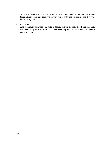**16** There **came** also a multitude out of the cities round about unto Jerusalem, bringing sick folks, and them which were vexed with unclean spirits: and they were healed every one.

# **41. Acts 9:38**

And forasmuch as Lydda was nigh to Joppa, and the disciples had heard that Peter was there, they **sent** unto him two men, **desiring** him that he would not delay to come to them.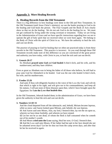# **Appendix 3: More Healing Records**

# **A. Healing Records from the Old Testament**

There is a big difference in how healings were done in the Old and New Testaments. In the Old Testament (until Jesus Christ's ministry), we see the healer praying to God to do the healing and God heals the person. The Four Gospels and the Book of Acts clearly show us that we do the healing. We do not ask God to do the healing for us. We must not get confused by living under the wrong covenant or testament. Today we are living in the Administration of Grace and we have specific instructions regarding how we are to operate the gift of holy spirit that we received when we were born again. We belong to the Body of Christ with the spirit of Christ in us. We have the authority to heal the sick and cast out devils.

The practice of praying to God for healing that we often see practiced today is from these records in the Old Testament. This practice is incorrect. As you read through these Old Testament records make note of this difference so you are convinced of the great power and authority you have today, with Christ in you, to heal the sick and cast out devils.

## **1. Genesis 20:17**

So Abraham **prayed unto God** and **God healed** A-bim'e-lech, and his wife, and his maidservants; and they bare *children*.

Even as great as Abraham was in being the father of all those who believe, he still had to pray unto God for Abimelech to be healed. God was the one who healed A-bim'e-lech, his wife, and his maidservants.

## **2. Exodus 15:26**

And said, If thou wilt diligently hearken to the voice of the LORD thy God, and wilt do that which is right in his sight, and wilt give ear to his commandments, and keep all his statues, I will put none of these diseases upon thee, which I have brought upon the Egyptians: for **I** *am* **the LORD that healeth thee.** 

In the Old Testament, Jehovah healed them; in the administration of Grace, we have been given the authority to heal the sick and cast out devils.

## **3. Numbers 12:10~15**

And the cloud departed from off the tabernacle; and, behold, Miriam *became* leprous, *white* as snow: and Aaron looked upon Miriam, and, behold, *she was* leprous.

**11** And Aaron said unto Moses, Alas, my lord, I beseech thee, lay not the sin upon us, wherein we have done foolishly, and wherein we have sinned.

**12** Let her not be as one dead, of whom the flesh is half consumed when he cometh out of his mother's womb.

**13** And Moses **cried unto the LORD** saying, Heal her now, O God, I beseech thee.

**14** And the LORD said unto Moses, If her father had but spit in her face should she not be ashamed seven days? Let her be shut out from the camp seven days, and after that let her be received in *again*.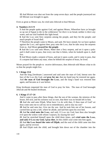**15** And Miriam was shut out from the camp seven days: and the people journeyed not till Miriam was brought in again.

Even as great as Moses was, he cried unto Jehovah to heal Miriam.

# **4. Numbers 21:5~9**

**5** And the people spake against God, and against Moses, Wherefore have ye brought us up out of Egypt to die in the wilderness? for *there is* no bread, neither *is there any* water; and our soul loatheth this light bread.

**6** And the LORD sent fiery serpents among the people, and they bit the people; and much people of Israel died.

**7** Therefore the people came to Moses, and said, We have sinned, for we have spoken against the LORD, and against thee; pray unto the LORD, that he take away the serpents from us. And Moses **prayed for the people**.

**8** And the LORD said unto Moses, Make thee a fiery serpent, and set it upon a pole: and it shall come to pass, that every one that is bitten, when he looketh upon it, shall live.

**9** And Moses made a serpent of brass, and put it upon a pole, and it came to pass, that if a serpent had bitten any man, when he beheld the serpent of brass, he lived.

Moses prayed for the people to receive deliverance, then Jehovah told Moses what to do so that the people might live.

# **5. 1 Kings 13:6**

And the king [Jeroboam ] answered and said unto the man of God, Intreat now the face of the LORD thy God, and **pray for me**, that my hand may be restored me again. And **the man of God besought the LORD**, and the king's hand was restored him again, and became as *it was* before.

King Jeroboam requested the man of God to pray for him. The man of God besought Jehovah and He healed Jeroboam.

## **6. 1 Kings 17:17~24**

And it came to pass after these things, *that* the son of the woman, the mistress of the house, fell sick; and his sickness was so sore, that there was no breath left in him.

**18** And she said unto Elijah, What have I to do with thee, O thou man of God? art thou come unto me to call my sin to remembrance, and to slay my son?

**19** And he said unto her, Give me thy son. And he took him out of her bosom, and carried him up into a loft, where he abode, and laid him upon his own bed.

**20** And **he cried unto the LORD**, and said, O LORD my God, hast thou also brought evil upon the widow with whom I sojourn, by slaying her son?

**21** And he stretched himself upon the child three times, and **cried unto the LORD, and said, O LORD my God, I pray thee**, let this child's soul come into him again.

**22** And **the LORD heard the voice of Elijah**; and the soul of the child came into him again, and he revived.

**23** And Elijah took the child, and brought him down out of the chamber into the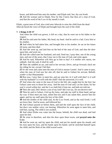house, and delivered him unto his mother: and Elijah said, See, thy son liveth. **24** And the woman said to Elijah, Now by this I know that thou *art* a man of God, *and* that the word of the LORD in thy mouth *is* truth.

Elijah, a great man of God, also cried unto Jehovah to raise the child from the dead. Jehovah heard the voice of Elijah and brought back the soul of the child.

# **7. 2 Kings 4:18~37**

And when the child was grown, it fell on a day, that he went out to his father to the reapers.

**19** And he said unto his father, My head, my head. And he said to a lad, Carry him to his mother.

**20** And when he had taken him, and brought him to his mother, he sat on her knees till noon, and *then* died.

**21** And she went up, and laid him on the bed of the man of God, and shut *the door* upon him, and went out.

**22** And she called unto her husband, and said, Send me, I pray thee, one of the young men, and one of the asses, that I may run to the man of God, and come again.

**23** And he said, Wherefore wilt thou go to him to day? *it is* neither new moon, nor sabbath. And she said, *It shall be* well.

**24** Then she saddled an ass, and said to her servant, Drive, and go forward; slack not *thy* riding for me, except I bid thee.

**25** So she went and came unto the man of God to mount Carmel. And it came to pass, when the man of God saw her afar off, that he said to Gehazi his servant, Behold, *yonder is* that Shunammite:

**26** Run now, I pray thee, to meet her, and say unto her, *Is it* well with thee? *is it* well with thy husband? *is it* well with the child? And she answered, *It is* well.

**27** And when she came to the man of God to the hill, she caught him by the feet: but Gehazi came near to thrust her away. And the man of God said, Let her alone; for her soul *is* vexed within her: and the LORD hath hid *it* from me, and hath not told me.

**28** Then she said, Did I desire a son of my lord? did I not say, Do not deceive me?

**29** Then he said to Gehazi, Gird up thy loins, and take my staff in thine hand, and go thy way: if thou meet any man, salute him not; and if any salute thee, answer him not again: and lay my staff upon the face of the child.

**30** And the mother of the child said, *As* the LORD liveth, and *as* thy soul liveth, I will not leave thee. And he arose, and followed her.

**31** And Gehazi passed on before them, and laid the staff upon the face of the child; but *there was* neither voice, nor hearing. Wherefore he went again to meet him, and told him, saying, The child is not awaked.

**32** And when Elisha was come into the house, behold, the child was dead, *and* laid upon his bed.

**33** He went in therefore, and shut the door upon them twain, and **prayed unto the LORD**.

**34** And he went up, and lay upon the child, and put his mouth upon his mouth, and his eyes upon his eyes, and his hands upon his hands: and he stretched himself upon the child; and the flesh of the child waxed warm.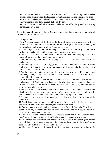**35** Then he returned, and walked in the house to and fro; and went up, and stretched himself upon him: and the child sneezed seven times, and the child opened his eyes.

**36** And he called Gehazi, and said, Call this Shunammite. So he called her. And when she was come in unto him, he said, Take up thy son.

**37** Then she went in, and fell at his feet, and bowed herself to the ground, and took up her son, and went out.

Elisha, the man of God, prayed unto Jehovah to raise the Shunammite's child. Jehovah raised the child from the dead.

### **8. 2 Kings 5:1~14**

Now Naaman, captain of the host of the king of Syria, was a great man with his master, and honourable, because by him the LORD had given deliverance unto Syria: he was also a mighty man in valour, *but he was* a leper.

**2** And the Syrians had gone out by companies, and had brought away captive out of the land of Israel a little maid; and she waited on Naaman's wife.

**3** And she said unto her mistress, Would God my lord *were* with the prophet that *is* in Samaria! for he would recover him of his leprosy.

**4** And *one* went in, and told his lord, saying, Thus and thus said the maid that *is* of the land of Israel.

**5** And the king of Syria said, Go to, go, and I will send a letter unto the king of Israel. And he departed, and took with him ten talents of silver, and six thousand *pieces* of gold, and ten changes of raiment.

**6** And he brought the letter to the king of Israel, saying, Now when this letter is come unto thee, behold, I have *therewith* sent Naaman my servant to thee, that thou mayest recover him of his leprosy.

**7** And it came to pass, when the king of Israel had read the letter, that he rent his clothes, and said, *Am* I God, to kill and to make alive, that this man doth send unto me to recover a man of his leprosy? wherefore consider, I pray you, and see how he seeketh a quarrel against me.

**8** And it was *so*, when Elisha the man of God had heard that the king of Israel had rent his clothes, that he sent to the king, saying, Wherefore hast thou rent thy clothes? let him come now to me, and he shall know that there is a prophet in Israel.

**9** So Naaman came with his horses and with his chariot, and stood at the door of the house of Elisha.

**10** And Elisha sent a messenger unto him, saying, Go and wash in Jordan seven times, and thy flesh shall come again to thee, and thou shalt be clean.

**11** But Naaman was wroth, and went away, and said, Behold, I thought, He will surely come out to me, and stand, and call on the name of the LORD his God, and strike his hand over the place, and recover the leper.

**12** *Are* not Abana and Pharpar, rivers of Damascus, better than all the waters of Israel? may I not wash in them, and be clean? So he turned and went away in a rage.

**13** And his servants came near, and spake unto him, and said, My father, *if* the prophet had bid thee *do some* great thing, wouldest thou not have done *it*? how much rather then, when he saith to thee, Wash, and be clean?

**14** Then went he down, and dipped himself seven times in Jordan, according to the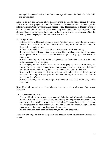saying of the man of God: and his flesh came again like unto the flesh of a little child, and he was clean.

Here we do not see anything about Elisha praying to God to heal Naaman; however, Elisha must have prayed to God for Naaman's deliverance and received specific information from God on what Naaman needed to do. This is similar to Moses praying to God to deliver the children of Israel when they were bitten by fiery serpents. God showed Moses what to do for the children of Israel to be healed. In both cases, God did the healing when the people submitted to His instructions.

# **9. 2 Kings 20:1~7**

In those days was Hezekiah sick unto death. And the prophet Isaiah the son of Amoz came to him, and said unto him, Thus saith the LORD, Set thine house in order; for thou shalt die, and not live.

**2** Then he turned his face to the wall, and **prayed unto the LORD**, saying,

**3 I beseech thee, O LORD**, remember now how I have walked before thee in truth and with a perfect heart, and have done *that which is* good in thy sight. And Hezekiah wept sore.

**4** And it came to pass, afore Isaiah was gone out into the middle court, that the word of the LORD came to him, saying,

**5** Turn again, and tell Hezekiah the captain of my people, Thus saith the LORD, the God of David thy father, **I have heard thy prayer**, I have seen thy tears: behold, **I will heal thee**: on the third day thou shalt go up unto the house of the LORD.

**6** And I will add unto thy days fifteen years; and I will deliver thee and this city out of the hand of the king of Assyria; and I will defend this city for mine own sake, and for my servant David's sake.

**7** And Isaiah said, Take a lump of figs. And they took and laid *it* on the boil, and he recovered.

King Hezekiah prayed himself to Jehovah beseeching his healing and God healed Hezekiah.

## **10. 2 Chronicles 30:18~20**

For a multitude of the people, even many of Ephraim, and Manasseh, Issachar, and Zebulun, had not cleansed themselves, yet did they eat the passover otherwise than it was written. But Hezekiah **prayed** for them, saying, The good LORD pardon every one **19** That prepareth his heart to seek God, the LORD God of his fathers, though he be not cleansed according to the purification of the sanctuary.

**20** And **the LORD hearkened to Hezekiah, and healed the people**.

Hezekiah, the king, prayed for the people and Jehovah heard his prayer and healed the people.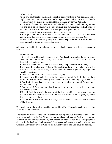## **11. Job 42:7~10**

And it was so, that after the LORD had spoken these words unto Job, the LORD said to Eliphaz the Temanite, My wrath is kindled against thee, and against thy two friends: for ye have not spoken of me the thing that is right, as my servant Job hath.

**8** Therefore take unto you now seven bullocks and seven rams, and go to my servant Job, and offer up for yourselves a burnt offering; and my servant **Job shall pray for you**: for him will I accept: lest I deal with you after your folly, in that ye have not spoken of me the thing which is right, like my servant Job.

**9** So Eliphaz the Temanite and Bildad the Shuhite and Zophar the Naamathite went, and did according as the LORD commanded them: the LORD also accepted Job.

**10** And the LORD turned the captivity of Job, when **he prayed for his friends**: also the LORD gave Job twice as much as he had before.

Job prayed to God for his friends and they received deliverance from the consequences of their sins.

# **12. Isaiah 38:1~9**

In those days was Hezekiah sick unto death. And Isaiah the prophet the son of Amoz came unto him, and said unto him, Thus saith the LORD, Set thine house in order: for thou shalt die, and not live.

**2** Then Hezekiah turned his face toward the wall, and **prayed unto the LORD**,

**3** And said, Remember now, **O LORD, I beseech thee**, how I have walked before thee in truth and with a perfect heart, and have done *that which is* good in thy sight. And Hezekiah wept sore.

**4** Then came the word of the LORD to Isaiah, saying,

**5** Go, and say to Hezekiah, Thus saith the LORD, the God of David thy father, **I have heard thy prayer**, I have seen thy tears: behold, I will add unto thy days fifteen years. **6** And I will deliver thee and this city out of the hand of the king of Assyria: and I will defend this city.

**7** And this *shall be* a sign unto thee from the LORD, that the LORD will do this thing that he hath spoken;

**8** Behold, I will bring again the shadow of the degrees, which is gone down in the sun dial of Ahaz, ten degrees backward. So the sun returned ten degrees, by which degrees it was gone down.

**9** The writing of Hezekiah king of Judah, when he had been sick, and was recovered of his sickness:

Here again we see how King Hezekiah prayed himself to Jehovah beseeching his healing and God healed Hezekiah.

The rest of the records in the Old Testament on healing show us this same pattern. There is no information in the Old Testament that prophets and men of God were given any authority to heal the sick; therefore, they needed to intercede for the sick by praying to God to do the healing. God answered the prayers and healed the sick. We also saw where an individual prayed to God for his own deliverance and God gave the healing.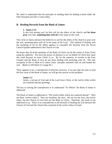We need to understand that the principle of needing faith for healing existed under the Old Testament just like it exists today.

# **B. Healing Records from the Book of James**

## **1. James 5:14**

Is any sick among you? let him call for the elders of the church; and **let them pray** over him, **anointing him with oil** in the name of the Lord:

This verse in James instructs the believers to call for the elders of the church to pray over the sick, anointing them with oil in the name of the Lord. This method of healing with the anointing of oil by the elders appears to contradict the doctrine from the Seven Church Epistles addressed to the Church of God.

We know that all of the members of the Body of Christ can do the works of Jesus Christ using his authority. We have the power of attorney to act on behalf of Christ here upon this earth because we have Christ in us. By far the majority of records in the Four Gospels and the Book of Acts do not show healing with anointing with oil. The only exception to this is Mark 6:13 where Jesus' disciples anointed with oil and healed the sick. (Refer to #30 Mark 6:13 page 85.)

There appears to be a contradiction of doctrine; however, if we just take the time to read the first verse of the Book of James, we will get the answer to this problem.

## **James 1:1**

James, a servant of God and of the Lord Jesus Christ, to the twelve tribes which are scattered abroad, greetings.

The key to solving the contradiction is to understand "To Whom" the Book of James is addressed.

The Book of James is addressed to "The twelve tribes which are scattered abroad." Who are these "twelve tribes"? They are Israelites, the Jews. We are not the Jews, the twelve tribes, but the Church of God who are the Body of Christ. Therefore, this book is not addressed to us. There is no contradiction in the doctrine of healing the sick between the Church of God and the Church that consisted of the twelve tribes of Israel.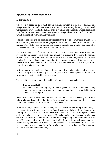# **Appendix 4: Letters from India**

# **I. Introduction**

This booklet began as an e-mail correspondence between two friends. Michael and Sangat were bible school classmates in the United States during the early 1980's. Both went separate ways, Michael a businessman in Virginia and Sangat an evangelist in India. The friendship was then renewed and grew as Sangat shared with Michael about his Christian home fellowship ministry in India.

The following excerpts are from letters that record the growth of a Christian church based solely on the power resident in the gospel of Jesus Christ. They are written in such a format. These letters are the calling card of signs, miracles and wonders that most of us have never seen but have only read about in the Bible.

This is the story of a  $21<sup>st</sup>$  century Book of Acts. Without radio, television or relentless appeals for partnerships and funds, this ministry is changing lives from the teeming streets of Delhi to the mountain villages of the Himalayas and the plains of south India. Hindus, Sikhs and Muslims are responding to the gospel of Jesus Christ because of its power to heal, raise the dead, cast out devil spirits and meet the needs of daily life in a land where safety nets are rare.

In these pages, you will meet Sangat Bains born of an Indian father and a Japanese mother. Sangat was raised in Japan and India, but it was at a college in the United States where Jesus Christ changed his life and future.

This is not the account of an individual but of a family construction business:

# **Ephesians 2:21, 22**

In whom all the building fitly framed together groweth together unto a holy temple unto the Lord: In whom ye also are builded together for an habitation of God through the Spirit.

Jesus Christ is the foreman and God the sole proprietor. In these pages, you will meet fellow laborers- Bhupinder, Glab Singh, Gopal, Shanti, the unforgettable Mohan Lal and many other members in God's family construction crew.

In order to fully appreciate this account, some explanation concerning terminology is necessary. Sangat frequently refers to "manifestations of holy spirit" or "manifesting holy spirit." Many in western churches call them gifts of the Holy Spirit. Sangat endeavors to be precise in his terminology. He makes a distinction between the giver and the gift. God who is the Holy Spirit (capital H and capital S) is the giver, and He gives what He is--holy spirit, the gift. As such this gift of holy spirit (small h and small s) is manifested by the believer in nine ways as detailed in 1 Corinthians  $12:7 \sim 10$ . These pages contain the present and future for the Christian church, the body of Christ, not only in India but also in your community.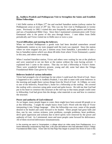# **II. Andhera Pradesh and Peddapuram Visit to Strengthen the Saints and Establish Home Fellowships**

I left Delhi station at 8:30pm  $27<sup>th</sup>$  Jan and reached Samalkot station (railway station for Peddapuram area) at noon of  $29<sup>th</sup>$  Jan. This was my first visit to Peddapuram in twenty years. Previously in 1982 I visited this area frequently and taught pastors and believers and ran a Foundational Bible Class. Since then I maintained communication with Victor Emmanuel who is the pastor of this area through letters. I sent elders from Delhi periodically and Victor visited me in Delhi once or twice a year.

# **Travel difficulties and meeting the believers**.

When we reached Peddapuram a goods train had been derailed somewhere around Rajahmundry station so my train stopped until the track was repaired. Since the station where we were stopped was just 2 stations away from Samalkot, I proceeded to take a bus to Samalkot station which was about 48 miles from where Victor Emmanuel, a pastor in this area, and others were waiting.

When I reached Samalkot station, Victor and others were waiting for me at the platform and were surprised to see me there at the station without the train having arrived. I explained how I came to the station. That day we had a fellowship at Victor's home. There were wonderful believers present, young and old, some had taken the Telegu Foundational Bible Class given by Victor.

## **Believers healed of various infirmities**

Victor had arranged a lot of meetings for me where I could teach the Word of God. Since it happened to be a strike in Andhera Pradesh, I was able to meet with some believers in the morning and taught them various things from the Word of God. At 3:00pm, we went to one of the believers, Prasad Rao's, home for a fellowship at the rooftop. He covered the rooftop with a structure using palm wood and palm leaves. He told me that God had put in his heart to construct this structure at the roof top so that many people could come to fellowship; God had given him the design, what materials to use and how to construct the structure.

# **Power and authority of God evidenced**

As we began, many people began to come; there might have been around 40 people or so at this fellowship. I taught the simple basics from God's Word with the help of Victor interpreting it into Telegu language. After the fellowship was over, some of the people desired to be healed and came forward to be healed. These people had great faith and thus, one by one, various sickness, joint problems, eyesight problems, heart problems, devil spirit oppression and sickness due to devil spirits were removed by the power and authority of God**.** As I ministered, more and more people came forward for deliverance. All of them received deliverance instantaneously.

In the evening we went to Yerampelem, a village about six miles away from Peddapuram, to a home fellowship conducted by Raja Rao, a 65 year-old believer who had attended Victor's Telegu Foundational Bible Class. Victor told me that Raja Rao began to preach the Word of God in this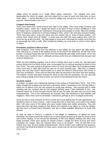village where he worked as a health officer before retirement. The villagers very much appreciated the Word he taught, and they asked him to stay to teach and help them to learn God's Word. I cannot describe to you how the village was, except you must come and see it yourself; I liked the place very much.

#### **Crippled child healed**

There were about thirty saints present that night in the village. They sang songs of praise with beautiful voices. There, too, I taught the basics of the Word of God: to have confidence in God our Father and to recognize the importance of knowing ones position in Christ. After the meeting, some of believers wanted me to minister healing to them, which I did, and they received healing. There were back pains, knee joint pains and one woman had an issue of blood problem, and various other needs were all healed. A seven year old child had never walked (she could not move her leg at all) from birth. Her legs began to move and I instructed her mother not to fear but to encourage the child to walk. After ministering healing, we went back to Victor's home about 11:00pm.

#### **Prostitutes respond to Word of God**

After breakfast, Victor heard from the believers in the village we had visited the night before. They said that as a result of the healing service at the end of the fellowship, all that had come forward, including Prasad Rao (at whose home the fellowship was held), were healed. Victor and the others were excited to hear it; although we knew at the time we ministered that everyone had received deliverance.

While we were speaking together, one of Victor's friends came over to meet me. We discussed various things from the Word of God, and I encouraged him to continue learning the Word of God from Victor. We were invited to Kruparao's home for lunch (he had taken the Foundational Bible Class some time in 1982 with Victor but was not so much involved now). After that, a Lutheran pastor who was also Victor's friend invited us to share the Word of God to those who turned to God from prostitution. Victor told me about this after we returned to his home from this meeting. The believer women had been sharing the Word of God with the prostitutes. No one else had been willing to speak God's Word to them; the Word of God delivered those who heard.

#### **Alcoholic healed**

At 3:30pm, we again had a fellowship meeting on the rooftop of Prasad Rao's home. One of the ladies brought her husband who had been a drunkard. When I ministered to him, the day before, I asked her to believe from this day onward he would stop drinking. She joyously told us while standing with her husband that he had stopped drinking since I had ministered to him. Her husband asked me to heal the pain that he had all over his body; the pain went out of his body instantaneously. Due to the deliverance he received, they had witnessed to their relatives and neighbors. Many more came to be healed. I ministered, perhaps to 30 or so people at this time.

Since we had to meet someone at Victor's home and it was getting late for that appointment, we decided to return to Victor's house. Later Prasad Rao told us that many more came to be healed after I left since some of the ladies who were healed today were boldly witnessing. They told many that they had been healed of their illness and inspired many others to come for healing. We will return to Prasad Rao's fellowship next day to make available deliverance to those who desired.

At night we went to Chinny's, a believer in the village of Vadalamuru, to attend his home fellowship. His house proved too small since so many people showed up to hear the Word of God and receive healing, so we moved the fellowship to the local Baptist meeting hall which they kindly provided. There were around 40 people present; I taught the Word of God, and Victor translated into Telegu. After the meeting many came to be healed. They all had faith to be healed; thus, they all were healed instantaneously. Some of them were suffering from sickness, and some had physical problems for many years; young and old, all were healed in the name of Jesus Christ.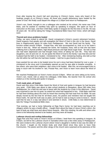Even after leaving the church hall and returning to Chinny's home, many who heard of the healings sought us at Chinny's house. All those who sought deliverance were healed by the power of God. We finally could depart the village at 11:00pm and return to Peddapuram.

Victor's son, David, brought to me a colleague who worked at his school. His name was Chitti Babu, and he wanted to manifest holy spirit by speaking in tongues. We spent an hour of instruction on this topic, and then Chitti Babu spoke in tongues for the first time in his life. He was 35 years old. He will be taking the Telegu Foundational Bible Class from Victor, which will begin soon.

#### **Thyroid and sinus problems healed**

Today, we were invited to attend Mr. David Livingstone's (Victor's cousin) retirement function. David respects God greatly and will evangelize the Word of God in this city in the future. David lives in Rajahmundry about 24 miles from Peddapuram. We met David and his family. The function ended around 3:00pm. Prasad Rao, who also accompanied us, took us to his sister's home in that city. When we reached her home, her husband, Kass, told us that she has been suffering from a thyroid problem, high blood pressure and high blood sugar level. He told us that she had been depressed and had thought many times of taking her own life. They had two daughters, one 18 and one 14. As we spoke the Word of God to the family I saw that she and her husband had the faith to be healed. I ministered to her. After ministering healing, she told us that she felt within her self that she had been healed. I told her to give thanks to God.

Kass wanted his son also to be healed since his son's sinus had been blocked for over a year. I ministered to the sinus and it immediately opened up and he was able to breathe smoothly. A few others, who were their neighbors, also came to be healed. After this, we encouraged Kass to keep in touch with his brother-in- law, Prasad Rao, and Victor to learn more about the Word of God.

We reached Peddapuram at Victor's home around 5:30pm. When we were sitting at his home, Victor's son, David, told us about his colleague, Chitti Babu, the teacher from his school who visited us in the morning and spoke in tongues.

#### **Truth made plain, all healed**

David said that since Chitti Babu heard the Word of God and spoke in tongues he had became very quiet. Chitti Babu was about to take school students to Bangalore, about 360 miles from Peddapuram, for a field trip and was to leave with the students by a train in the afternoon. David was surprised to see him so quiet; he asked him what had happened to him. Chitti Babu said that he had been thinking about the truth he heard that morning and had read from his Bible. He was deeply moved by the fact that for all these years, his pastors and ministers had not taught him these truths. He said the truth was so plain, yet he had to wait so long to come to know it. David said that he was in a way sad about it and seemed in shock. Chitti Babu is now determined to take the Telegu Foundational Bible class.

That evening, we had a home fellowship at Raja Rao's home; he had been reaching out to villagers where he was a health officer. I taught them about the hope of Jesus Christ's return, the type of body we shall have and about future rewards. After this meeting, his wife and others who came to the fellowship desired to be healed, and they were all healed.

#### **Lutheran church and rooftop fellowships**

Jagga Rao and Paul came to Victor's house at 8:30am; I lead them into speaking in tongues. At 9:30am, we left for the Lutheran church in Samalkot which was a few miles away in Peddapuram. We were invited to the Lutheran church where Victor's daughter's mother-in-law was the elder of the church. I taught on the broken body and shed blood since they were to have Holy Communion. The pastor and the other clergy of the church were surprised at the plainness of the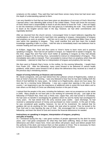scriptures on this subject. They said they had read these verses many times but had never seen this depth of understanding opened to them.

I am very thankful to God that we have been given an abundance of accuracy of God's Word that I learned when I was attending bible school in the United States. Those who know the accuracy of God's Word have a responsibility to teach to all who desire to know the Truth. I also am happy to see the meekness of these pastors who had great joy in beholding the truth. They wanted me to teach at the English service later in the day; however, we had other commitments and regrettably declined

After we returned from the church service, I encouraged Victor to teach believers regarding the manifestations of holy spirit and to lead them into speaking in tongues, interpretation of tongues and prophecy as soon as possible. I told him not to wait for a Foundational Bible Class to lead new saints into speaking in tongues. They could manifest first and then learn the in-depth knowledge regarding it later in a class. I told him also to immediately teach new believers how to minister healing and cast out devil spirits.

At 6:00pm, Jagga Rao, Paul and Ravi came to Victor's home to learn more and to practice speaking in tongues. Ravi had not yet spoken in tongue, so I helped him to speak in tongues. By this time, Jagga Rao and Paul were much better at speaking in tongues as they had already spoken in tongues in the morning; thus, I proceeded to instruct on interpretation of tongues. They immediately were able to interpret. Then I proceeded to instruct them on prophecy which they did immediately. I planned to help Ravi on interpretation of tongues and prophecy the next day.

We then went to Prakash Rao's home, to the rooftop, for the evening fellowship. I taught them from Psalm 103. After the fellowship, many came forward to be delivered of various health problems, while others came forward to tell us about the deliverance they received as a result of the previous day's ministering session.

#### **Impact of wrong believing on finances and economy**

Mr. David Livingstone, who just had retired from the Lutheran school of Rajahmundry, visited us here at Victor's home this morning. I was very blessed to hear how he has been holding forth the Word of God faithfully for many years. He invited us to Rajahmundry, about one hour away, the next day for a morning home fellowship. I now see a great door opening in this area of the country. I am beginning to see the importance of additional visits to assist the local elders and to train others so the Body of Christ can effectively function in this part of India.

I noticed that the people in this area, including the believers, were not as prosperous as the saints in Delhi. Many people do not have jobs or are working for extremely low pay. Last night at the fellowship of Prakash Rao, there was a Hindu man, Uppar Rao, who had turned to Christianity. He had seen no benefit in worshipping his goddess whom he and his family had worshipped for many years. He had retired from the army several years earlier. Upon discharge, he had received a substantial amount of money and purchased six motor scooters. In this part of India, he was considered quite wealthy; however, he lost all his investment. He realized that his goddess did not do anything for him; instead, she took what he earned. Thus he turned to the True God and is now learning the way of God**.** We encouraged him to continue to come to fellowship, and learn the Word of God and receive the financial deliverance he needed.

#### **Instructions on speaking in tongues, interpretation of tongues, prophecy and gifts of healing**

As I ministered during this trip, I saw great numbers of people oppressed by the devil for many years, and I had great compassion for what they had been suffering. Many of them received deliverance and when I leave here, Victor and others will preach, teach and deliver people from the authority of the devil, and instruct them on their position in Christ. This is necessary for them to live the more abundant life our heavenly Father promises in His Word.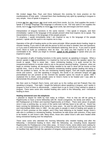We invited Jagga Rao, Paul, and Deva Saheyam this evening for more practice on the manifestations of holy spirit. I showed them that manifesting holy spirit by speaking in tongues is very simple. How of speak in tongues is:

*I* move *my* lips, *my* tongue, *my* vocal cords and *I* form words. As *I* do, God supplies the words I speak in a foreign language; that language is unknown to me. The holy spirit in me supplies the words, but it is *my* responsibility to move *my* vocal cords, lips and tongue and form words.

Interpretation of tongues functions in the same manner. I first speak in tongues, and then immediately I speak in the language of the people present what God inspires me to speak. The interpretation is always in the language of the people present.

To prophecy, I speak immediately what I am inspired to say in the language of the people present. I speak until the spirit in me inspires me to stop.

Operation of the gift of healing works on the same principle: When people desire healing, begin to minister healing. If you wish to talk with the person to find out what is needed, then ask questions, or if you want to determine the level of the individual's believing, then do so. If you want to speak God's Word to build up confidence, then do that. Do what you feel inspired to do or are comfortable to do. When you begin to minister, *speak to the problem* or speak what you are inspired to speak.

The operation of gifts of healing functions in the same manner as speaking in tongues. What a person speaks is *not* premeditated; it is inspired by God at the moment the speaker opens his mouth to speak. God is never late. Upon ministering healing, it is quite normal for the inexperienced believer to wonder what to say to the person desiring healing. However, when we begin to minister healing, all necessary things needed to be said or done will be known at that specific time. God is never late. The believer ministering healing speaks healing into being or tells the problem to leave. As the one ministering healing begins, God will inspire appropriate words and actions. Just like speaking in tongues, the words in an unknown tongue are **not** premeditated but are present at the moment the speaker opens his mouth to speak. After I explained this to them, some people came to Victor's home to be healed and I was able to demonstrate this principle in front of them.

We then went to Prakash Rao's home, and went up to the rooftop and led Prakash Rao into speaking in tongues. That night, I taught the believers about speaking in tongues, and I spoke in tongues in front of them to demonstrate. I asked them to go to Victor if they wished to speak in tongues. There were some who needed healing who came to this fellowship, and I ministered healing to them.

#### **Healing ministered over the telephone**

I planned to depart for Delhi by train today at 4:00pm. Prior to that we will be going to Rajahmundry to have a home fellowship with Mr. David Livingstone, his family and others. We left Peddapuram at 8:30am and reached Rajahmundry at 9:45am. There were about 10 people since it was a working day, so some of the saints took half-day leave to be with us. David has been running his fellowship at his home for many years. He and his wife took the Foundational and Intermediate Bible class in 1982. He also goes to people in need of healing and speaks to them of God's promise on this subject, and if they have believing to be healed, brings Victor's wife who is confident in ministering healing. Sometimes he tells those with sickness, if they want to be healed, to call Victor's wife. Many times, those who called Victor's wife were healed while being ministered healing over the telephone.

There were some who attended the morning fellowship who needed healing and after the fellowship, I ministered healing to them. After the fellowship, we, including David, departed Rajahmundry for Peddapuram a few miles away. At Victor's home, some elders were waiting for us, and I encouraged them to run a fellowship at their homes as well (those who haven't yet), and to manifest holy spirit through the operation of tongues, interpretation of tongues and prophecy in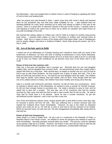the fellowships. I also encouraged them to deliver those in need of healing by speaking the Word of God to them and healing them.

 After we prayed and said farewell to them, I spent some time with Victor's family and thanked them for the wonderful stay and time they made available for me. I also thanked them for standing faithfully for many years reaching out to many and raising up elders in this part of the country. There is a great door of utterance opened in this part of the country. I certainly need to visit regularly to instruct the saints how to reach out to others for salvation and make known an accurate knowledge of the truth.

We reached the railway station at 3:30pm and I left for Delhi at 4:15pm for another long journey back home. I reached Delhi station on Feb 6 (Thursday) at 6:00am and reached home at 6:45am. Well, this is a report of some of the things which took place while I was in Peddapuram and its nearby villages and towns in Andhera Pradesh, South India during the period, Jan 29 to Feb 4, 2003.

## **III. Acts of the holy spirit in Delhi**

I visited one of our fellowships on Tuesday evening and I wanted to share with you some of the testimonies of believers; we have this time of sharing of testimonies in every home fellowship. Hearing testimonies of believers indeed inspires all of us of what God is able to do for us and help us go to God, our Father, with confidence as we become more sure of His Word, that it is the Truth.

#### **Power of God over the common cold**

Vijay has a four-year old daughter and a younger son. Recently both his son and daughter caught colds, and his daughter was running a fever. He said previously when they caught colds it stayed with them for a long time. After several days, he began to wonder why as a son of God he had to put up with these problems. He then prayed over a glass of water and said, "This is the body of Christ that was broken for us." He had his son and daughter drink the water. The children then slept for awhile. Upon waking, they had neither cold nor fever. Even though Delhi has had one of its coldest winters in history, the children have been healthy and strong since that day.

Vijay is a scooter and motorcycle mechanic; however, he did not have any conveyances. Since he wanted to attend many of the fellowships, he wanted to have a scooter for himself; however, he did not have enough money to purchase one. He made a decision to pray to God, and he asked Him to give him a scooter. The next day, one of his customers who had his scooter serviced by Vijay came and told him that he had a used scooter that he did not ride. He said to Vijay that he could have it if he desired. Since he was a scooter mechanic, he got this secondhand scooter repaired I, and it now runs like a new one.

One of the new believers (whose name I forgot) shared with us that while at work a few days ago, he received a phone call from his wife. She was suffering from a severe stomach pain and wanted her husband return home immediately. However, he was in the midst an important project and could not do so. He told her to pray to God and to tell her stomach to be healed. When he returned home, his wife was fine. Her pain disappeared immediately after doing what he had told her.

#### **Power of God over bureaucracy**

Satya Singh is a cook of Indian food. He got a job in a restaurant in the Republic of Palau, a beautiful island in the Pacific Ocean. He needed to renew his passport and needed to report for work immediately. Normally passport renewal takes two weeks. The process could be speeded up by paying a high fee to a broker. However, the broker in this case did not want to take the job since the passport official in question was such an unpleasant, unreasonable individual.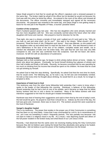Satya Singh prayed to God that he would get the officer's signature and a renewed passport in the same day. The broker might be afraid of the officer but he decided he would not because His God was with him when he faced the officer. He entered in the room of the officer and showed all the documents. The officer smoothly and immediately stamped and signed all the necessary documents. His passport was renewed in the same day, and Satya Singh is now getting ready to leave for his new job in the Republic of Palau, a tourists' paradise island.

#### **Comfort of the scriptures**

Rani's husband passed away last year. She has two daughters who were already married and has two more daughters with her. She was constantly worried about the future when her other daughters left home and married. She prayed to God for direction for her life.

That night, she saw in a dream a temple of God, and I walked out of it and said to her, "Why do you look so sad and what shall I do for you?" She said in her dream, "What should I do?" I answered, "Read the book of Job, Philippians and James". Rani was illiterate, so she waited until her daughters woke up and asked them to read her the book of Job. She was blessed to learn of Job's faithfulness in the face of the loss of his children, complete estate and wealth, not to mention the infestation of boils over his entire body. She said that her own loss was very little compared to Job, and she was comforted from the scriptures. God did not leave Job alone; moreover, he left him with an abundance of sustenance.

#### **Excessive drinking healed**

Mahajan told us that sometime ago, he began to drink whisky before dinner at home. Initially, he drank only about two glasses. Eventually, he found himself drinking four glasses of whisky and then half a bottle and finally a full bottle. Recently, he became convicted that he was spending far too much on drinking from his income that should be spent on his children. He knew that he could not quit drinking by himself.

He asked God to help him stop drinking. Specifically, he asked God that the next time he drank, that he would vomit. The following day, as he took a sip, he felt sick and immediately vomited. He told us that every time he thought about drinking, he would feel ill; as a result, he no longer is tempted to drink,

#### **Importance of total trust in God**

This testimony was from the other home fellowship held yesterday that I came to know when I spoke to the leader of that fellowship this morning. Ramkreet, a believer of this fellowship, shared yesterday that he had a boil on one of his eyelids, and it became so large that his fellow factory workers told him to visit a doctor for treatment. Many of the fellow workers with kind intentions suggested to him that he should get it treated immediately.

Ramkreet was tired of hearing their suggestions and said to them that by the end of today's work, the boil would be gone. He prayed to God that it should be so. Indeed, by the end of the day, the boil was gone and, moreover, there was no trace of it. The workers around him were surprised at the God of Ramkreet.

#### **Sangat's daughter healed**

This is my testimony. The power that resides in the proper use of Holy Communion is something that has been on my mind lately. I knew that it was commanded by Lord to 'do in remembrance of me,' yet it was not something in which I frequently partook. This was partially true because I did not want to make it a religious ritual in my life. As a result, I was depriving myself and others of the full power resident in the broken body and shed blood of our Lord Jesus Christ.

Recently, I had observed that the saints were not receiving healing during the Holy Communion because they did not believe upon eating the bread that they absolutely were going to be healed. Additionally, I did not believe to put the power of the healing wholeness into the bread.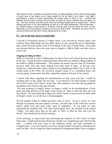With all this in mind, I decided to experiment when my eldest daughter, Preet, who had developed a mouth ulcer in two places and a large pimple on the left side of her cheek. Last night I administered a piece of bread representing the broken body of Christ to her. I prayed and believed that this piece of bread had the power to make her whole, thanked God, and gave it to her. The next morning, both the mouth ulcer and the large pimple were no longer there. I will be sharing about this in our next fellowship as well as in the other fellowships I will be attending. I am indeed finding a great benefit in believers sharing what God has done for them at each fellowship, as we were greatly inspired to see that our God is able. Therefore, we have a time of sharing of what God has done in each fellowship here in India.

## **IV. Acts of the holy spirit in South India**

I arrived at Trivandrum airport at 2:30pm where I was received by Joseph Vedraj, who conducts home fellowships and runs bible classes in and around the area of Martandam that is about 40 miles further south of Trivandrum in the state of Tamil Nadu. Jacob John who became believer about the same time as Joseph in 1984 in Delhi was there also to receive me.

# **Ongoing teaching of elders**

While we traveled on a bus to Martandam, he told us how God's Word has been moving in his area. Joseph had been conducting home fellowships for medical college students in the medical college in Martandam. The students are mostly from the state of Tamilnadu; however, there were also many students from other parts of India. In the past year, Joseph has conducted bible classes similar to the Foundational Bible Class I took in the United States in the 1970s. We arrived at Joseph's home. It is a wonderful home with coconut palms, banana trees and other vegetation unique in this part of the country.

I shared with them regarding the manifestations of holy spirit and that I would be teaching more on this subject the next day. I was blessed to see much hunger in Joseph and Jacob to learn God's Word. I know they will continue to win and raise up people to evangelize God's Word in this part of India.

 The next morning at Joseph's home, we began a study on the manifestations of holy spirit and some portions of the paper I had written on "How to Heal the Sick and Cast Out Devils". We were planning to depart for Jacob's home in Ayoor about 62 miles north of Joseph's home; it is on the way to Kotamangalam.

We left Joseph's home at 3:00pm and took a bus to Ayoor. To go to Ayoor, we went through Trivandram, the state capital of Kerala. On both sides of the road were coconut palms, rubber trees and many other types of vegetation. At one point we were surrounded by beautiful hills with lush tropical green trees. We reached Ayoor around 7:00pm. We spent more time on the topic of "How to Heal the Sick and Cast Out Devils" with Joseph and Jacob that evening.

In the morning, we spent much time discussing the outreach of God's Word in Tamil Nadu state. I understood in more detail how Joseph was evangelizing God's Word in that state. I shared with him some of the important points and basic principles of evangelization. I was very blessed to see how Joseph trusted God and his commitment to work for Him. So far Joseph has been teaching the Foundational Bible Class in English;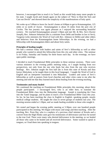however, I encouraged him to teach it in Tamil as this would help many more people in his state. I taught Jacob and Joseph again on the subject of "How to Heal the Sick and Cast out Devils" and showed them the simplicity of the manifestations of holy spirit.

We woke up at 5:00am to leave for Jacob's home at 6:00pm to get to Kotamangalam, 125 miles or so north of Ayoor. Kotamangalam is about 35 miles from the port city of Cochin. The bus journey was again pleasant as I enjoyed the surrounding beautiful scenery. We reached Kotamangalam around 1:30pm and met Mr. & Mrs. Sevi (Xavier Joseph), Rev. Johnson Sebastian (He is a minister from Delhi and brother in law to Sevi), Vargeese (who ministers the Word of God with Rev. Johnson in Delhi) and other elders and believers from the Kotamangalam home fellowships. In the evening, we had a fellowship with Kotamangalam elders and about forty saints.

# **Principles of healing taught**

We had a seminar today with leaders and saints of Sevi's fellowship as well as other people who wanted to attend this fellowship from this city and other cities. The seminar is on Friday, Saturday and Sunday for three hours each day. In the evenings, we have open public meetings.

I decided to teach Foundational Bible principles in these seminar sessions. There were various ministers in the evening public meeting today, so I taught healing from two perspectives, not only from the one who heals but also from the one who receives healings. Rev. Johnson taught the first half (he is from this state of Kerala and thus knows Malyalam, so he taught them in this local language). I taught the Word of God in English and an interpreter translated it into Malyalam. Leaders and saints of Sevi's fellowship as well as pastors from local churches and other cities came to me after the meeting and told me that they learned much about healing from the evening teaching.

# **Testimonies and many healed**

We continued the teaching on Foundational Bible principles this morning; about thirty people participated. I encouraged Sevi, who is an elder here, to translate the Foundational Bible class into the Malayalam language. Joseph is translating the Class into the Tamil language, and he plans to teach a live Foundational Bible Class this year. So far, he has been teaching the class in English to English-speaking people, mostly medical college students. He taught the class to seven groups of students last year. The morning session ended at 1:30pm, and we made healing available to those who sought it.

We rested and began the evening public meeting at 5:30pm; over one hundred people participated in this meeting. We began with music and songs and then teaching. After the teaching, Rev. Prem Raj, who is a nephew of a previous chief minister of Kerala and a convert from the High Hindu caste gave his testimonies of deliverance and how he turned to the true God. There were many who desired deliverance in the meeting, so we healed all those who came to be healed and all received deliverance. Some wanted to speak in tongues, so I lead them into speaking in tongues.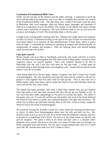## **Conclusion of Foundational Bible Class**

Today was the last day of the seminar and the public meeting. I continued to teach the class with the help of an interpreter, and I was able to complete four sessions (of twelve) of the Foundational Bible Class. The elder here, Sevi, would in the future teach the class in Malyalam, their local language. India has fifteen major languages and hundreds of dialects in a population of over one billion. Our country is rich indeed with many colorful cultures and a multitude of religions. The local believers need to rise up and teach the accuracy and integrity of God's Word and help others to do the same.

I taught in the evening public meeting after Rev. Johnson had taught (about the authority we have in Christ). I continued teaching on the type of the type of spirit we received from God which allows us to manifest all nine manifestations of holy spirit, which is power from on high. I concluded by teaching on speaking in tongues and touched briefly on interpretation of tongues and prophecy. After the meeting, those who desired healing came forward and were healed.

## **False gods rejected**

Before Joseph, who is an elder in Tamilnadu, and Jacob, who works and lives in Cochin about 36 miles from Kotamangalam and 185 miles north of Martandam, returned to their respective places, we prayed together. They were certainly blessed to be able to fellowship with me, and I was also with them for the past week. I would again be communicating to them through letters and telephone calls. Joseph told me that he would come to visit me in October.

After seeing them off at the bus depot, Johnny, Vergeese, Jose and I visited Jose's home in Kotamangalam. We also visited his land near his home that he wanted to sell and we prayed to God together that this land could be sold quickly. Next to that land was a Hindu family whom Jose knew, and we spoke the Word of God and told them about the True God and His Son, Jesus Christ.

The family had many problems, and when I asked them whether they got any benefits from their gods or not, then they answered that they did not get any benefits at all. In fact, each year they made a pilgrimage to a far place to worship their gods**.** The father of the house, who was 75 years old, and the son and mother who were at the house believed the Word of God which we spoke and confessed Romans 10:9 right then and there. We asked Jose to follow up with them and help them in the Way. In the evening I taught the Word of God to the saints in Kotamangalam.

We would be visiting Mr. Kuriako's home for a short while this morning and then move to Aluva, 24 miles from Kotamangalam where Sevi, his wife and their son live. Mr. Kuriako came to pick us up in his van; he is retired from the telephone company and now is devoted to evangelizing God's Word. He took us to his home where we met his wife and his daughter. We spent a while at his home and then went to a location where elephants were trained. The drive to this place was about 10 miles and was through rice fields, pineapple farms and forests. We saw many young elephants that were two or three years old. Mr. Kuriako then took us to Sevi's home at Aluva.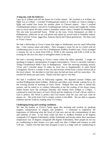## **A long day with the believers**

I got up at 3:00am and left the house for Cochin airport. We reached it at 4:20am; the flight was at 5:20am. I reached Visakhapatnam airport at 12:20pm as I had to change a flight and waited four hours for another plane to Chennai airport. Once I reached Visakhapatnam airport, I moved to Visakhapatnam railway station and caught the 1:05pm train to travel about 90 miles south to Samalkot station where I headed for Peddapuram. The trip took two-and-half hours. While on the train, Victor Emmanuel, an elder in Peddapuram, called me on my cell phone and asked my arrival time at Samalkot station. When I arrived, Victor, Jagga Rao, Samson David and Chinni greeted me. We then went to Victor's house.

We had a fellowship at Victor's home that night as Wednesday was his usual fellowship day. I met various saints and elders. They arranged a room for me in a hotel with air conditioning since it was very hot in Peddapuram Andhera Pradesh state. Victor arranged a seminar for me to teach from 8:00 to 10:00 in the morning and 6:00 to 8:00 in the evening for the next four days to strengthen elders in the area.

We had a morning meeting at Victor's home where the elders attended. I taught on speaking in tongues, interpretation of tongues and prophecy. Victor is currently running a Telegu Foundational Bible Class in Peddapuram. After the morning teaching session, Victor and I traveled about 25 miles by local bus to Rajahmundry to meet David Livingstone. David is a leader in this city and recently retired from a senior clerical job at the local school. We decided to visit him since he had not been well for some days. We reached his home just past noon. Thank God that I got to visit him.

We had a wonderful time of fellowship together. We departed around 5:00pm and reached Peddapuram about 6:00pm. Believers and elders were already waiting for us for the evening session of teaching of God's Word. Prakash Rao was able to attend this session, and he asked us to conduct fellowship at the flat rooftop of his house (many Indian houses have flat rooftops) Saturday and Sunday from 4:00pm to 5:30pm. I continued to teach the basics of God's Word and the simplicity of God's Word, which is: God is perfect, His Word is perfect and God means what He says and says what he means, etc. The truth from God is simply written in the Bible. We are able to separate tradition and the Truth by reading what it is written**.** 

### **Challenging living and working conditions**

We met the leaders at Victor's home again this morning and worked on speaking tongues, interpretation of tongues and prophecy. I continued to emphasize the importance of following what the Word of God says and not the commandment of men and tradition of men. It has been really hot here in Andhera Pradesh at 46 degrees centigrade (115 degrees Fahrenheit); unlike Tamilnadu and Kerala where their maximum temperature was 33 degrees centigrade (90 degrees Fahrenheit). Here people do not use air conditioning in their homes, so it gets really hot after 11:00pm and remains so until 5:30 pm. I thank God that they had arranged a room in a lodge with air conditioning so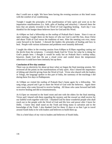that I could rest at night. We have been having the evening sessions at this hotel room with the comfort of air conditioning.

Tonight I taught the principles of the manifestation of holy spirit and went on to the impartation manifestations (i.e. faith, gifts of healing and miracles). I showed them the keys that are plainly revealed in the Word of God regarding healing. Each day I was thankful for the hunger these believers have for God and His Word.

At 4:00pm we had a fellowship on the rooftop of Prakash Rao's home. Since it was an open meeting, I taught them on the basics of who our God is and His Son, Jesus Christ and about Truth of God versus the traditions of men. After the meeting was over, many came forward to be healed. I showed the leaders the principles of healing and how to heal. People with various sicknesses and problems were instantly delivered.

I taught the elders in the evening session from 6:00pm to 8:30pm regarding casting out the devils from the scriptures. I certainly thank God for Victor for what he is doing for God's people here. I thought it would be really hot on Prakash Rao's rooftop today; however, thank God that He put a cloud cover and cooled down the temperature otherwise it could have been intensely hot up there.

# **Conclusion of five-day seminar**

There was no electricity for about an hour when we began the final morning session. We reviewed all the points on the manifestations of holy spirit. Also I shared the importance of tithing and cheerful giving from the Word of God. Victor also shared with the leaders in Telegu, the language spoken in this part of India, the summary of the teachings I did during these five days in Peddapuram.

At 5:00pm we visited the rooftop of Prakash Rao's home again for a fellowship. We sang songs, prayed and I got to share the Word of God with the believers. Again there were many who came forward to receive healing. All those who came forward had faith to receive healing and did so instantaneously.

At 6:15pm we returned to the hotel room and met with the elders for the final meeting. Victor and I shared with them regarding the mystery and the reward we shall receive for our faithful work together with God. I thanked God for these wonderful people who shall reach out to the people with the Word of God and His love and power after I leave for Delhi. I know they shall stand on the Truth and bring many to salvation and to the knowledge of the Truth. I also thanked God for these 15 days or so that I got to travel around South India to be with leaders and believers to build them up.

This is a brief diary of my visit to leaders and believers of South India.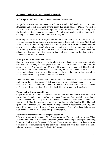# **V. Acts of the holy spirit in Utranchal Pradesh**

In this report I will focus more on testimonies and deliverances.

Bhupinder, Rakesh, Michael, Dharam Pal, Ashish and I, left Delhi around 10:30am. Bhupinder and I and took turns driving about 160 miles north of Delhi. We reached Dehera Dun at 6:30pm where Glab Singh and his family live; it is in the plains region at the foothills of the Himalayan Mountains. We felt much cooler at 75 degrees in the evening since the temperature of Delhi was 92 degrees.

Glab Singh is the elder in this region and became a Christian in Delhi and then about a year ago returned to his home town, Dehera Dun, to begin outreach work. Glab Singh woke up early in the morning around 4:30am to prepare lunch for the believers (He used to be a cook for Indian cuisine) who would be coming for the fellowship. Some believers were coming from nearby areas, and some were from Rishikesh, 12 miles away, and others from Raiwala 15 miles away, by taxi and bus. Over one hundred believers attended the morning fellowship.

## **Young and new believers heal others**

Some of them came early and I got to talk to them. Shanti, a woman, from Raiwala, originally from Nepal, received physical deliverance after hearing what the True God could do for her. A young girl only 15 years old witnessed to her and healed her. Shanti's husband was an alcoholic and whenever he drank, he became violent. After Shanti was healed and had come to know what God could do, she prayed to God for her husband. He was delivered from heavy drinking and became peaceful.

Shanti's friend, who also attended the fellowship whose name I forgot, had a severe liver problem for the past two years. This friend related to me that Shanti spoke to her of the true God and how she could be delivered in the name of Jesus Christ. One day she went to Shanti and desired healing. Shanti then healed her in the name of Jesus Christ.

## **Fierce devil spirit obeys and leaves**

Gopal, in his mid-twenties, also shared with us about his deliverance from devil spirit possession. He and his family suffered also since Gopal was fierce and violent; and none could come near him. The spirit in him threatened and cursed everyone in his home. The family heard Glab Singh could cast out devils so they brought Gopal to him. The devil spirit shouted through Gopal and became fierce; however, it recognized Glab Singh and obeyed his command and departed. Gopal then accepted Jesus as Lord and believed that God has raised him from the dead and spoke in tongues.

## **Deliverance from sixteen years of spirit possession**

When we began our fellowship, Glab Singh played the Tabla (a small drum) and Vijay, an elder in this region, played the harmonium (a small hand pumped organ) and they sang hymns to God in their language, Galwahli. They knew also Hindi, so there were no problems in communicating to the believers. These believers had their own home fellowships weekly; some even had daily fellowships.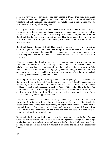I was told how this door of utterance had been opened in Dehera Dun area. Ram Singh, had been a devout worshipper of the Hindu god, Hanuman. He fasted weekly on Tuesdays and had a séances with Hanuman who would speak to him. Despite this, his wife remained seriously ill for many years.

One day he visited a relative in Delhi when one of the members of the house was possessed with a devil. Ram Singh began to pray to Hanuman to deliver the woman from the devil. As he prayed to Hanuman, the devil spirit in the woman spoke to him and told Ram Singh that he had no power to cast him out. Then to his shock, the spirit told him that it had come to Ram Singh's house sixteen years previously and was the cause of his wife's sickness.

Ram Singh became disappointed with Hanuman since his god had no power to cast out devils. His god not only had no power over this spirit, but his wife became sick the same year he began to worship Hanuman. He also thought at that time, what was the use of worshipping Hanuman with his whole heart when his wife had been seriously sick for many years?

After this incident, Ram Singh returned to his village in Garwahl when some one told him about a fellowship in Delhi where they could heal the sick. He contacted one of his relatives, who also had a big problem with devils haunting his house, to go to a Delhi fellowship with him and his wife. All night, they heard thumping of feet on the roof as if someone were dancing or knocking at the door and windows. When they went to check where they heard the sounds, they saw no one.

Ram Singh took his wife, Pinky, Pinky's mother and her younger sister to Delhi. The five of them found the house of Ram Singh (the name of the fellowship leader was also Ram Singh) in Delhi. Ram Singh, the fellowship leader, first heard from all of them what had been happening and proceeded to speak the Word of God and told how the True God could deliver them. As Ram Singh (the fellowship leader) spoke the Word of God, the devil in the wife of the other Ram Singh began to speak and said that it came to live in her when they began worshipping Hanuman.

They then understood that Hanuman, who they worshipped, was in fact the devil spirit possessing Ram Singh's wife, causing her sickness these sixteen years. Ram Singh, the leader, ordered the devil to leave because they no longer worshipped it. The devil obeyed him and departed. Immediately, all of them confessed with their mouth Jesus as Lord and believed in their heart that God has raised him from the dead. (Ed. note: It is the nature of devil spirits to lie and deceive.)

Ram Singh, the fellowship leader, taught them for several days about the True God and what was available from Him. He also led them into speaking in tongues. Ram Singh taught them about the authority they had over the devils and that Pinky and their family no longer had to fear the devils that haunted their house; the devils must depart their house.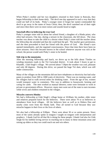When Pinky's mother and her two daughters returned to their home in Raiwala, they began fellowship in their home daily. The devil one day appeared in such a way that they could see half of its body. Pinky's younger sister (I forgot her name) commanded the devil to go away in the name of Jesus Christ; then, the devil vanished out of their sight and since then there were no more noises and sounds heard at night.

## **Snowball effect in believing the true God**

Pinky's younger sister told us about her school friend, a daughter of a Hindu priest, who often had seizures. One day, during a seizure in the classroom, she fell down. The class teacher was about to take the child to a doctor when Pinky's sister told the teacher about the fellowship she attended and that she could heal the girl. The teacher gave permission, and she then proceeded to heal her friend with the power of God. Her friend's eyes opened immediately, and she regained consciousness. Since that time there have been no more seizures. Once this became known in the school whenever anyone was sick at the school, the person would seek Pinky's sister to be healed.

### **Side trip to the mountains**

After the morning fellowship and lunch, we drove up to the hills about 75miles on winding mountain roads to the Tiri Garwahal district. It took about 5 hours to get to Khandhi , Glab Singh's village. We arrived about 7:30pm the weather was cool, pleasant and only 68 degrees. During this drive, we passed the huge Tiri dam, which was still under construction.

Many of the villages on the mountains did not have telephones or electricity but had solar panes to produce from 500 to 1000 watts of electricity. There was no running water, and the villagers had to walk several miles for drinking water. From the age of ten, women would transport water in containers. This was in addition to housework, farming and caring for cattle. The men worked as manual laborers; some were fortunate to work in private or government offices. However, many men went out of the state to earn incomes while wives and children remained in the villages.

### **Miracles converts Hindus**

We had a fellowship at Glab Singh's village home at 10:00am; his mother, elder sister and relatives prepared lunch for the believers. There were about 70 or so believers in attendance from local villages. All the believers here as well as in Dehera Dun and nearby cities were from the Hindu faith. They all turned to God because they saw miracles happen in their lives or the lives of others.

We also had a fellowship at 9:00pm. There were about 30 or so saints present. Since most of the saints already spoke in tongues I taught on tongues with interpretation and prophecy. I thank God for all that He is doing for these people. I thank God also for Glab Singh for his faithful loving service in reaching out to many in these mountain areas and raising up elders so they too could reach out and win others.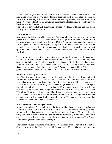We left Glab Singh's home in Khandhi at 6:30am to go to Dobe, where another elder, Dev Singh, lived. The trip was about 20 mile; there was another fellowship scheduled for 10:30 am. It was only a dirt road, so we had to drive very slowly. Eventually we had to walk. We walked for about 30 minutes up the mountain footpath and stopped briefly for breakfast at a local restaurant.

The path was surrounded with pine tree and shrubs. We found wild rose and rose hip on the way. We arrived about 9:20.

## **The blind healed**

Dev Singh, the fellowship elder, became a Christian after he had heard of the healing power of the True God and had been healed of seven years of blindness. At the time of his healing and conversion, he was living in Delhi. About three years ago he returned to his village home in Dobe and began to boldly witness to people about the True God and His delivering power. Since that time, many were healed of physical sicknesses, devil spirit possession and confessed Jesus as Lord and believed that God had raised him from the dead.

There were over 70 believers attending the morning fellowship, and many gave testimonies of deliverance they had received from God. All of them knew nothing about Jesus Christ before Dev Singh returned to the village. With the help of Glab Singh's monthly visits to this village, believers were getting established and some of them were rising up to be elders. Dev Singh is in his mid 50's and has grandchildren. Whenever his grandchildren were unwell or hurt, they go to Dev Singh and are healed instantly.

## **Affliction caused by devil spirit**

Mrs. Shanti, around 45 years old, also gave her testimony of deliverance from devil spirit possession. For 23 years she could hardly lift her arms, feet and legs because of acute pain in her body. When she heard from Dev Singh that God was able to deliver her, she went to him to receiving healing. When Dev Singh began to heal her, a devil spoke through her and said that it had been in her for 23 years and was causing the affliction that was destroying her. Dev Singh commanded the spirit to depart, and it went out. When Mrs. Shanti was delivered from this spiritual and physical bondage, she was able to do her house work for the first time in twenty three years. Glab Singh and Bhupinder encouraged the believers and leaders to continue in the Way and to enjoy the more than abundant life Jesus Christ had made available.

## **Water buffalo healed: village believes**

A woman who heard Dev Singh preach the Word in his village had a water buffalo that had been sick for about a month from a deadly sickness. The doctors and villagers knew from experience that no cattle had previously survived this disease. Many people in the village told her to take an offering (goat or hen) to their idol gods and goddesses. They also said that this disease came because she was attending the fellowship at Dev Singh's home so the gods and goddesses were angry.

The woman refused to make to offerings or serve the idols even if her cattle died but she chose to trust that the True God would deliver her buffalo. The next morning her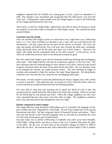neighbors reported that her buffalo was eating grass; in fact, it gave an abundance of milk. The villagers were astonished and recognized that this deliverance was from the True God. Consequently, many people from the village began to come to the fellowship of Dev Singh and believed the True God.

After lunch, we left the village Dobe, walked down the hill for about 20 minutes to reach our parked car and drove back to Khandhi to Glab Singh's home. We reached his home around 6:00pm.

## **God intervenes for drunk**

Once we reached Glab Singh's home we rested since every night there was a fellowship from 2 to 3 am. Once refreshed we decided to see a man who was well known for his drunkenness. He had a good job but he spent all his money on alcohol. His wife, two sons and mother all believed the True God once they forsook the idols they worshiped. (They physically threw out all the idols and altars out of their house.). However, the father who drank heavily maintained idols in his office drawer. In the privacy of his office he would burn incense sticks to the idols and worship his gods.

His wife asked Glab Singh to pray that her husband would stop drinking and worshipping other gods. Glab Singh told the wife that he would pray with her to the True God. The next morning when her husband began to burn incense in his office, both his arms turned around to the point where the back of the palms faced each other. He was shocked. Soon as he dropped the incense, his hands became normal. The next morning he began to worship and attempted to light the incense, the same thing happened. He immediately called his wife; she said this was caused by his worshipping other gods.

Previously, we had wanted to meet the husband but he always slipped away and e drank as much as possible. This particular day we prayed to God to find him home when we arrived and that he would be delivered from his drinking problem

We were able to meet him this morning and to speak the Word of God to him. He promised that he would attend the fellowship in his home that evening. When we arrived for the fellowship he was present and sober. When the village neighbors saw this, they were astonished because they never seen him sober at night. The neighbors wanted to know who and what power had changed the man over night.

## **Hymns composed in native tongue**

The songs believers sang during the fellowships were in Garwahli, the language of this part of India and were composed by Glab Singh. He and Vijay Singh took turns playing harmonium and tabla. He had composed about 24 beautiful hymns and praises. These were the first hymns in the Garwahli language since no one had ever preached the word of God in this mountainous part of India before.

Our plan today was to attend a fellowship at Andhethi nine miles away from Khandhi, Glab Singh's village house, and then to return to the city of Dehera Dun about 90 miles on the plain. By the way, we have been in the mountain villages at 2500 ft to 3000 ft above the sea level. We started the day with a fellowship at Ram Singh's (This is another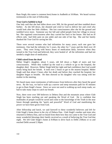Ram Singh; this name is common here) home in Andhethi at 10:00am. We heard various testimonies at the start of fellowship.

## **True God is faithful to heal**

One lady said that she had fallen down over 30ft, hit the ground and then tumbled down further. As she fell down, she shouted and cried to God to deliver her and cried who would look after her little children. She lost consciousness after she hit the ground and tumbled twice more. Someone saw her fall and called people from her village to rescue her. She regained consciousness after they carried her back to her house. She had no ill effects only had little pain on one ankle and one side of her hip. She and her family thanked the True God for saving her life.

There were several women who had infirmities for many years; each one gave her testimony. One had the infirmity for 5 years, the other for 7 years and the third over 20 years. They were living with heavy doses of medication daily; however when they turned to the True God and believed, they were healed of all the infirmities and had not needed a single dose of medication.

# **Child raised from the dead**

Meher Singh's daughter, about 5 years, old fell down a flight of stairs and lost consciousness. While they walked up the road to a vehicle to go to the hospital, the daughter died. However, Meher Singh held her tight and had confidence that God would surely bring back her breath. It took over 2 hours to get to the nearest hospital. Meher Singh said that about 2 hours after her death and before they reached the hospital, her daughter began to breathe. He then showed us his daughter who was sitting with her mother in the meeting.

We heard many more testimonies of deliverance from believers after they heard the good news. By the way, we had to walk up a narrow and steep mountain path for 45 minutes to get to Ram Singh's house. Since we were not used to walking up such steep roads, we had to take many stops to catch our breath.

Now, there were over 500 believers in Dehera Dun and the mountain areas where Glab Singh has been reaching out and speaking the Word of God. He is confident that multitudes of people would be saved and come to the knowledge of the Truth in the near future through speaking the "quick and powerful" Word of God and manifesting the power we have been given from God.

After fellowship and lunch, we said farewell to these wonderful believers and left for Glab Singh's home down in the city of Dehera Dun. Glab Singh's mother and sister also returned to Dehera Dun, and we heard from them how they too came to the True God and many wonderful blessings their family received as a result of believing the True God that night. We left Glab Singh's home at 8:00am to drive back to Delhi 250kms or so and reached Delhi around 2:30pm.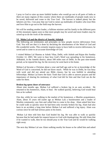I pray to God to raise up more faithful leaders who would go out to all parts of India as there are many regions of this country where there are multitudes of people ready now to be saved, delivered and come to the True God. The harvest is indeed plenty but the laborers are few. I too pray that our God to raises up multitudes of leaders who trust Him and love Him to go out to the field reap the harvest.

We will be sending another leader, a fulltime minister and his family to the different parts of this mountain region soon so that more people may be saved and more leaders may be raised up to do the work of the ministry.

# **VI. Mohn Lal and the district of Amethi, Adiaksh**

The following are testimonies and principles on how people receive deliverance from God. You will see that it is done by declaring the absoluteness of the Word of God and His wonderful works. This certainly inspires many to have faith to receive deliverance, be saved and to come to an accurate knowledge of God.

I visited Mohan Lal Sharma at Ashok Vihar, Delhi, with Ashish and Rajan this Sunday October 12, 2003. We went to hear how God's Word was spreading in his hometown, Adhiaksh, in the Amethi district, about 500 miles east of Delhi. In the past nine-month period, as he injured his leg, for the recovery he went back to his home.

Mohan Lal became a Christian about a year and half ago and as far as knowledge of the Word of God is concerned, he did not know much. While he was in Delhi, he was busy with work and did not attend any Bible classes, but he was faithful in attending fellowships. Mohan Lal knew the basic Truth that God is able to answer prayers and the importance of sharing his testimony of what God did for him and that God can do the same for them.

## **Broken leg opens doors of utterance**

About nine months ago, Mohan Lal suffered a broken leg in an auto accident. He returned to his hometown, Alam, to heal. He walked quickly, believing God would heal him as he walked.

One day, while he was walking in the market of his hometown, a Muslim acquaintance, Alam, about 35 years old (same age as Mohan Lal) a businessmen and a leader of Muslim community; saw him and called him to come to his shop. Alam asked him how he could walk so quickly since he had been only recently broken his leg. Alam had also been in an accident a long time before Mohan Lal and suffered a leg injury. Alam was curious since he still had serious pains in his knees.

 Mohan Lal then told him that God healed his leg. He was able to walk so quickly because that he had made his request known to God with thanksgiving. He told Alam that if he wanted to walk, then he too should pray to the True God and he would be walking right away.

The next day Mohan Lal saw Alam walking nearby his house so he called him and asked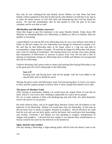him why he was walking.(God had already shown Mohan Lal that Alam had been healed.) Alam explained to him that he did exactly what Mohan Lal told him to do, that is, to make his desire known to God with faith and thanksgiving that God has heard his prayer. He said that immediately after he had spoken to God, the pain in his knee vanished, and he was able to walk.

## **300 Muslims and 200 Hindus converted**

Alam then began to give his testimony to his many Muslim friends. Today about 300 Muslims are attending Mohan Lal's fellowship, in addition to 200 or so Hindus; daily the number is increasing.

I asked Mohan Lal what he did in his fellowship since he was a new believer and while in Delhi, he did not conduct his own fellowship even though he witnessed to people a lot. He said that he had fellowship daily in his home which is a big one and able to accommodate a large number of people. He said that he began his fellowship with prayer and a time for sharing of testimonies. The sharing lasted over an hour since many people had testimonies of deliverance or answers to prayer from God. We too had a time of sharing of testimonies during our fellowships here in Delhi and Mohan Lal incorporated that into his fellowship.

I believe declaring God's great works to others and praising Him during fellowship is one of the great keys for God to add people to the fellowship.

## **Acts 2:47**

Praising God, and having favor with all the people. And the Lord added to the church daily such as should be saved.

Sharing the great works and deliverance from God and giving glory to God is our praise to Him, and this inspires people to believe Him. It shows people that indeed God is able.

### **The power of Absolute Truth**

After sharing of testimonies, Mohan Lal would teach the simple Word of God that he knew which is: Our God is able. Nothing is impossible for God to do for people We are to make requests to Him with thanksgiving and with faith. We shall absolutely receive the answer to our prayers.

He really believes these, and so he taught these *Absolute Truths* with all boldness to the believers in his fellowship. Mohan Lal would then close his fellowship. At the time he did not know how to speak in tongues, interpret or prophecy. But he did know he could heal the sick and cast out devil spirits, and he did know God would give him knowledge and wisdom. Yesterday I led Mohan Lal into speaking in tongues, interpretation of tongues and prophecy. I showed him how simple it was operate these manifestations so that he could do the same for the believers in his hometown.

### **Signs, miracles and wonders**

One day during a fellowship, a high-ranking police official from the district came to his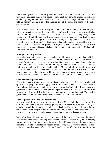house accompanied by his security men and several vehicles. The saints did not know why the police force came to the house. Some said they came to arrest Mohan Lal for conducting religious activities. Mohan Lal is a man with courage and boldness, and he told his nephew, Bhola, to go to the entrance gate of the house and not to let the police officer to enter.

 He instructed Bhola to ask him why he came to his house. Bhola stopped the police officer at the gate and asked the nature of his visit. The officer said he came to see Mohan Lal and that this was a personal and not an official visit. He said his eighteen-year- old daughter was blind. He had heard from someone that Mohan Lal could heal the sick. Bhola, who is seventeen years old, said to the high-ranking police officer that if he desired deliverance from the True God, then he had to be humble. He should take off his uniform which manifested the pride of man-given power and authority. The officer immediately returned to his car and changed into simple clothes and entered Mohan Lal's house with his daughter.

## **Blind girl instantly healed**

Mohan Lal said to the officer that his daughter would immediately recover her sight if he believed that God could do this. The man said he believed that God could recover his daughter's blindness. Then Mohan Lal asked his daughter how many fingers she saw while having his hand opened with his five fingers. She said five. Then her father, the high-ranking police officer, gave thanks to God. Mohan Lal told her to tell the color of his clothes; she said the correct color. Since this time, the police officer has become a regular member of the fellowship. He too has given testimony to many of the great deliverance and the wonderful work that the True God did for his beloved daughter.

### **Chief voodoo magician believes**

One of the greatest voodoo magicians in his area who cast spells, (that is, to send a devil spirit to harm people by receiving payment from his clients) also began to attend Mohan Lal's fellowship because he understood how the power that Mohan Lal demonstrated was greater as his own spells. He had placed a spell on Mohan Lal and not only did it not work but the devil spirit involved returned and attacked the voodoo chief. This made a great impact on his community and many attended Mohan Lal's fellowship.

### **Voodoo priests kill: True God restores life**

A newly married girl, about twenty, who lived near Mahan Lal's home, had a problem with fits. The family invited voodoo priests to their house to cure her. During the exorcising ritual the priests beat the girl on the back to drive out the evil spirits. During the violent beating, the girl fell to the ground and died. When the family realized that the girl was dead, they beat their chests and howled in extreme anguish and sorrow.

Mohan Lal heard the commotion and as he entered the house, he saw many in anguish and beating their chests, showing their extreme sorrow. Mohan Lal, before entering further, prayed to God that He would give him the boldness and strength to raise the girl from the dead. He confronted the voodoo priests, saying that they worked for wickedness and their curses had taken life, but His God would restore life. God inspired him to put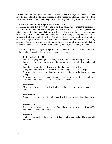his hand upon the dead girl's head and as he touched her, she began to breathe. All who saw the girl restored to life were amazed, and the voodoo priests immediately fled from the house. Now this family and the girl attend the daily fellowship at Mohan Lal's home.

## **The Word of God and nothing but the Word of God**

Mohan Lal told me that they wished me to visit his hometown to meet the believers. I too wish to visit them and teach and guide them so that they may be strengthened and established in the faith and that the Word of God grows mightily in his area and surrounding areas. I continue to see the importance of keeping teachings simple. It is the wonderful truth and simplicity of the Word of God that inspires people to have faith in God. It is helpful for believers to see that God is indeed able to deliver them from any situation. This is why it is important to have a time of sharing of testimonies of what our wonderful God has done. This builds our believing and inspires believing in others.

There are many verses regarding speaking the wonderful works and deliverance He makes available to us, but the following are some of them:

## **1 Chronicles 16:24~29**

Declare his glory among the heathen; his marvellous works among all nations. For great *is* the LORD, and greatly to be praised: he also *is* to be feared above all gods.

For all the gods of the people *are* idols: but the LORD made the heavens.

Glory and honour *are* in his presence; strength and gladness *are* in his place.

Give unto the LORD, ye kindreds of the people, give unto the LORD glory and strength.

Give unto the LORD the glory *due* unto his name: bring an offering, and come before him: worship the LORD in the beauty of holiness.

## **Psalms 9:11**

Sing praises to the LORD, which dwelleth in Zion: declare among the people his doings.

## **Psalms 66:16**

Come *and* hear, all ye that fear God, and I will declare what he hath done for my soul.

### **Psalms 73:28**

But *it is* good for me to draw near to God: I have put my trust in the Lord GOD, that I may declare all thy works.

### **Psalms 107:22**

And let them sacrifice the sacrifices of thanksgiving, and declare his works with rejoicing.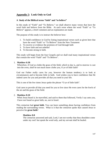# **Appendix 5: Look Only to God**

## **A Study of the Biblical terms "faith" and "to believe"**

In this study of "Faith" and "To Believe," we shall observe many verses that have the word faith and believe from the Bible. At each verse where the word "Faith" or "To Believe" appears, a brief comment and an explanation are made.

The purpose of this study is to instruct the believer how:

- 1. To build confidence in God by listing inspirational verses such as given here that have the word "Faith" or "To Believe" from the New Testament
- 2. To receive or evidence the promises of God through faith
- 3. To have faith and not unbelief
- 4. To become strong in faith.

This study will begin from the four Gospels and we shall read many inspirational verses that contain the word "Faith" and "To Believe".

## 1. **Matthew 6:30**

Wherefore, if God so clothe the grass of the field, which to day is, and to morrow is cast into the oven, *shall he* not much more *clothe* you, O ye of little faith?

God our Father really cares for you, however the human tendency is to look at circumstances and to become little in faith. God wishes you to have confidence that He indeed cares for you and provides all that you need in your life.

This is one of the few times Jesus spoke the phrase "O ye of little faith".

God cares to provide all that you need for you to live since He even cares for the fowls of the air and the grass of the field.

## 2. **Matthew 8:10**

When Jesus heard *it*, he marvelled, and said to them that followed, Verily I say unto you, I have not found so great faith, no, not in Israel.

This centurion had **great faith**. You can learn something about having confidence from reading the surrounding verses. What is it that the centurion spoke that caused Jesus to perceive his **great faith**?

## **Matthew 8:8**

The centurion answered and said, Lord, I am not worthy that thou shouldest come under my roof: but speak the word only, and my servant shall be healed.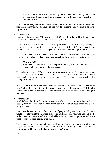**9** For I am a man under authority, having soldiers under me: and I say to this *man*, Go, and he goeth; and to another, Come, and he cometh; and to my servant, Do this, and he doeth *it*.

The centurion really understood and believed about authority and the words spoken by a man who had authority. This man was one very few persons Jesus referred to as having **"great faith**".

## 3. **Matthew 8:26**

And he saith unto them, Why are ye fearful, O ye of little faith? Then he arose, and rebuked the winds and the sea; and there was a great calm.

We too would get scared seeing and hearing the wind and water roaring. Seeing the circumstances makes one to fear and become one of **"little faith**". Jesus said fearing from the circumstances of even a dangerous storm, constitutes having **little faith**.

The way in which a man and woman is to live is to have confidence in God knowing that God cares even when in a dangerous situation such as shown in verse twenty four.

## **Matthew 8:24**

And, behold, there arose a great tempest in the sea, insomuch that the ship was covered with the waves: but he was asleep.

The scripture here says, "There arose a **great tempest** in the sea, insomuch that the ship was covered with the waves". A tempest means a violent storm with high winds accompanied by rain and it was a **great tempest**. To fear at this was considered as having **little faith**!

What was Jesus doing at that time? He was sleeping. Well, we need to consider deeply why God would say that fearing in a **great tempest** was a demonstration of **little faith**. God's point of view is that He absolutely protects you in all situations even in the **great tempest**.

## 4. **Matthew 9:2**

And, behold, they brought to him a man sick of the palsy, lying on a bed: and Jesus seeing their faith said unto the sick of the palsy; Son, be of good cheer; thy sins be forgiven thee.

Faith could be seen by the confident actions of people. They were convinced that Jesus would absolutely heal the paralyzed man. You must know that your God and Father who is the Creator of heavens and earth is **all able** to bring to pass His promises and one of these promises is your **healing wholeness**.

To become convinced of this truth one must focus on God and look only to God to bring to pass the desires of the heart. God's promises shall absolutely come to pass because God **cannot fail** to do what He has promised in His Word.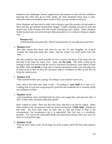Handover your challenges, desires, supplications and requests to God with the confidence knowing that when they go to God's hands, He shall absolutely bring them to pass. Therefore when you handover these works to Him, you give thanks in advance.

Once Abraham and Sara tried to help God to bring to pass His promise He had made to them and they got Ishmael instead from Haggar. Finally Abraham focused on God and looked only at the Promise from His mouth considering God's ability. When Abraham finally focused only on God he became fully persuaded as it is written in Romans chapter four.

## **Romans 4:21**

And being fully persuaded that, what he had promised, he was able also to perform.

## 5. **Matthew 9:22**

But Jesus turned him about, and when he saw her, he said, Daughter, be of good comfort; thy faith hath made thee whole. And the woman was made whole from that hour.

She had confidence that made possible for her to receive the desire of her heart that she had kept in her heart for many years. Jesus said **thy faith**. This faith is built up by looking to only God and hearing the word of God from God directly, from others or from the Bible. Once **we decide** to look only to God for the desired result, God will make sure to build us up so that we have the necessary faith or confidence in Him so that He can bring the result to pass.

## 6. **Matthew 9:29**

Then touched he their eyes, saying, According to your faith be it unto you.

Jesus said to the blind men these words. "According to **your faith** be it unto you". Looking only to God and recognizing how powerful and wonderful He is certainly builds our confidence in Him.

## 7. **Matthew 14:31**

And immediately Jesus stretched forth *his* hand, and caught him, and said unto him, O thou of little faith, wherefore didst thou doubt?

Peter walked on water! Peter just did what Jesus told him to do and he walked. When Peter looked at the circumstances then he feared and became of **little faith**. Initially he had faith. We have faith when we look only to God and refuse to look at the circumstances; the circumstance say it is impossible! But God says it is absolutely possible. You can do the impossible things and supernatural things when your eyes are fixed on God and His logic.

## 8. **Matthew 15:28**

And she said, Truth, Lord: yet the dogs eat of the crumbs which fall from their masters' table.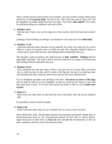This is another person; both of them were Gentiles, one man and this woman whom Jesus referred to as having **great faith**. He said to her, "Be it unto thee even as thou wilt" and her daughter was made whole from that very hour! Our God is **able indeed!** We cannot be ashamed putting our confidence and trust in Him.

## 9. **Matthew 16:8**

And she said, Truth, Lord: yet the dogs eat of the crumbs which fall from their masters' table.

Looking at and reasoning according to circumstances will cause us to have **little faith**.

### 10. **Matthew 17:20**

And Jesus said unto them, Because of your unbelief: for verily I say unto you, If ye have faith as a grain of mustard seed, ye shall say unto this mountain, Remove hence to yonder place; and it shall remove; and nothing shall be impossible unto you.

The disciples could not deliver the child because of **their unbelief**. **Nothing** shall be impossible with faith. The truth is that if you have faith even as a grain of mustard seed then nothing shall be impossible unto you.

### 11. **Matthew 21:21**

Jesus answered and said unto them, Verily I say unto you, If ye have faith, and doubt not, ye shall not only do this *which is done* to the fig tree, but also if ye shall say unto this mountain, Be thou removed, and be thou cast into the sea; it shall be done.

So it is absolutely possible to do all things with faith. **Just focus on God** and **His logic** and we shall be built up in our confidence so that we could say the thing we want and they shall come to pass. If we have faith and do not doubt at what we say, **it shall come to pass!**

### 12. **Mark 2:5**

When Jesus saw their faith, he said unto the sick of the palsy, Son, thy sins be forgiven thee.

It is possible to observe faith in people.

### 13. **Mark 4:40**

And he said unto them, Why are ye so fearful? how is it that ye have no faith?

Jesus rebuked the wind. The disciples looked at circumstance and feared. People tend to fear because they focus on the circumstances instead of God who is able to deliver. Again the lesson to learn here is: **Focus on** God and **not on** circumstances so that we have confidence and thus receive the desired results.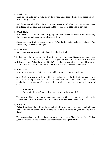### 14. **Mark 5:34**

And he said unto her, Daughter, thy faith hath made thee whole; go in peace, and be whole of thy plague.

Still the same truth holds and the same truth works for all of us. So what we need to do is, to **focus on God** and **His promises** and to see that **He is able** also to perform.

## 15. **Mark 10:52**

And Jesus said unto him, Go thy way; thy faith hath made thee whole. And immediately he received his sight, and followed Jesus in the way.

Again the same truth is repeated here. "**Thy Faith**" hath made thee whole. And immediately he received his sight…

## 16. **Mark 11:22**

And Jesus answering saith unto them, Have faith in God.

After Peter saw the fig tree dried up from the root and expressed his surprise, Jesus taught them on how to do miracles and how to get prayers answered, that is, **have faith** or **have confidence** in God. What do we need to do? Have faith or confidence in God. How do we have faith or confidence in God? Read or hear God's word and consider His word.

### 17. **Luke 5:20**

And when he saw their faith, he said unto him, Man, thy sins are forgiven thee.

Jesus Christ **always looked** for faith; he checked where the faith of that person was because he could give healing only to those who had faith. That's why he preached and taught the good news. Why? because faith comes by hearing and hearing by the Word of God.

### **Romans 10:17**

So then faith *cometh* by hearing, and hearing by the word of God.

The word of God helps you to focus your eyes on God and that word produces the conviction that **God is able** to bring to pass **what He promised** in His word.

### 18. **Luke 7:9**

When Jesus heard these things, he marvelled at him, and turned him about, and said unto the people that followed him, I say unto you, I have not found so great faith, no, not in Israel.

This was another centurion; this centurion never met Jesus Christ face to face. He had great confidence. It was he whom Jesus said that he had "**great faith**"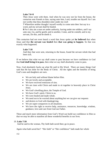## **Luke 7:6~8**

Then Jesus went with them. And when he was now not far from the house, the centurion sent friends to him, saying unto him, Lord, trouble not thyself: for I am not worthy that thou shouldest enter under my roof:

**7** Wherefore neither thought I myself worthy to come unto thee: but say in a word, and my servant shall be healed.

**8** For I also am a man set under authority, having under me soldiers, and I say unto one, Go, and he goeth; and to another, Come, and he cometh; and to my servant, Do this, and he doeth *it*.

This centurion had not even heard a word that Jesus spoke yet **he believed** that when Jesus said that **the servant was healed** then **that was going to happen**. So that was exactly what happened.

## **Luke 7:10**

And they that were sent, returning to the house, found the servant whole that had been sick.

If we believe that what we say shall come to pass because we have confidence in God that **God shall bring it to pass**, then what we say shall absolutely come to pass.

Now, God absolutely backs up what He said in His Word. There are many things God said that He has done for the Body of Christ. All the rights and the benefits of being God's sons and daughters are ours.

- We are holy and without blame before Him.
- We are lovely and acceptable.
- We have received remission of sins.
- We are risen with Christ and made to sit together in heavenly place in Christ Jesus.
- We God's dwelling place, the Temple of God.
- We have God's spirit, Christ in us.
- We were healed and made whole.
- We need not to be worried about anything but we can give our requests
- and desires to God with thanksgiving.
- We are super-conquerors in all situations.
- We have the right to receive help, assistance, resources, knowledge, wisdom, guidance, love and care from God our Father.

These and much more information from God's Word can build our confidence in Him so that we may be able to manifest all these wonderful benefits in our lives.

## 19. **Luke 7:50**

And he said to the woman, Thy faith hath saved thee; go in peace.

Again what hath saved her? "Her faith" or "Her confidence" hath made her whole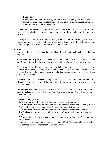## **Luke 8:25**

And he said unto them, Where is your faith? And they being afraid wondered, saying one to another, What manner of man is this! for he commandeth even the winds and water, and they obey him.

We certainly can endeavor to look to God who is **all able** and get our faith up. Jesus knew that God absolutely protected His people from all things and one of the things was this storm.

Looking at the circumstance and confessing what we see around will get us to have unbelief and never make our faith strong but weak. Knowing God and His information and focusing our minds on that will enable us to have faith.

## 20. **Luke 8:48**

And he said unto her, Daughter, be of good comfort: thy faith hath made thee whole; go in peace.

Again Jesus said "**thy faith**" had made thee whole. This woman had an issue of blood for 12 years. She suffered many years and spent all that she had to get this healing.

One day she heard of Jesus and what was available from God. Hearing the good news and hearing from someone who received deliverance inspired her to believe and her faith rose to a level that she was convinced that she just needed to touch the hem of Jesus' garment to be healed.

When she did that she snatched healing away from Jesus. She no longer considered how difficult it was to receive deliverance though she went through many years of disappointments.

**She changed** her focus from the circumstances and her experiences of failures and she **made a decision** to get the deliverance from God who was **able**. Our deliverance **surely comes** from God.

## **Psalms 62:1, 2, 5~12**

Truly my soul waiteth upon God: from him *cometh* my salvation.

**2** He only *is* my rock and my salvation; *he is* my defence; I shall not be greatly moved. **5** My soul, wait thou only upon God; for my expectation *is* from him.

**6** He only *is* my rock and my salvation: *he is* my defence; I shall not be moved.

**7** In God *is* my salvation and my glory: the rock of my strength, *and* my refuge, *is* in God.

**8** Trust in him at all times; *ye* people, pour out your heart before him: God *is* a refuge for us. Selah.

**9** Surely men of low degree *are* vanity, *and* men of high degree *are* a lie: to be laid in the balance, they *are* altogether *lighter* than vanity.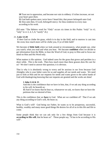**10** Trust not in oppression, and become not vain in robbery: if riches increase, set not your heart *upon them*.

**11** God hath spoken once; twice have I heard this; that power *belongeth* unto God. **12** Also unto thee, O Lord, *belongeth* mercy: for thou renderest to every man according to his work.

(Ed note: "The Hebrew word for "Only" occurs six times in this Psalm: "truly" in *v*1; "only" in *vv* 2, 4, 5, 6; "surely" *v*6.)

### 21. **Luke 12:28**

If then God so clothe the grass, which is to day in the field, and to morrow is cast into the oven; how much more *will he clothe* you, O ye of little faith?

We become of **little faith** when we look around at circumstances, what people say, what you watch, what you read and what you hear. We become **confident** when we decide to get information from the Bible, to hear the Word of God, to pray to Him and to focus our mind on Him and His Word only.

What matters is His opinion. God indeed cares for the grass that grows and perishes in a short while. This is the truth. Then how much more than these grasses does He care for us? We don't need to answer this question; it is obvious.

That is why it is absolutely wrong to worry and be anxious in our lives because God Almighty who is your father cares for us and supplies all our needs and wants. We need just to look at Him and let our requests for needs and wants given to the safest hands of God with thanksgiving knowing that our requests are granted and the works are done!

### **1 John 5:14 & 15**

And this is the confidence that we have in him, that, if we ask any thing according to his will, he heareth us:

**15** And if we know that he hear us, whatsoever we ask, we know that we have the petitions that we desired of him.

This is the confidence that we **have** in God. What are we confident of? That if we ask any thing according to God's will, He hears us.

What is God's will? God being our Father, he wants us to be prosperous, successful, healthy, wealthy and many more good things He desires for all of us in this life and life to come.

Some people think that we can ask only for a few things from God because it is **according to His will**, that he hears us". Those people say, "It has to be according to His will".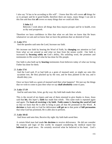I also say "It has to be according to His will". I know that His will covers **all** things for us to prosper and be in good health, therefore there are many, many things I can ask in this line and thus that **all** covers so many things that we could ask Him.

## **3 John 1:2**

Beloved, I wish above all things that thou mayest prosper and be in health, even as thy soul prospereth.

Therefore we have confidence in Him that what we ask him we know that He hears whatsoever we ask and we know that we have the petitions that we desired of God.

## 22. **Luke 17:5**

And the apostles said unto the Lord, Increase our faith.

We increase our faith by hearing the Word of Faith, by **changing** our attention to God from what we see around us and what we hear from the senses world. Our faith is increased by **focusing solely on** God's ability, His unfailing word, the promises and testimonies in His word of what he has done for His people.

Our faith is also built up by **hearing** testimonies from believers today of what our loving Father has done for them.

### 23. **Luke 17:6**

And the Lord said, If ye had faith as a grain of mustard seed, ye might say unto this sycamine tree, Be thou plucked up by the root, and be thou planted in the sea; and it should obey you.

Once we have faith as a grain of mustard seed then what happens? We just say the things that we wish to come to pass then what we say **shall absolutely** come to pass.

### 24. **Luke 17:19**

And he said unto him, Arise, go thy way: thy faith hath made thee whole.

This is the record of ten lepers and one of them returned to give thanks to Jesus. Jesus said that **his**, this leper's, **faith** has made him whole. This same truth is repeated again and again. The **basis of receiving** is **by faith**. **Faith comes** by **hearing the word of God** so that we learn that He is able to bring to pass all that He promised in His Word. **A decision** to look only to God for deliverance **will get us** to that point of **full persuasion** that what God has promised, He is able also to perform.

### 25. **Luke 18:42**

And Jesus said unto him, Receive thy sight: thy faith hath saved thee.

A certain blind man had made **his decision** to receive deliverance. He did not consider the reasons and logic of this world; he stopped considering the medical report but **believed** the good news. He certainly received what he believed in his heart. God's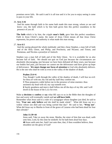promises never fails. He said it and it is all true and it is for you to enjoy seeing it come to pass in your life.

### 26. **Acts 3:16**

And his name through faith in his name hath made this man strong, whom ye see and know: yea, the faith which is by him hath given him this perfect soundness in the presence of you all.

**The faith** which is by him, the cripple **man's faith**, gave him this perfect soundness. Faith in Jesus Christ's name, the name of Jesus Christ means all that Jesus Christ represents, his power and authority is what made this man strong.

### 27. **Acts 6:5**

And the saying pleased the whole multitude: and they chose Stephen, a man full of faith and of the Holy Ghost, and Philip, and Prochorus, and Nicanor, and Timon, and Parmenas, and Nicolas a proselyte of Antioch:

Stephen was a man full of faith and of the Holy Ghost. So it is available for us also become full of faith. We should not quit on God just because the circumstances are absolutely discouraging, just because we have been defeated all these years, just because our bodies feel pain, just because we cannot see the deliverance and have given up hope of deliverance. **We must change our focus of attention** to God who absolutely delivers. He is the one who shall be with us even in the valley of the shadow of death.

#### **Psalms 23:4~6**

Yea, though I walk through the valley of the shadow of death, I will fear no evil: for thou *art* with me; thy rod and thy staff they comfort me.

**5** Thou preparest a table before me in the presence of mine enemies: thou anointest my head with oil; my cup runneth over.

**6** Surely goodness and mercy shall follow me all the days of my life: and I will dwell in the house of the LORD for ever.

Make **a decision** to **confess** or **say** what HE says to us in the Bible then the thoughts of fear and worry will eventually vanish and **we will have faith**.

Remember what Jesus said to a ruler of a synagogue whose daughter just died, he said to him, "**Fear not**, **only believe** and she shall be made whole". What did Jesus say to a widow whose son died and was being carried that day? He said to her, "**Weep not**". What did Jesus say to Martha in front of the grave of Lazarus who had been dead for four days already?

#### **John 11:39~44**

Jesus said, Take ye away the stone. Martha, the sister of him that was dead, saith unto him, Lord, by this time he stinketh: for he hath been *dead* four days. **40** Jesus saith unto her, Said I not unto thee, that, if thou wouldest believe, thou shouldest see the glory of God?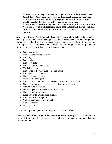**41** Then they took away the stone *from the place* where the dead was laid. And Jesus lifted up *his* eyes, and said, Father, I thank thee that thou hast heard me. **42** And I knew that thou hearest me always: but because of the people which stand by I said *it*, that they may believe that thou hast sent me. **43** And when he thus had spoken, he cried with a loud voice, Lazarus, come forth.

**44** And he that was dead came forth, bound hand and foot with graveclothes: and his face was bound about with a napkin. Jesus saith unto them, Loose him, and let him go.

Jesus said to Martha, "Said I not unto thee, that, if thou wouldest **believe**, thou shouldest see the glory of God?" Jesus always got people who needed deliverance to **change their minds** from holding fear, negative thoughts, utter hopelessness and grief to faith in God that they shall absolutely receive deliverance. We **can change** our minds **right now** to say what God has already done in Christ Jesus, that is:

- I am made whole
- I am absolutely complete in him
- I am holy
- I am lovely
- I am acceptable
- I am a son/a daughter of God
- My daddy is God
- I am seated at the right hand of God in Christ
- I am a joint-heir with Christ
- I have access to the Father
- I have God's holy spirit
- I am an ambassador of God in place of Christ here upon the earth
- I have authority over all evil spirits all sickness and diseases
- I am the light of this world
- I shall be gathered together when Christ returns
- I have reward for my labor
- I shall rule with Christ hereupon earth
- I am more than a conqueror
- Nothing shall separate me from God
- I am born again
- I have salvation

There are many more rights and privileges that can be added here.

Saying these words both **in our mind** and **out of our mouth** begin the transformation of our minds to believe what God says we are and what God says we have and what God says we shall be.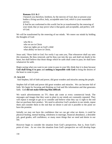## **Romans 12:1 & 2**

I beseech you therefore, brethren, by the mercies of God, that ye present your bodies a living sacrifice, holy, acceptable unto God, *which is* your reasonable service.

**2** And be not conformed to this world: but be ye transformed by the renewing of your mind, that ye may prove what *is* that good, and acceptable, and perfect, will of God.

We will be transformed by the renewing of our minds. We renew our minds by holding the thoughts of God:

 who He is who we are in Christ what our rights are as God's child what ability we have in Christ,

Jesus said, "Have faith in God. For verily I say unto you, That whosoever shall say unto this mountain, Be thou removed, and be thou cast into the sea; and shall not doubt in his heart, but shall believe that those things which he saith shall come to pass; he shall have whatsoever he saith.

Begin saying what you want to see come to pass in your life; think that it is done because **God shall bring it to pass** and **nothing is impossible with God** to bring the desires of the heart to come to pass.

## 28. **Acts 6:8**

And Stephen, full of faith and power, did great wonders and miracles among the people.

Stephen full of faith and power did great wonders and miracles. We can become full of faith. We begin by focusing and thinking on God and His information and that generates faith. God **did not make believing Him difficult**.

We watch advertisements on TV; these ads come at every commercial break. The messages and images that they want to plant in our minds are constantly repeated. They will repeat it enough to get us to consider and believe what they say is right to the end that we purchase their product. We need to advertise God's products in our minds, repeat them and consider them to the end that we desire it and see it possible to the point we have the promise.

Initially we may not have the confidence that we can get what we desire, it could be physical healing, mental healing, wholeness in marriage, financial abundance, a desirable job, good grades, self confidence, or many more things that we need and desire in our life.

However begin to consider the situation from God's perspectives, that is, from God's point of view. As we view the situation from God's perspective we will develop hope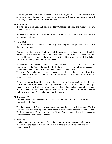and the expectation that what God says can and will happen. As we continue considering life from God's logic and point of view then we **decide to believe** that what we want will absolutely come to pass and it **absolutely** will.

## 29. **Acts 11:24**

For he was a good man, and full of the Holy Ghost and of faith: and much people was added unto the Lord.

Barnabas was full of Holy Ghost and of faith. If he can become that way, then we also can become that way.

### 30. **Acts 14:9**

The same heard Paul speak: who stedfastly beholding him, and perceiving that he had faith to be healed,

Paul preached the word of God **first** and the crippled man heard that word and the scripture says that the crippled man **had faith** to be healed. How did he have faith to be healed? He heard Paul preach the word. He considered that word and **decided to believe** it instead of holding fast to his circumstances.

He had been a cripple from his mother's womb. He had never walked in his life. I do not know what words Paul spoke that **inspired him** to change his mind, to not accept the condition he lived with all his life but to believe that he could walk.

The words Paul spoke that produced the necessary believing, I believe, came from God. Those words really excited the cripple man and enabled him to have the faith that he could be healed.

We too can speak those kind of words that come from God to inspire and enlighten a person to **have faith** to receive the thing they desire and need in life. God is able to give you those words, the logic, the information that triggers faith and conviction in a person's soul to believe to receive the things they really desire in life. **This is Possible!** God shall do it for you and me. **Never give up**, **it shall happen!** 

## 31. **Romans 1:17**

For therein is the righteousness of God revealed from faith to faith: as it is written, The just shall live by faith.

The righteousness of God is revealed out of faith unto faith is how it is written. The just ones shall live by what? **by faith**. That means to have faith or confidence upon God and His information that He gives us from the Bible. We are required to solely depend on God's information and not upon sight.

## 32. **Romans 4:12**

And the father of circumcision to them who are not of the circumcision only, but who also walk in the steps of that faith of our father Abraham, which *he had* being *yet* uncircumcised.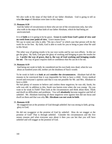We also walk in the steps of that faith of our father Abraham. God is going to tell us what **the steps** of Abraham were later in this chapter.

### 33. **Romans 4:16**

And the father of circumcision to them who are not of the circumcision only, but who also walk in the steps of that faith of our father Abraham, which *he had* being *yet* uncircumcised.

It is of **faith** so it is going to be by grace. **Grace is work from God's point of view and no work from your point of view.** Grace means favor.

We say to some one who is able, "Do me a favor" in which case that person will do the work for us for free. By faith, God is able to work for you to bring to pass what He said in His Word.

The other way of getting results is by our own works and by our own efforts. In this we get the glory. By faith, God gets the glory of working and bringing to pass the results for us. **I prefer the way of grace, that is, the way of God working and bringing results for me**. The way of grace requires faith or confidence that He can do it for me.

### 34. **Romans 4:19**

And being not weak in faith, he considered not his own body now dead, when he was about an hundred years old, neither yet the deadness of Sara's womb:

To be weak in faith is to **look at** and **consider the circumstances**. Abraham had all the reasons to be convinced that it was impossible for him to have a child. Every medical record and everyone's opinion said that it was not possible for Mr. and Mrs. Abraham to have a child.

He had plenty of reasons to believe and confess these negatives; he was old, Sarah, his wife was old; in addition to this, Sarah was barren even when she was young. Do you want to be weak in Faith? Then look at the circumstances and think about them. Think and dwell on difficulties and problems. You will **absolutely** become negative and full of unbelief. Mr. Abraham knowing all these negatives were against him did not focus and dwell on them and that was why **Mr. Abraham was not weak in faith**.

## 35. **Romans 4:20**

He staggered not at the promise of God through unbelief; but was strong in faith, giving glory to God;

He did not swaggerer at the promise of God by unbelief. How do we stagger at the promise of God? That is through unbelief. Consider the circumstances and the five senses reasons and what everyone says about it then you can bet that you will have unbelief and will stagger at the promise of God.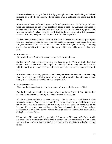How do we become strong in faith? It is by giving glory to God. By looking to God and focusing on God who is Mighty, who is Great, who is unfailing will make **our faith strong**.

Abraham must have confessed how wonderful and great God was. He had hope, he knew what God promised to him would absolutely come to pass. As Abraham continued to confess and look at his **able God** over the years (we know it was over many years), God was able to build Abraham with His word. God got him to the point of full persuasion that what He, God, had promised, He, God was also able to perform.

We learn here as well as in the record of Abraham in Genesis that **he never gave up** on God and His promise over 25 years since God made His promise to Abraham. So we do not give up on God just because we do not see results overnight. As surely a morning arrives after a night, with even more certainty, what God said in His Word shall come to pass.

## 36. **Romans 10:17**

So then faith *cometh* by hearing, and hearing by the word of God.

So then what? Faith comes by hearing and hearing by the Word of God. Isn't that simple? Yes it is and it must be simple. Just now you are reading about how to have faith in God from the word of God, and by the way, when you read, you are hearing it also.

At first you may not be fully persuaded but **when you decide to move towards believing God**, He will give you sufficient Word for you to cloth your mind that will convince you totally to have faith to receive deliverance for your life.

## 37. **1 Corinthians 2:5**

That your faith should not stand in the wisdom of men, but in the power of God.

**Our faith** should not stand in the wisdom of men but in the Power of God. Our faith is to stand on the **power**, the **ability** of God that is what He is saying.

We do not have confidence in what men say. We do not have confidence in their wonderful wisdom. We do not have confidence in others that they could do some jobs for us; we do not have confidence in our ability that it will get us to places, we do not have confidence in our jobs that they are the financial security for us. We are to have confidence in God and His power. Where do we get to know Him and His power or His ability? … from the Bible.

We go to the Bible and to God prayerfully. We go to the Bible and to God's heart with our heart. He is out there and He is there to assist us to have confidence in Him so that we know from our heart that what He has promised in His Word He is Able also to bring to pass.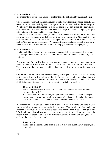#### 38. **1 Corinthians 12:9**

To another faith by the same Spirit; to another the gifts of healing by the same Spirit;

This is in connection with the manifestation of holy spirit, the manifestation of faith. The sentence "To another faith by the same Spirit" is "To another faith in the same spirit". We also have the faith that comes out from the spirit of God in us just like the utterance that comes out from the spirit of God when we: begin to speak in tongues, to speak interpretation of tongues and to speak prophecy.

When we decide to believe God's promise, which appears five senses wise impossible, however, when we move towards believing it any way, the spirit of God shall give you that absolute faith, that full persuasion. We operate the manifestation of faith, when we look at God and not circumstances. We operate that manifestation of faith when we are focus on God and His word rather than focus and pay attention to what people say.

#### 39. **1 Corinthians 13:2**

And though I have *the gift of* prophecy, and understand all mysteries, and all knowledge; and though I have all faith, so that I could remove mountains, and have not charity, I am nothing.

When we have "**all faith**", then we can remove mountains and other mountains in our lives. Sometimes it is difficult "to believe" or "to have all faith" for certain situations. This is where we labor to increase faith so that God is able to bring the desire to come to pass.

**Our labor** is in the quick and powerful Word, which gets us to full persuasion for any particular challenge with which we are faced. Everyone has certain areas where it easy to believe and receive. At the same time we all have difficult areas of believing. It is here that it is important to remember that it is absolutely available from God.

### **Hebrews 4:11 & 12**

Let us labour therefore to enter into that rest, lest any man fall after the same example of unbelief.

**12** For the word of God *is* quick, and powerful, and sharper than any twoedged sword, piercing even to the dividing asunder of soul and spirit, and of the joints and marrow, and *is* a discerner of the thoughts and intents of the heart.

We labor in the word of God to have faith to enter into that rest where God goes to work for us to bring to pass what we desire in our lives. That is why we first **make** our **decision** to **receive**. Focus on what is **desired** to receive from God. Then go to **His Word** and go to **Him with prayer** to build us up to have faith in Him on this particular matter. When we began to do this, God Almighty works with us and will bring to pass the desire of the heart. Never give up!

#### **Luke 18:1~8**

And he spake a parable unto them *to this end*, that men ought always to pray, and not to faint;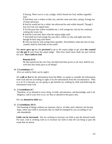**2** Saying, There was in a city a judge, which feared not God, neither regarded man:

**3** And there was a widow in that city; and she came unto him, saying, Avenge me of mine adversary.

**4** And he would not for a while: but afterward he said within himself, Though I fear not God, nor regard man;

**5** Yet because this widow troubleth me, I will avenge her, lest by her continual coming she weary me.

**6** And the Lord said, Hear what the unjust judge saith.

**7** And shall not God avenge his own elect, which cry day and night unto him, though he bear long with them?

**8** I tell you that he will avenge them speedily. Nevertheless when the Son of man cometh, shall he find faith on the earth?

She **never gave up** but she **persisted** to go to the unjust judge to get what **she wanted** and **she got it** even from the unjust judge. Then how much more shall our just God do for you? **Have faith in God**.

#### **Romans 8:32**

He that spared not his own Son, but delivered him up for us all, how shall he not with him also freely give us all things?

#### 40. **2 Corinthians 5:7**

(For we walk by faith, not by sight:)

We **walk or live** by the information from the Bible; we speak or consider the information from God and not according to sight or by the information from the circumstances. Why is it so? It is because we are going to get benefits by walking by faith and believing the information from God.

#### 41. **2 Corinthians 8:7**

Therefore, as ye abound in every *thing, in* faith, and utterance, and knowledge, and *in* all diligence, and *in* your love to us, *see* that ye abound in this grace also.

We can **abound in faith** also.

#### 42. **2 Corinthians 10:15**

Not boasting of things without *our* measure, *that is*, of other men's labours; but having hope, when your faith is increased, that we shall be enlarged by you according to our rule abundantly,

**Faith can be increased**. We are working to increase our faith to get the desired result. For sure, God is working with us to increase our faith so that He can bring to pass the result that we desire.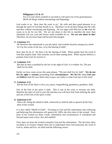### **Philippians 2:13 & 14**

For it is God which worketh in you both to will and to do of *his* good pleasure. **14** Do all things without murmurings and disputings:

God works in us. How does He work in us? He wills and does good pleasure in us through the spirit of God that dwells in us. Therefore we do all these things that He wills and does without murmuring and disputing. Do not argue with Him but we **do** what He wants us to do for our life. We are not alone in this life to manifest the more than Abundant Life our Lord and Savior made available for us. **We are not alone in this!** Therefore, do not loose hope and become discouraged.

### 43. **Galatians 3:5**

He therefore that ministereth to you the Spirit, and worketh miracles among you, *doeth he it* by the works of the law, or by the hearing of faith?

How does he do it? He does it by the hearing of faith. When people hear the word of God that inspires faith then miracles can be done among them. When anyone believes a promise from God, he receives it.

#### 44. **Galatians 3:11**

But that no man is justified by the law in the sight of God, *it is* evident: for, The just shall live by faith.

Earlier we have came across this same phrase, "The just shall live by faith". **We do not live by sight** or **reasons** proceeding from **circumstances**. **We live by** what **God says** and **believe** what He says shall come to pass; our reality is what God says in His word.

### 45. **Galatians 5:22**

But the fruit of the Spirit is love, joy, peace, longsuffering, gentleness, goodness, faith,

One of the fruit of the spirit is faith. This is one of the ways to increase our faith. Manifest the spirit of God in your life and then you will have fruit from utilizing the spirit and one of the fruit of the spirit is faith.

#### 46. **Ephesians 6:16**

Above all, taking the shield of faith, wherewith ye shall be able to quench all the fiery darts of the wicked.

It is also called "Shield of Faith". Focusing on God and His information and confessing and believing His information will quench all, 100%, the fiery darts of the wicked. Fiery darts of the wicked are those words, information and circumstances if considered and focused upon cause worry, fear and unbelief.

Fiery darts are from the wicked contradict God and His information. The first fiery darts recorded is in Genesis chapter three but to understand what God instructed, the word of God to, Adam and Eve, we shall read the following verses: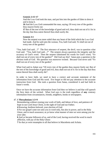## **Genesis 2:15~17**

And the LORD God took the man, and put him into the garden of Eden to dress it and to keep it.

**16** And the LORD God commanded the man, saying, Of every tree of the garden thou mayest freely eat:

**17** But of the tree of the knowledge of good and evil, thou shalt not eat of it: for in the day that thou eatest thereof thou shalt surely die.

## **Genesis 3:1**

Now the serpent was more subtil than any beast of the field which the LORD God had made. And he said unto the woman, Yea, hath God said, Ye shall not eat of every tree of the garden?

"Yea, hath God said…?" The first utterance of serpent, the devil, was to question what God said. "Yea, hath God said…?" The serpent always questions the integrity and the accuracy of God's word. Then the serpent substituted his words for God's word, "Ye shall not eat of every tree of the garden?" Did God say this? Satan puts a question to the obvious truth of God. His question was moreover twisted. Because God never said "Ye shall not eat of every tree of the garden".

What God said to Adam was "Of every tree of the garden thou mayest freely eat: But of the tree of the knowledge of good and evil, thou shalt not eat of it: for in the day that thou eatest thereof thou shalt surely die".

In order to have faith, we need to have a correct and accurate statement of the information from God and His word. Eve forgot or did not pay attention to the accurate instruction from God. She took a question from Satan, considered it and had faith in Satan's words.

Once we have the accurate information from God then we believe it and that will quench the fiery darts of the wicked. What God says is the truth regardless of **any** contrary information from circumstances, friends, neighbors, books or newspapers.

## 47. **1 Thessalonians 1:3~9**

Remembering without ceasing your work of faith, and labour of love, and patience of hope in our Lord Jesus Christ, in the sight of God and our Father;

**4** Knowing, brethren beloved, your election of God.

**5** For our gospel came not unto you in word only, but also in power, and in the Holy Ghost, and in much assurance; as ye know what manner of men we were among you for your sake.

**6** And ye became followers of us, and of the Lord, having received the word in much affliction, with joy of the Holy Ghost:

**7** So that ye were ensamples to all that believe in Macedonia and Achaia.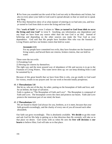**8** For from you sounded out the word of the Lord not only in Macedonia and Achaia, but also in every place your faith to God-ward is spread abroad; so that we need not to speak any thing.

**9** For they themselves shew of us what manner of entering in we had unto you, and how ye turned to God from idols to serve the living and true God;

This "**work of faith**" in verse 3 relates to "**How ye turned to God from idols to serve the living and true God**" in verse 9. Anything, any information, any dependence and any hope we have from any source other than the true God is an idol. Instead of believing and depending on the other sources you make the True God as your dependence. God said that His people have forsaken Him who was the fountain of Living Waters and hew out broken cistern that held no water.

### **Jeremiah 2:13**

For my people have committed two evils; they have forsaken me the fountain of living waters, *and* hewed them out cisterns, broken cisterns, that can hold no water.

These were the two evils:

1) Forsaking God

2) Hewing out cisterns by themselves.

The right way and the most assured way of abundance of life and success is to go to the Fountain of Living Waters. This water never dries up; we can keep drinking from it and be sustained by it.

Because of this great benefit that we have from Him is why, you go totally to God ward for victory, results in our prayers and for our work to become totally prosperous.

### 48. **1 Thessalonians 5:8**

But let us, who are of the day, be sober, putting on the breastplate of faith and love; and for an helmet, the hope of salvation.

Faith is spoken as "The Breastplate of Faith and Love". The Breastplate is composed of Faith and Love. The breastplate covers the chest and protects our hearts. Faith and Love protects the innermost part of our mind, the heart.

### 49. **2 Thessalonians 1:3**

We are bound to thank God always for you, brethren, as it is meet, because that your faith groweth exceedingly, and the charity of every one of you all toward each other aboundeth;

Our faith can grow exceedingly. This is absolutely available. **We decide** to go this route and ask God for His help in getting us to that direction then He certainly will take us to that place we desire. God works with us when He sees the **free will decision** in **our hearts** to believe Him; God will take us to that place.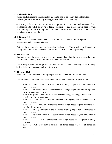### 50. **2 Thessalonians 1:11**

When he shall come to be glorified in his saints, and to be admired in all them that believe (because our testimony among you was believed) in that day.

God's prayer for us is that He can with His power; fulfill all the good pleasure of His goodness and to fulfill the **work of faith**. In order for this to happen we need to walk worthy or equal to His Calling, that is to know who He is, who we are, what we have in Christ and what we can do, etc.

## 51. **1 Timothy 1:5**

Now the end of the commandment is charity out of a pure heart, and *of* a good conscience, and *of* faith unfeigned:

Faith can be unfeigned as we stay focused on God and His Word which is the Fountain of Living Water and that which He magnified above all His name, respectively.

## 52. **Hebrews 4:2**

For unto us was the gospel preached, as well as unto them: but the word preached did not profit them, not being mixed with faith in them that heard *it*.

The Word preached did not profit those who did not believe when they heard it. They believed the circumstances and what they saw.

## 53. **Hebrews 11:1**

Now faith is the substance of things hoped for, the evidence of things not seen.

The following is the same verse from some of different versions of English Bible:

Heb 11:1 (ASV) Now faith is assurance of *things* hoped for, a conviction of things not seen.

Heb 11:1 (BBE) Now faith is the substance of things hoped for, and the sign that the things not seen are true.

Heb 11:1 (DBY) Now faith is *the* substantiating of things hoped for, *the* conviction of things not seen.

Heb 11:1 (MKJV) Now faith is *the* substance of things hoped for, the evidence of things not seen.

Heb 11:1 (MNT) Now faith is the title-deed of things hoped for; the putting to the proof of things not seen.

Heb 11:1 (NKJV) Now faith is the substance of things hoped for, the evidence of things not seen.

Heb 11:1 (RSV) Now faith is the assurance of things hoped for, the conviction of things not seen.

Heb 11:1 (TCNT) Faith is the realization of things hoped for--the proof of things not seen.

Heb 11:1 (WEB) Now faith is assurance of things hoped for, proof of things not seen.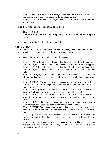Heb 11:1 (WNT) Now faith is a well-grounded assurance of that for which we hope, and a conviction of the reality of things which we do not see. Heb 11:1 (YLT) And faith is of things hoped for a confidence, of matters not seen a conviction,

I liked the Revise Standard Version translation, that is,

## **Heb 11:1 (RSV) Now faith is the assurance of things hoped for, the conviction of things not seen.**

I hope you could see the Truth God says about faith.

### 54. **Hebrews 11:3**

Through faith we understand that the worlds were framed by the word of God, so that things which are seen were not made of things which do appear.

I will show below various English translation of this verse:

Heb 11:3 (ASV) By faith we understand that the worlds have been framed by the word of God, so that what is seen hath not been made out of things which appear. Heb 11:3 (BBE) By faith it is clear to us that the order of events was fixed by the word of God, so that what is seen has not been made from things which only seem to be.

Heb 11:3 (DBY) By faith we apprehend that the worlds were framed by *the* word of God, so that that which is seen should not take its origin from things which appear.

Heb 11:3 (MKJV) Through faith we understand that the ages were framed by a word of God, so that the things seen *should* not have come into being out of the things that appear.

Heb 11:3 (MNT) By faith we understand that the world was fashioned by the Word of God, so that what we see was not made out of what is visible.

Heb 11:3 (NKJV) By faith we understand that the worlds were framed by the word of God, so that the things which are seen were not made of things which are visible.

Heb 11:3 (RSV) By faith we understand that the world was created by the word of God, so that what is seen was made out of things which do not appear.

Heb 11:3 (TCNT) Faith enables us to perceive that the universe was created at the bidding of God--so that we know that what we see was not made out of visible things.

Heb 11:3 (WEB) By faith, we understand that the universe has been framed by the word of God, so that what is seen has not been made out of things which are visible.

Heb 11:3 (WNT) Through faith we understand that the worlds came into being, and still exist, at the command of God, so that what is seen does not owe its existence to that which is visible.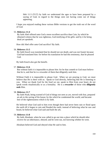Heb 11:3 (YLT) by faith we understand the ages to have been prepared by a saying of God, in regard to the things seen not having come out of things appearing;

I hope you enjoyed reading these various Bible versions to get the truth out of the word of God.

## 55. **Hebrews 11:4**

By faith Abel offered unto God a more excellent sacrifice than Cain, by which he obtained witness that he was righteous, God testifying of his gifts: and by it he being dead yet speaketh.

How did Abel offer unto God sacrifice? By faith.

### 56. **Hebrews 11:5**

By faith Enoch was translated that he should not see death; and was not found, because God had translated him: for before his translation he had this testimony, that he pleased God.

By faith Enoch also got the benefit.

### 57. **Hebrews 11:6**

But without faith *it is* impossible to please *him*: for he that cometh to God must believe that he is, and *that* he is a rewarder of them that diligently seek him.

Without Faith it is impossible to please God. When we are praying to God, we must believe that He is there with us. Speak to God directly, believing that He is listening to you. When we thank God for the food we eat, speak to Him from your heart; do not speak words ritualistically or as a formality. He is a **rewarder** of those who **diligently seek** Him.

### 58. **Hebrews 11:7**

By faith Noah, being warned of God of things not seen as yet, moved with fear, prepared an ark to the saving of his house; by the which he condemned the world, and became heir of the righteousness which is by faith.

He believed what God said to him even though there had never been rain or flood upon the earth till it began to rain and flooded the earth; instead of believing what he saw and heard, he believed what God said and built the ark.

### 59. **Hebrews 11:8**

By faith Abraham, when he was called to go out into a place which he should after receive for an inheritance, obeyed; and he went out, not knowing whither he went.

Abraham believed God and obeyed what He said to him.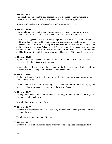#### 60. **Hebrews 11:9**

 By faith he sojourned in the land of promise, as *in* a strange country, dwelling in tabernacles with Isaac and Jacob, the heirs with him of the same promise:

Abraham did that because he believed God and what He said to him.

#### 61. **Hebrews 11:11**

By faith he sojourned in the land of promise, as *in* a strange country, dwelling in tabernacles with Isaac and Jacob, the heirs with him of the same promise:

That's what happened. It was absolutely impossible for her to conceive and deliver a child according to the worldly knowledge and experience of mankind, however what happened? What God said came to pass as **she decided** to move her mind toward God and **to believe** and **focus on** What He Said. The principle of increasing or strengthening our faith is this that **we look at God** Who is **able**; **confess** His promises and **Seek** Him and **Clothe** your mind with His knowledge about His Power, Ability and His greatness.

#### 62. **Hebrews 11:17**

By faith Abraham, when he was tried, offered up Isaac: and he that had received the promises offered up his only begotten *son*,

Abraham believed that God was indeed able to raise his son from the dead. He did not worry or fear but he completely trusted God who **never failed**.

#### 63. **Hebrews 11:27**

By faith he forsook Egypt, not fearing the wrath of the king: for he endured, as seeing him who is invisible.

Moses did not fear the wrath of the king because he saw him (with his heart's eyes) God who is invisible who was much greater than the king of Egypt.

#### 64. **Hebrews 11:28**

Through faith he kept the passover, and the sprinkling of blood, lest he that destroyed the firstborn should touch them.

It was by faith Moses kept the Passover.

#### 65. **Hebrews 11:29**

By faith they passed through the Red sea as by dry *land*: which the Egyptians assaying to do were drowned.

By faith they passed through the Red sea.

#### 66. **Hebrews 11:30**

By faith the walls of Jericho fell down, after they were compassed about seven days.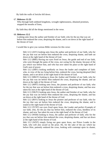By faith the walls of Jericho fell down.

### 67. **Hebrews 11:33**

Who through faith subdued kingdoms, wrought righteousness, obtained promises, stopped the mouths of lions,

By faith they did all the things mentioned in the verse.

### 68. **Hebrews 12:2**

Looking unto Jesus the author and finisher of *our* faith; who for the joy that was set before him endured the cross, despising the shame, and is set down at the right hand of the throne of God.

I would like to give you various Bible versions for this verse:

Heb 12:2 (ASV) looking unto Jesus the author and perfecter of *our* faith, who for the joy that was set before him endured the cross, despising shame, and hath sat down at the right hand of the throne of God.

Heb 12:2 (BBE) Having our eyes fixed on Jesus, the guide and end of our faith, who went through the pains of the cross, not caring for the shame, because of the joy which was before him, and who has now taken his place at the right hand of God's seat of power.

Heb 12:2 (DBY) looking stedfastly on Jesus the leader and completer of faith: who, in view of the joy lying before him, endured *the* cross, having despised [the] shame, and is set down at the right hand of the throne of God.

Heb 12:2 (MKJV) looking to Jesus the Author and Finisher of *our* faith, who for the joy that was set before Him endured *the* cross, despising the shame, and sat down at the right of the throne of God.

Heb 12:2 (MNT) looking unto Jesus, the pioneer and perfecter of our faith, who for the joy that was set before him endured a cross, despising shame, and has now taken his seat at the right hand of the throne of God.

Heb 12:2 (NKJV) looking unto Jesus, the author and finisher of *our* faith, who for the joy that was set before Him endured the cross, despising the shame, and has sat down at the right hand of the throne of God.

Heb 12:2 (RSV) looking to Jesus the pioneer and perfecter of our faith, who for the joy that was set before him endured the cross, despising the shame, and is seated at the right hand of the throne of God.

Heb 12:2 (TCNT) our eyes fixed upon Jesus, the Leader and perfect Example of our faith, who, for the joy that lay before him, endured the cross, heedless of its shame, and now 'has taken his seat at the right hand' of the throne of God.

Heb 12:2 (WEB) looking to Jesus, the author and perfecter of faith, who for the joy that was set before him endured the cross, despising shame, and has sat down at the right hand of the throne of God.

Heb 12:2 (WNT) simply fixing our gaze upon Jesus, our Prince Leader in the faith, who will also award us the prize. He, for the sake of the joy which lay before Him, patiently endured the cross, looking with contempt upon its shame,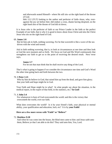and afterwards seated Himself-- where He still sits--at the right hand of the throne of God.

Heb 12:2 (YLT) looking to the author and perfecter of faith--Jesus, who, overagainst the joy set before him--did endure a cross, shame having despised, on the right hand also of the throne of God did sit down;

It is Jesus who is the perfecter of faith or our Prince Leader in the faith or the perfect Example of our faith, that is why it is good to know about Jesus Christ and also the Christ Jesus who sits on the right hand of God.

#### 69. **James 1:6**

But let him ask in faith, nothing wavering. For he that wavereth is like a wave of the sea driven with the wind and tossed.

Ask in faith nothing wavering, that is, to look at circumstances at one time and then look at God the next moment and so forth. We focus on God and His Word continuously that strengthens our faith to get us to the point of receiving the desired result. Next verse says,

### **James 1:7**

For let not that man think that he shall receive any thing of the Lord.

That's what is going to happen if we consider the circumstance one time and God's Word the other time going back and forth between the two.

## 70. **1 Peter 1:21**

Who by him do believe in God, that raised him up from the dead, and gave him glory; that your faith and hope might be in God.

Your Faith and Hope might be in what? In what people say about the situation, in the medical report, in the expert of that field, in the statistics, etc.? **In God!**

#### 71. **1 John 5:4**

For whatsoever is born of God overcometh the world: and this is the victory that overcometh the world, *even* our faith.

What does overcomes the world? Is it by your friend's faith, your physical or mental ability, your qualification and education, luck, etc? It is by **your Faith!**

## **Here are a few more verses with "Faith" or "Believe"**

### 72. **Matthew 9:28**

And when he was come into the house, the blind men came to him: and Jesus saith unto them, Believe ye that I am able to do this? They said unto him, Yea, Lord.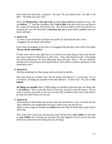Jesus asked the blind men a question. He said, "Do you believe that I am able to do this?" The blind men said "Yes".

This is the **Bottom line** or **the only Line** on which **you receive** the promise of God. "Do you **believe**…?" And this confidence that "**God is able** to do that work you want Him to do" comes by hearing the Word from God. The Word of Faith is from God and He can certainly give you the Word that is **necessary for you** to have faith to **receive** what you desire and need.

## 73. **Mark 5:36**

As soon as Jesus heard the word that was spoken, he saith unto the ruler of the synagogue, Be not afraid, only believe.

Even when the daughter of the ruler of synagogue had just died, Jesus said to the father "**Be not afraid**, **only believe**"

If Jesus were with us here right now, he would say the same thing to those who desired and came to him for deliverance in their lives. Then what should we do? Tell people who desire deliverance the same thing that Jesus said here, that is, "Be not afraid by looking at the circumstances but instead believe God's ability to deliver and focus on His information only!"

## 74. **Mark 9:23**

But they understood not that saying, and were afraid to ask him.

Why does Jesus say in Mark 5:36, "Be not afraid, only believe"? It is because, "If you can believe, all things are possible to him that believes". Is this True? Yes, this is **true indeed!**

**All things are possible**, that is 100% things are possible to him that does one thing, that is, **he believes**. This is what the Word of God says and that's what He means. So you want to increase your faith so that you can have full confidence that God is truly able to do what you desire Him to do for you.

### 75. **Mark 9:24**

And whosoever shall offend one of *these* little ones that believe in me, it is better for him that a millstone were hanged about his neck, and he were cast into the sea.

When a man recognizes that **he** must **believe** and asks help for believing, he gets help in believing.

Your God is the Living God, and not only your God but He is **your Father** as well, that is, **your Daddy** who so loved you and gave His only begotten son for you so now how shall he not with Christ also freely give you all things.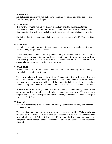## **Romans 8:32**

He that spared not his own Son, but delivered him up for us all, how shall he not with him also freely give us all things?

## 76. **Mark 11:23**

For verily I say unto you, That whosoever shall say unto this mountain, Be thou removed, and be thou cast into the sea; and shall not doubt in his heart, but shall believe that those things which he saith shall come to pass; he shall have whatsoever he saith.

So that is what it says and says what He means. Is this God's Word? Yes, it is God's Word.

### 77. **Mark 11:24**

Therefore I say unto you, What things soever ye desire, when ye pray, believe that ye receive *them*, and ye shall have *them*.

Whatsoever you desire when you pray **believe** that you received them and you shall have them. **Have confidence** in God that He is absolutely Able to bring to pass your desire. **You have given** that desire to Him by your freewill with confidence then **you shall absolutely see** the desire come to pass before you.

### 78. **Mark 16:17**

And these signs shall follow them that believe; In my name shall they cast out devils; they shall speak with new tongues;

Those **who believe** will manifest these signs. Who do not believe will not manifest these signs. People have unbelief due to ignorance and lack of knowledge or refusal to believe. All those who are saved can evidence all these signs in their lives. They need to have knowledge regarding these things and then believe to do so and you shall evidence them.

In Jesus Christ's authority, you shall cast out, in Greek it is "**throw out**", devils. We all can throw out devils to deliver people who are oppressed from them. We can speak in tongues as well. Who shall speak in tongues? It says, "They shall". They have to speak not the spirit of God.

### 79. **Luke 8:50**

But when Jesus heard *it*, he answered him, saying, Fear not: believe only, and she shall be made whole.

This is spoken to the father of a girl who just died, Jesus said to him, "**Believe only**, and she shall be made whole". What a word of confidence in God that Jesus demonstrated. Jesus absolutely had full confidence that **if the man believed** and not feared, **his daughter should be made whole**". We also need to have this confidence and understand this truth.